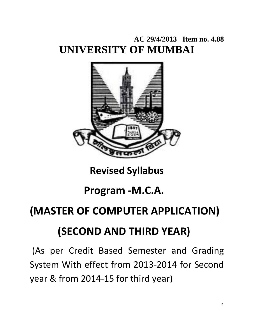## **AC 29/4/2013 Item no. 4.88 UNIVERSITY OF MUMBAI**



## **Revised Syllabus**

## **Program ‐M.C.A.**

## **(MASTER OF COMPUTER APPLICATION)**

## **(SECOND AND THIRD YEAR)**

(As per Credit Based Semester and Grading System With effect from 2013‐2014 for Second year & from 2014‐15 for third year)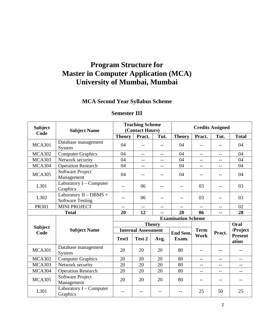## **Program Structure for Master in Computer Application (MCA) University of Mumbai, Mumbai**

### **MCA Second Year Syllabus Scheme**

| <b>Subject</b> | <b>Subject Name</b>                               |               | <b>Teaching Scheme</b><br>(Contact Hours) |               |                           | <b>Credits Assigned</b> |                      |                         |  |  |
|----------------|---------------------------------------------------|---------------|-------------------------------------------|---------------|---------------------------|-------------------------|----------------------|-------------------------|--|--|
| Code           |                                                   | <b>Theory</b> | Pract.                                    | Tut.          | <b>Theory</b>             | Pract.                  | Tut.<br><b>Total</b> |                         |  |  |
| <b>MCA301</b>  | Database management<br>System                     | 04            | $-1$                                      | $-$           | 04                        | $-$                     |                      | 04                      |  |  |
| <b>MCA302</b>  | <b>Computer Graphics</b>                          | 04            | $-$                                       | $-$           | 04                        | $-$                     | $-$                  | 04                      |  |  |
| <b>MCA303</b>  | Network security                                  | 04            | $-$                                       | $-$           | 04                        | $-$                     | $- -$                | 04                      |  |  |
| <b>MCA304</b>  | <b>Operation Research</b>                         | 04            | $-$                                       | $-$           | 04                        | $-$                     | $-$                  | 04                      |  |  |
| <b>MCA305</b>  | Software Project<br>Management                    | 04            | $- -$                                     | $-$           | 04                        | $-$                     | $-$                  | 04                      |  |  |
| L301           | Laboratory $I$ – Computer<br>Graphics             | $-$           | 06                                        | $-$           | $-$                       | 03                      | $-$                  | 03                      |  |  |
| L302           | Laboratory II - DBMS +<br><b>Software Testing</b> | $-1$          | 06                                        | $-$           | $-1$                      | 03                      | $-$                  | 03                      |  |  |
| <b>PR301</b>   | <b>MINI PROJECT</b>                               | $- -$         | $-$                                       | $-$           | $-$                       | $-$                     | $-$                  | 02                      |  |  |
|                | <b>Total</b>                                      | 20            | 12                                        |               | 20                        | 06                      | 28                   |                         |  |  |
|                |                                                   |               |                                           |               | <b>Examination Scheme</b> |                         |                      |                         |  |  |
| <b>Subject</b> |                                                   |               |                                           | <b>Theory</b> |                           |                         |                      | Oral                    |  |  |
| Code           | <b>Subject Name</b>                               |               | <b>Internal Assessment</b>                |               | <b>End Sem.</b>           | <b>Term</b>             | Pract.               | /Project                |  |  |
|                |                                                   | Test1         | Test 2                                    | Avg.          | Exam.                     | Work                    |                      | <b>Present</b><br>ation |  |  |
| <b>MCA301</b>  | Database management<br>System                     | 20            | 20                                        | 20            | 80                        | $-$                     |                      |                         |  |  |
| <b>MCA302</b>  | <b>Computer Graphics</b>                          | 20            | 20                                        | 20            | 80                        | $-$                     | $-$                  | $-$                     |  |  |
| <b>MCA303</b>  | Network security                                  | 20            | 20                                        | 20            | 80                        | $-$                     | $-$                  | $-$                     |  |  |
| <b>MCA304</b>  | <b>Operation Research</b>                         | 20            | 20                                        | 20            | 80                        | $-$                     | $-$                  | $-$                     |  |  |
| <b>MCA305</b>  | Software Project<br>Management                    | 20            | 20                                        | 20            | 80                        | $-$                     | $-$                  | $-$                     |  |  |
| L301           | Laboratory I - Computer<br>Graphics               | $-$           | $-$                                       |               |                           | 25                      | 50                   | 25                      |  |  |

#### **Semester III**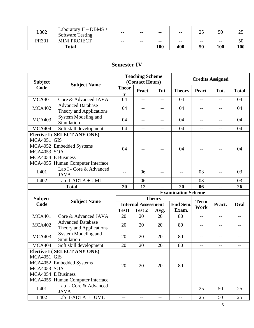| L302         | Laboratory $II - DBMS +$<br><b>Software Testing</b> | $- -$ | $- -$ | $- -$ | $- -$ | ت     | 50    | ∼   |
|--------------|-----------------------------------------------------|-------|-------|-------|-------|-------|-------|-----|
| <b>PR301</b> | <b>MINI PROJECT</b>                                 | $- -$ | $- -$ | $- -$ | $- -$ | $- -$ | $- -$ | υc  |
|              | <b>Total</b>                                        |       |       | 100   | 400   | 50    | 100   | 100 |

#### **Semester IV**

| <b>Teaching Scheme</b><br>(Contact Hours)<br><b>Subject</b> |                                                     |                   |                            |               | <b>Credits Assigned</b>              |                |        |              |
|-------------------------------------------------------------|-----------------------------------------------------|-------------------|----------------------------|---------------|--------------------------------------|----------------|--------|--------------|
| Code                                                        | <b>Subject Name</b>                                 | <b>Theor</b><br>y | Pract.                     | Tut.          | <b>Theory</b>                        | Pract.<br>Tut. |        | <b>Total</b> |
| <b>MCA401</b>                                               | Core & Advanced JAVA                                | 04                | $-$                        | $-$           | 04                                   | $-$            | $-$    | 04           |
| <b>MCA402</b>                                               | <b>Advanced Database</b><br>Theory and Applications | 04                |                            | --            | 04                                   | --             | 04     |              |
| <b>MCA403</b>                                               | System Modeling and<br>Simulation                   | 04                | $-$                        | $-$           | 04                                   | $-1$           | $-$    | 04           |
| <b>MCA404</b>                                               | Soft skill development                              | 04                | $-$                        | $-$           | 04                                   | $- -$          | $-$    | 04           |
|                                                             | <b>Elective I (SELECT ANY ONE)</b>                  |                   |                            |               |                                      |                |        |              |
| MCA4051 GIS                                                 |                                                     |                   |                            |               |                                      |                |        |              |
|                                                             | MCA4052 Embedded Systems                            | 04                |                            |               | 04                                   | --             |        | 04           |
| MCA4053 SOA                                                 |                                                     |                   |                            |               |                                      |                |        |              |
| MCA4054 E Business                                          |                                                     |                   |                            |               |                                      |                |        |              |
|                                                             | MCA4055 Human Computer Interface                    |                   |                            |               |                                      |                |        |              |
| L <sub>401</sub>                                            | Lab I - Core & Advanced<br><b>JAVA</b>              |                   | 06                         | $-$           |                                      | 03             |        | 03           |
| L402                                                        | Lab II-ADTA + UML                                   | $-$               | 06                         | $-$           | 03<br>03<br>$-$<br>$-$<br>26         |                |        |              |
|                                                             | <b>Total</b>                                        | 20                | 12                         | --            | 20<br>06<br>$\overline{\phantom{a}}$ |                |        |              |
|                                                             |                                                     |                   |                            |               | <b>Examination Scheme</b>            |                |        |              |
| <b>Subject</b>                                              | <b>Subject Name</b>                                 |                   |                            | <b>Theory</b> |                                      | <b>Term</b>    |        |              |
| Code                                                        |                                                     |                   | <b>Internal Assessment</b> |               | <b>End Sem.</b>                      | Work           | Pract. | Oral         |
|                                                             |                                                     | Test1             | Test 2                     | Avg.          | Exam.                                |                |        |              |
| <b>MCA401</b>                                               | Core & Advanced JAVA                                | 20                | 20                         |               |                                      |                |        |              |
| <b>MCA402</b>                                               |                                                     |                   |                            | 20            | 80                                   | $-$            | $-$    | $-$          |
|                                                             | <b>Advanced Database</b><br>Theory and Applications | 20                | 20                         | 20            | 80                                   | --             | --     | --           |
| <b>MCA403</b>                                               | System Modeling and<br>Simulation                   | 20                | 20                         | 20            | 80                                   | $-$            |        | $-$          |
| <b>MCA404</b>                                               | Soft skill development                              | 20                | 20                         | 20            | 80                                   | $-$            | $-$    | $--$         |
|                                                             | <b>Elective I (SELECT ANY ONE)</b>                  |                   |                            |               |                                      |                |        |              |
| MCA4051 GIS                                                 |                                                     |                   |                            |               |                                      |                |        |              |
|                                                             | MCA4052 Embedded Systems                            |                   |                            |               |                                      |                |        |              |
| MCA4053 SOA                                                 |                                                     | 20                | 20                         | 20            | 80                                   |                |        |              |
| MCA4054 E Business                                          |                                                     |                   |                            |               |                                      |                |        |              |
|                                                             | MCA4055 Human Computer Interface                    |                   |                            |               |                                      |                |        |              |
| L <sub>401</sub>                                            | Lab I- Core & Advanced<br><b>JAVA</b>               | --                | --                         |               |                                      | 25             | 50     | 25           |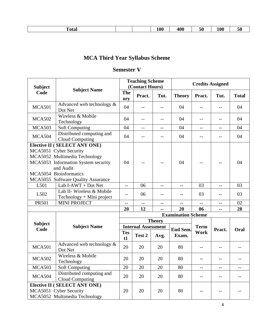|  | Total |  |  | 100<br>___ | 400<br>$ -$ | $\sim$<br>ЭU<br>___ | $\mathbf{\Omega}$<br>'06 | ЭU<br>__ |
|--|-------|--|--|------------|-------------|---------------------|--------------------------|----------|
|--|-------|--|--|------------|-------------|---------------------|--------------------------|----------|

## **MCA Third Year Syllabus Scheme**

### **Semester V**

| <b>Teaching Scheme</b><br><b>Credits Assigned</b><br>(Contact Hours)<br><b>Subject</b><br><b>Subject Name</b> |                                                     |                          |                            |               |                           |             |        |              |
|---------------------------------------------------------------------------------------------------------------|-----------------------------------------------------|--------------------------|----------------------------|---------------|---------------------------|-------------|--------|--------------|
| Code                                                                                                          |                                                     | <b>The</b><br>ory        | Pract.                     | Tut.          | <b>Theory</b>             | Pract.      | Tut.   | <b>Total</b> |
| <b>MCA501</b>                                                                                                 | Advanced web technology $\&$<br>Dot Net             | 04                       |                            | $-$           | 04                        | $-$         |        | 04           |
| <b>MCA502</b>                                                                                                 | Wireless & Mobile<br>Technology                     | 04                       | $-$                        | $-$           | 04                        | $-$         | $-$    | 04           |
| <b>MCA503</b>                                                                                                 | <b>Soft Computing</b>                               | 04                       | $-$                        | --            | 04                        | $-$         | $-$    | 04           |
| <b>MCA504</b>                                                                                                 | Distributed computing and<br><b>Cloud Computing</b> | 04                       | $-$                        | $-$           | 04                        | $-$         | $-$    | 04           |
|                                                                                                               | <b>Elective II ( SELECT ANY ONE)</b>                |                          |                            |               |                           |             |        |              |
|                                                                                                               | MCA5051 Cyber Security                              |                          |                            |               |                           |             |        |              |
|                                                                                                               | MCA5052 Multimedia Technology                       |                          |                            |               |                           |             |        |              |
|                                                                                                               | MCA5053 Information System security                 | 04                       |                            | --            | 04                        | --          | 04     |              |
|                                                                                                               | and Audit                                           |                          |                            |               |                           |             |        |              |
|                                                                                                               | MCA5054 Bioinformatics                              |                          |                            |               |                           |             |        |              |
|                                                                                                               | MCA5055 Software Quality Assurance                  |                          |                            |               |                           |             |        |              |
| L501                                                                                                          | Lab I-AWT + Dot Net                                 | $\overline{\phantom{m}}$ | 06                         | $-$           | $\qquad \qquad -$         | 03          | $-$    | 03           |
| L <sub>5</sub> 02                                                                                             | Lab II- Wireless & Mobile                           | $-$                      | 06                         | --            | --                        | 03          | $-$    | 03           |
|                                                                                                               | $Technology + Mini project$                         |                          |                            |               |                           |             |        |              |
| <b>PR501</b>                                                                                                  | <b>MINI PROJECT</b>                                 | $\overline{\phantom{a}}$ | $-$                        | $-$           | $-$                       | $-$<br>$-$  |        | 02           |
|                                                                                                               |                                                     | 20                       | 12                         | --            | 20                        | 06          | --     | 28           |
|                                                                                                               |                                                     |                          |                            |               | <b>Examination Scheme</b> |             |        |              |
| <b>Subject</b>                                                                                                |                                                     |                          |                            | <b>Theory</b> |                           |             |        |              |
| Code                                                                                                          | <b>Subject Name</b>                                 |                          | <b>Internal Assessment</b> |               | <b>End Sem.</b>           | <b>Term</b> | Pract. | Oral         |
|                                                                                                               |                                                     | <b>Tes</b><br>t1         | Test 2                     | Avg.          | Exam.                     | <b>Work</b> |        |              |
| <b>MCA501</b>                                                                                                 | Advanced web technology &<br>Dot Net                | 20                       | 20                         | 20            | 80                        | $-$         |        |              |
| <b>MCA502</b>                                                                                                 | Wireless & Mobile<br>Technology                     | 20                       | 20                         | 20            | 80                        | --          |        |              |
| <b>MCA503</b>                                                                                                 | <b>Soft Computing</b>                               | 20                       | 20                         | 20            | 80                        | $-$         | $-$    | --           |
| MCA504                                                                                                        | Distributed computing and<br>Cloud Computing        | 20                       | 20                         | 20            | 80                        | --          |        | --           |
|                                                                                                               | <b>Elective II ( SELECT ANY ONE)</b>                |                          |                            |               |                           |             |        |              |
|                                                                                                               | MCA5051 Cyber Security                              | 20                       | 20                         | 20            | 80                        |             |        |              |
|                                                                                                               | MCA5052 Multimedia Technology                       |                          |                            |               |                           |             |        |              |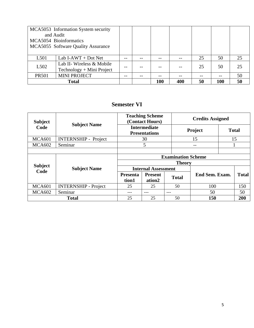| and Audit        | MCA5053 Information System security<br>MCA5054 Bioinformatics<br>MCA5055 Software Quality Assurance |          |  |     |  |    |     |    |
|------------------|-----------------------------------------------------------------------------------------------------|----------|--|-----|--|----|-----|----|
| L <sub>501</sub> | Lab I-AWT + Dot Net                                                                                 |          |  |     |  | 25 | 50  | 25 |
|                  | Lab II- Wireless & Mobile                                                                           |          |  |     |  |    |     |    |
| L <sub>502</sub> | Technology + Mini Project                                                                           | 25<br>50 |  |     |  | 25 |     |    |
| <b>PR501</b>     | <b>MINI PROJECT</b>                                                                                 |          |  | --  |  | -- |     | 50 |
|                  | <b>Total</b>                                                                                        |          |  | 100 |  | 50 | 100 | 50 |

#### **Semester VI**

| <b>Subject</b>         |                             |                          | <b>Teaching Scheme</b><br>(Contact Hours)   |                           | <b>Credits Assigned</b> |              |              |  |  |
|------------------------|-----------------------------|--------------------------|---------------------------------------------|---------------------------|-------------------------|--------------|--------------|--|--|
| Code                   | <b>Subject Name</b>         |                          | <b>Intermediate</b><br><b>Presentations</b> |                           | Project                 | <b>Total</b> |              |  |  |
| <b>MCA601</b>          | <b>INTERNSHIP - Project</b> |                          | 30                                          |                           | 15                      |              | 15           |  |  |
| <b>MCA602</b>          | Seminar                     |                          | 5                                           |                           | --                      |              |              |  |  |
|                        |                             |                          |                                             |                           |                         |              |              |  |  |
|                        |                             |                          |                                             | <b>Examination Scheme</b> |                         |              |              |  |  |
|                        |                             |                          | <b>Theory</b>                               |                           |                         |              |              |  |  |
| <b>Subject</b><br>Code | <b>Subject Name</b>         |                          | <b>Internal Assessment</b>                  |                           |                         |              |              |  |  |
|                        |                             | <b>Presenta</b><br>tion1 | <b>Present</b><br>ation <sub>2</sub>        | <b>Total</b>              | End Sem. Exam.          |              | <b>Total</b> |  |  |
| <b>MCA601</b>          | <b>INTERNSHIP - Project</b> | 25                       | 25                                          | 50                        | 100                     |              | 150          |  |  |
| <b>MCA602</b>          | Seminar                     | ---                      | ---                                         | ---                       | 50                      |              | 50           |  |  |
|                        | <b>Total</b>                | 25                       | 25                                          | 50                        | 150                     |              |              |  |  |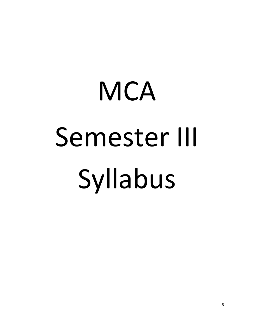# **MCA** Semester III Syllabus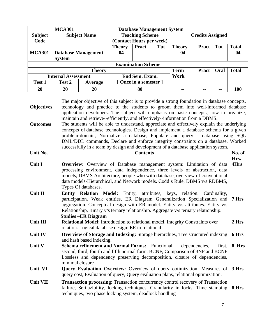|                            | <b>MCA301</b> |                            | <b>Database Management System</b> |                                      |  |       |                         |       |              |
|----------------------------|---------------|----------------------------|-----------------------------------|--------------------------------------|--|-------|-------------------------|-------|--------------|
| <b>Subject</b>             |               | <b>Subject Name</b>        |                                   | <b>Teaching Scheme</b>               |  |       | <b>Credits Assigned</b> |       |              |
| Code                       |               |                            | (Contact Hours per week)          |                                      |  |       |                         |       |              |
|                            |               |                            | <b>Theory</b>                     | Tut<br><b>Theory</b><br><b>Pract</b> |  |       | <b>Pract</b>            | Tut   | <b>Total</b> |
| <b>MCA301</b>              |               | <b>Database Management</b> | 04<br>$- -$<br>$- -$              |                                      |  | 04    |                         | $- -$ | 04           |
|                            | <b>System</b> |                            |                                   |                                      |  |       |                         |       |              |
|                            |               |                            | <b>Examination Scheme</b>         |                                      |  |       |                         |       |              |
|                            |               | <b>Theory</b>              |                                   |                                      |  |       | <b>Pract</b>            | Oral  | <b>Total</b> |
| <b>Internal Assessment</b> |               |                            |                                   | End Sem. Exam.                       |  |       |                         |       |              |
| Test 1                     | Test 2        | Average                    |                                   | [Once in a semester ]                |  |       |                         |       |              |
| 20                         | 20            | 20                         |                                   | 80                                   |  | $- -$ |                         | --    | 100          |

| <b>Objectives</b>           | The major objective of this subject is to provide a strong foundation in database concepts,<br>technology and practice to the students to groom them into well-informed database<br>application developers. The subject will emphasis on basic concepts, how to organize,                                                                                                                                                                                                                                                                          |              |
|-----------------------------|----------------------------------------------------------------------------------------------------------------------------------------------------------------------------------------------------------------------------------------------------------------------------------------------------------------------------------------------------------------------------------------------------------------------------------------------------------------------------------------------------------------------------------------------------|--------------|
| <b>Outcomes</b><br>Unit No. | maintain and retrieve-efficiently, and effectively--information from a DBMS.<br>The students will be able to understand, appreciate and effectively explain the underlying<br>concepts of database technologies. Design and implement a database schema for a given<br>problem-domain, Normalize a database, Populate and query a database using SQL<br>DML/DDL commands, Declare and enforce integrity constraints on a database, Worked<br>successfully in a team by design and development of a database application system.<br><b>Contents</b> | No. of       |
| Unit I                      | <b>Overview:</b> Overview of Database management system: Limitation of data<br>processing environment, data independence, three levels of abstraction, data<br>models, DBMS Architecture, people who with database, overview of conventional<br>data models-Hierarchical, and Network models. Codd's Rule, DBMS v/s RDBMS,<br>Types Of databases.                                                                                                                                                                                                  | Hrs.<br>4Hrs |
| Unit II                     | Entity Relation Model: Entity, attributes, keys, relation. Cardinality,<br>participation. Weak entities, ER Diagram Generalization Specialization and<br>aggregation. Conceptual design with ER model. Entity v/s attributes. Entity v/s<br>Relationship, Binary v/s ternary relationship. Aggregate v/s ternary relationship.<br><b>Studies – ER Diagram</b>                                                                                                                                                                                      | 7 Hrs        |
| Unit III                    | <b>Relational Model:</b> Introduction to relational model, Integrity Constraints over<br>relation. Logical database design: ER to relational                                                                                                                                                                                                                                                                                                                                                                                                       | 2 Hrs        |
| <b>Unit IV</b>              | <b>Overview of Storage and Indexing:</b> Storage hierarchies, Tree structured indexing<br>and hash based indexing.                                                                                                                                                                                                                                                                                                                                                                                                                                 | 6 Hrs        |
| Unit V                      | <b>Schema refinement and Normal Forms:</b> Functional<br>dependencies,<br>first,<br>second, third, fourth and fifth normal form, BCNF, Comparison of 3NF and BCNF<br>Lossless and dependency preserving decomposition, closure of dependencies,<br>minimal closure                                                                                                                                                                                                                                                                                 | 8 Hrs        |
| Unit VI                     | Query Evaluation Overview: Overview of query optimization, Measures of 3 Hrs<br>query cost, Evaluation of query, Query evaluation plans, relational optimization.                                                                                                                                                                                                                                                                                                                                                                                  |              |
| <b>Unit VII</b>             | Transaction processing: Transaction concurrency control recovery of Transaction<br>failure, Serilazibility, locking techniques. Granularity in locks. Time stamping<br>techniques, two phase locking system, deadlock handling                                                                                                                                                                                                                                                                                                                     | 8 Hrs        |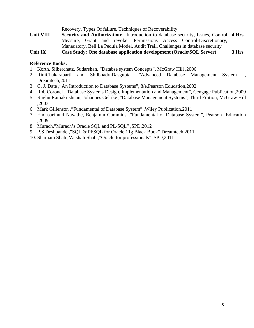Recovery, Types Of failure, Techniques of Recoverability Unit VIII Security and Authorization: Introduction to database security, Issues, Control 4 Hrs Measure, Grant and revoke. Permissions Access Control-Discretionary, Manadatory, Bell La Pedula Model, Audit Trail, Challenges in database security **Unit IX Case Study: One database application development (Oracle\SQL Server) 3 Hrs** 

#### **Reference Books:**

- 1. Korth, Silberchatz, Sudarshan, "Databse system Concepts", McGraw Hill ,2006
- 2. RiniChakarabarti and ShilbhadraDasgupta, ,"Advanced Database Management System Dreamtech,2011
- 3. C. J. Date ,"An Introduction to Database Systems", 8/e,Pearson Education,2002
- 4. Rob Coronel ,"Database Systems Design, Implementation and Management", Cengage Publication,2009
- 5. Raghu Ramakrishnan, Johannes Gehrke ,"Database Management Systems", Third Edition, McGraw Hill ,2003
- 6. Mark Gillenson ,"Fundamental of Database System" ,Wiley Publication,2011
- 7. Elmasari and Navathe, Benjamin Cummins ,"Fundamental of Database System", Pearson Education ,2009
- 8. Murach,"Murach's Oracle SQL and PL/SQL" ,SPD,2012
- 9. P.S Deshpande ,"SQL & Pl\SQL for Oracle 11g Black Book",Dreamtech,2011
- 10. Sharnam Shah ,Vaishali Shah ,"Oracle for professionals" ,SPD,2011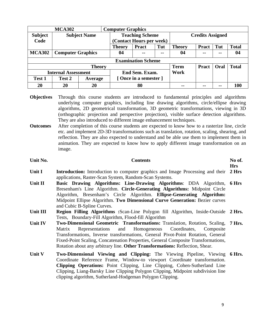| <b>MCA302</b>              |                          |                     | <b>Computer Graphics</b>             |                           |                         |               |                |              |              |
|----------------------------|--------------------------|---------------------|--------------------------------------|---------------------------|-------------------------|---------------|----------------|--------------|--------------|
| <b>Subject</b>             |                          | <b>Subject Name</b> | <b>Teaching Scheme</b>               |                           | <b>Credits Assigned</b> |               |                |              |              |
| Code                       |                          |                     | (Contact Hours per week)             |                           |                         |               |                |              |              |
|                            |                          |                     | <b>Theory</b>                        | <b>Pract</b>              | <b>Theory</b>           | Pract         | Tut            | <b>Total</b> |              |
| <b>MCA302</b>              | <b>Computer Graphics</b> |                     | 04<br>$\sim$ $\sim$<br>$\sim$ $\sim$ |                           |                         | 04            | $\blacksquare$ | $- -$        | 04           |
|                            |                          |                     |                                      | <b>Examination Scheme</b> |                         |               |                |              |              |
|                            |                          | <b>Theory</b>       |                                      |                           |                         | <b>Term</b>   | <b>Pract</b>   | Oral         | <b>Total</b> |
| <b>Internal Assessment</b> |                          |                     | End Sem. Exam.                       |                           |                         | Work          |                |              |              |
| <b>Test 1</b>              | Test 2                   | Average             | [Once in a semester]                 |                           |                         |               |                |              |              |
| 20                         | 20                       | 20                  |                                      | 80                        |                         | $\sim$ $\sim$ | --             | --           | 100          |

- **Objectives** Through this course students are introduced to fundamental principles and algorithms underlying computer graphics, including line drawing algorithms, circle/ellipse drawing algorithms, 2D geometrical transformation, 3D geometric transformations, viewing in 3D (orthographic projection and perspective projection), visible surface detection algorithms. They are also introduced to different image enhancement techniques.
- **Outcomes** After completion of this course students are expected to know how to a rasterize line, circle etc. and implement 2D-3D transformations such as translation, rotation, scaling, shearing, and reflection. They are also expected to understand and be able use them to implement them in animation. They are expected to know how to apply different image transformation on an image.

| Unit No. | <b>Contents</b>                                                                                                                                                                                                                                                                                                                                                                                                  | No of.<br><b>Hrs</b> |
|----------|------------------------------------------------------------------------------------------------------------------------------------------------------------------------------------------------------------------------------------------------------------------------------------------------------------------------------------------------------------------------------------------------------------------|----------------------|
| Unit I   | <b>Introduction:</b> Introduction to computer graphics and Image Processing and their<br>applications, Raster-Scan System, Random-Scan Systems.                                                                                                                                                                                                                                                                  | 2 Hrs                |
| Unit II  | <b>Basic Drawing Algorithms: Line-Drawing Algorithms: DDA Algorithm,</b><br>Bresenham's Line Algorithm. Circle-Generating Algorithms: Midpoint Circle<br>Algorithm, Bresenham's Circle Algorithm. Ellipse-Generating Algorithm:<br>Midpoint Ellipse Algorithm. Two Dimensional Curve Generation: Bezier curves<br>and Cubic B-Spline Curves.                                                                     | 6 Hrs                |
| Unit III | <b>Region Filling Algorithms :Scan-Line Polygon fill Algorithm, Inside-Outside 2 Hrs.</b><br>Tests, Boundary-Fill Algorithm, Flood-fill Algorithm                                                                                                                                                                                                                                                                |                      |
| Unit IV  | Two-Dimensional Geometric Transformations: Translation, Rotation, Scaling, 7 Hrs.<br>and Homogeneous Coordinates, Composite<br>Representations<br>Matrix<br>Transformations, Inverse transformations, General Pivot-Point Rotation, General<br>Fixed-Point Scaling, Concatenation Properties, General Composite Transformations,<br>Rotation about any arbitrary line. Other Transformations: Reflection, Shear. |                      |
| Unit V   | Two-Dimensional Viewing and Clipping: The Viewing Pipeline, Viewing<br>Coordinate Reference Frame, Window-to viewport Coordinate transformation.<br>Clipping Operations: Point Clipping, Line Clipping, Cohen-Sutherland Line<br>Clipping, Liang-Barsky Line Clipping Polygon Clipping, Midpoint subdivision line<br>clipping algorithm, Sutherland-Hodgeman Polygon Clipping.                                   | 6 Hrs.               |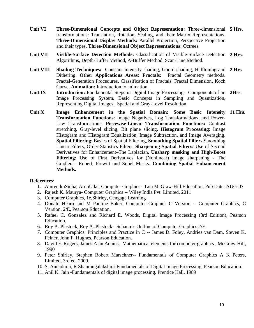- Unit VI Three-Dimensional Concepts and Object Representation: Three-dimensional 5 Hrs. transformations: Translation, Rotation, Scaling, and their Matrix Representations. **Three-Dimensional Display Methods:** Parallel Projection, Perspective Projection and their types. **Three-Dimensional Object Representations:** Octrees.
- **Unit VII Visible-Surface Detection Methods:** Classification of Visible-Surface Detection **2 Hrs.**  Algorithms, Depth-Buffer Method, A-Buffer Method, Scan-Line Method.
- **Unit VIII Shading Techniques:** Constant intensity shading, Gourd shading, Halftoning and **2 Hrs.**  Dithering. **Other Applications Areas: Fractals:** Fractal Geometry methods. Fractal-Generation Procedures, Classification of Fractals, Fractal Dimension, Koch Curve. **Animation:** Introduction to animation.
- Unit IX **Introduction:** Fundamental Steps in Digital Image Processing: Components of an 2Hrs. Image Processing System, Basic Concepts in Sampling and Quantization, Representing Digital Images, Spatial and Gray-Level Resolution.
- Unit X **Image Enhancement in the Spatial Domain: Some Basic Intensity 11 Hrs. Transformation Functions**: Image Negatives, Log Transformations, and Power-Law Transformations. **Piecewise-Linear Transformation Functions:** Contrast stretching, Gray-level slicing, Bit plane slicing**. Histogram Processing**: Image Histogram and Histogram Equalization, Image Subtraction, and Image Averaging. **Spatial Filtering**: Basics of Spatial Filtering, **Smoothing Spatial Filters** Smoothing Linear Filters, Order-Statistics Filters. **Sharpening Spatial Filters:** Use of Second Derivatives for Enhancement–The Laplacian, **Unsharp masking and High-Boost Filtering**: Use of First Derivatives for (Nonlinear) image sharpening - The Gradient– Robert, Prewitt and Sobel Masks. **Combining Spatial Enhancement Methods.**

- 1. AmrendraSinha, ArunUdai, Computer Graphics –Tata McGraw-Hill Education, Pub Date: AUG-07
- 2. Rajesh K. Maurya- Computer Graphics -- Wiley India Pvt. Limited, 2011
- 3. Computer Graphics, 1e,Shirley, Cengage Learning
- 4. Donald Hearn and M Pauline Baker, Computer Graphics C Version -- Computer Graphics, C Version, 2/E, Pearson Education.
- 5. Rafael C. Gonzalez and Richard E. Woods, Digital Image Processing (3rd Edition), Pearson Education.
- 6. Roy A. Plastock, Roy A. Plastock- Schaum's Outline of Computer Graphics 2/E
- 7. Computer Graphics: Principles and Practice in C -- James D. Foley, Andries van Dam, Steven K. Feiner, John F. Hughes, Pearson Education.
- 8. David F. Rogers, James Alan Adams, Mathematical elements for computer graphics , McGraw-Hill, 1990
- 9. Peter Shirley, Stephen Robert Marschner-- Fundamentals of Computer Graphics A K Peters, Limited, 3rd ed. 2009.
- 10. S. Annadurai, R Shanmugalakshmi-Fundamentals of Digital Image Processing, Pearson Education.
- 11. Anil K. Jain -Fundamentals of digital image processing. Prentice Hall, 1989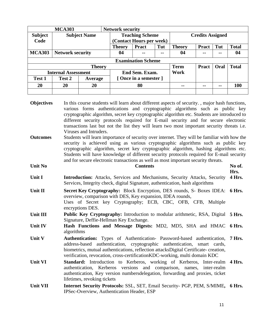| <b>MCA303</b>  |                            |                     |  | <b>Network security</b> |                           |                         |               |              |       |              |
|----------------|----------------------------|---------------------|--|-------------------------|---------------------------|-------------------------|---------------|--------------|-------|--------------|
| <b>Subject</b> |                            | <b>Subject Name</b> |  |                         | <b>Teaching Scheme</b>    | <b>Credits Assigned</b> |               |              |       |              |
| Code           |                            |                     |  |                         | (Contact Hours per week)  |                         |               |              |       |              |
|                |                            |                     |  | <b>Theory</b>           | <b>Pract</b>              | Tut                     | <b>Theory</b> | <b>Pract</b> | Tut   | <b>Total</b> |
| <b>MCA303</b>  | <b>Network security</b>    |                     |  | 04                      | --                        | 04                      | $-$           | --           | 04    |              |
|                |                            |                     |  |                         | <b>Examination Scheme</b> |                         |               |              |       |              |
|                |                            | <b>Theory</b>       |  |                         |                           |                         | <b>Term</b>   | <b>Pract</b> | Oral  | <b>Total</b> |
|                | <b>Internal Assessment</b> |                     |  | End Sem. Exam.          |                           |                         | Work          |              |       |              |
| <b>Test 1</b>  | Test 2                     | Average             |  | [Once in a semester ]   |                           |                         |               |              |       |              |
| 20             | 20                         | 20                  |  | 80                      |                           |                         | $\sim$ $\sim$ | $- -$        | $- -$ | 100          |
|                |                            |                     |  |                         |                           |                         |               |              |       |              |

| <b>Objectives</b> | In this course students will learn about different aspects of security., major hash functions,<br>various forms authentications and cryptographic algorithms such as public key<br>cryptographic algorithm, secret key cryptographic algorithm etc. Students are introduced to<br>different security protocols required for E-mail security and for secure electronic<br>transactions last but not the list they will learn two most important security threats i.e.<br>Viruses and Intruders. |                |
|-------------------|------------------------------------------------------------------------------------------------------------------------------------------------------------------------------------------------------------------------------------------------------------------------------------------------------------------------------------------------------------------------------------------------------------------------------------------------------------------------------------------------|----------------|
| <b>Outcomes</b>   | Students will learn importance of security over internet. They will be familiar with how the<br>security is achieved using as various cryptographic algorithms such as public key<br>cryptographic algorithm, secret key cryptographic algorithm, hashing algorithms etc.<br>Students will have knowledge of different security protocols required for E-mail security<br>and for secure electronic transactions as well as most important security threats.                                   |                |
| <b>Unit No</b>    | <b>Contents</b>                                                                                                                                                                                                                                                                                                                                                                                                                                                                                | No of.         |
| Unit I            | Introduction: Attacks, Services and Mechanisms, Security Attacks, Security<br>Services, Integrity check, digital Signature, authentication, hash algorithms                                                                                                                                                                                                                                                                                                                                    | Hrs.<br>4 Hrs. |
| Unit II           | Secret Key Cryptography: Block Encryption, DES rounds, S- Boxes IDEA:<br>overview, comparison with DES, Key expansion, IDEA rounds,<br>Uses of Secret key Cryptography; ECB, CBC, OFB, CFB, Multiple<br>encryptions DES.                                                                                                                                                                                                                                                                       | 6 Hrs.         |
| Unit III          | Public Key Cryptography: Introduction to modular arithmetic, RSA, Digital<br>Signature, Deffie-Hellman Key Exchange.                                                                                                                                                                                                                                                                                                                                                                           | <b>5 Hrs.</b>  |
| Unit IV           | Hash Functions and Message Digests: MD2, MD5, SHA and HMAC<br>algorithms                                                                                                                                                                                                                                                                                                                                                                                                                       | 6 Hrs.         |
| Unit V            | Authentication: Types of Authentication- Password-based authentication,<br>address-based authentication, cryptographic authentication,<br>smart cards.<br>biometrics, mutual authentications, reflection attacksDigital Certificate- creation,<br>verification, revocation, cross-certification KDC-working, multi domain KDC                                                                                                                                                                  | 7 Hrs.         |
| <b>Unit VI</b>    | Standard: Introduction to Kerberos, working of Kerberos, Inter-realm 4 Hrs.<br>authentication, Kerberos versions and comparison, names,<br>inter-realm<br>authentication, Key version numbers delegation, forwarding and proxies, ticket<br>lifetimes, revoking tickets                                                                                                                                                                                                                        |                |
| <b>Unit VII</b>   | Internet Security Protocols: SSL, SET, Email Security- PGP, PEM, S/MIME, 6 Hrs.<br>IPSec-Overview, Authentication Header, ESP                                                                                                                                                                                                                                                                                                                                                                  |                |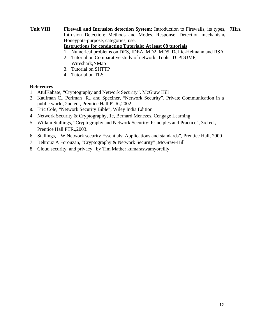#### **Unit VIII Firewall and Intrusion detection System:** Introduction to Firewalls, its types**, 7Hrs***.* Intrusion Detection: Methods and Modes, Response, Detection mechanism**,**  Honeypots-purpose, categories, use.

#### **Instructions for conducting Tutorials: At least 08 tutorials**

- 1. Numerical problems on DES, IDEA, MD2, MD5, Deffie-Helmann and RSA
- 2. Tutorial on Comparative study of network Tools: TCPDUMP, Wireshark,NMap
- 3. Tutorial on SHTTP
- 4. Tutorial on TLS

- 1. AtulKahate, "Cryptography and Network Security", McGraw Hill
- 2. Kaufman C., Perlman R., and Speciner, "Network Security", Private Communication in a public world, 2nd ed., Prentice Hall PTR.,2002
- 3. Eric Cole, "Network Security Bible", Wiley India Edition
- 4. Network Security & Cryptography, 1e, Bernard Menezes, Cengage Learning
- 5. Willam Stallings, "Cryptography and Network Security: Principles and Practice", 3rd ed., Prentice Hall PTR.,2003.
- 6. Stallings, "W.Network security Essentials: Applications and standards", Prentice Hall, 2000
- 7. Behrouz A Forouzan, "Cryptography & Network Security" ,McGraw-Hill
- 8. Cloud security and privacy by Tim Mather kumaraswamyoreilly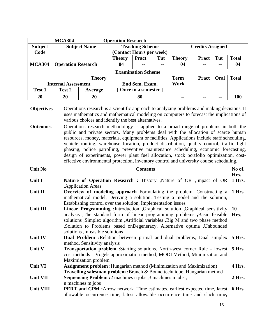|                | <b>MCA304</b>              |                     | <b>Operation Research</b> |                           |               |               |                         |      |              |
|----------------|----------------------------|---------------------|---------------------------|---------------------------|---------------|---------------|-------------------------|------|--------------|
| <b>Subject</b> |                            | <b>Subject Name</b> | <b>Teaching Scheme</b>    |                           |               |               | <b>Credits Assigned</b> |      |              |
| Code           |                            |                     |                           | (Contact Hours per week)  |               |               |                         |      |              |
|                |                            |                     | <b>Theory</b>             | <b>Pract</b>              | Tut           | <b>Theory</b> | <b>Pract</b>            | Tut  | <b>Total</b> |
| <b>MCA304</b>  | <b>Operation Research</b>  |                     | 04                        | $- -$                     | $\sim$ $\sim$ | 04            | $\blacksquare$          | $-$  | 04           |
|                |                            |                     |                           | <b>Examination Scheme</b> |               |               |                         |      |              |
|                |                            | <b>Theory</b>       |                           |                           |               | <b>Term</b>   | <b>Pract</b>            | Oral | <b>Total</b> |
|                | <b>Internal Assessment</b> |                     |                           | End Sem. Exam.            |               | Work          |                         |      |              |
| <b>Test 1</b>  | Test 2                     | Average             |                           | [Once in a semester]      |               |               |                         |      |              |
| 20             | 20                         | 20                  |                           | 80                        |               | --            |                         | --   | <b>100</b>   |

**Objectives** Operations research is a scientific approach to analyzing problems and making decisions. It uses mathematics and mathematical modeling on computers to forecast the implications of various choices and identify the best alternatives.

**Outcomes** Operations research methodology is applied to a broad range of problems in both the public and private sectors. Many problems deal with the allocation of scarce human resources, money, materials, equipment or facilities. Applications include staff scheduling, vehicle routing, warehouse location, product distribution, quality control, traffic light phasing, police patrolling, preventive maintenance scheduling, economic forecasting, design of experiments, power plant fuel allocation, stock portfolio optimization, costeffective environmental protection, inventory control and university course scheduling.

| <b>Unit No</b>   | <b>Contents</b>                                                                                                                                                                                                                                                                                                                                                     | No of.<br>Hrs. |
|------------------|---------------------------------------------------------------------------------------------------------------------------------------------------------------------------------------------------------------------------------------------------------------------------------------------------------------------------------------------------------------------|----------------|
| Unit I           | <b>Nature of Operation Research : History , Nature of OR , Impact of OR</b><br>,Application Areas                                                                                                                                                                                                                                                                   | 1 Hrs.         |
| Unit II          | <b>Overview of modeling approach</b> Formulating the problem, Constructing a 1 Hrs.<br>mathematical model, Deriving a solution, Testing a model and the solution,<br>Establishing control over the solution, Implementation issues                                                                                                                                  |                |
| Unit III         | Linear Programming : Introduction , Graphical solution , Graphical sensitivity<br>analysis. The standard form of linear programming problems , Basic feasible<br>solutions , Simplex algorithm , Artificial variables , Big M and two phase method<br>, Solution to Problems based on Degeneracy, Alternative optima, Unbounded<br>solutions , Infeasible solutions | 10<br>Hrs.     |
| Unit IV          | <b>Dual Problem : Relation between primal and dual problems, Dual simplex 5 Hrs.</b><br>method, Sensitivity analysis                                                                                                                                                                                                                                                |                |
| Unit V           | <b>Transportation problem :</b> Starting solutions. North-west corner Rule – lowest 5 Hrs.<br>cost methods – Vogels approximation method, MODI Method, Minimization and<br><b>Maximization problem</b>                                                                                                                                                              |                |
| Unit VI          | <b>Assignment problem :</b> Hungarian method (Minimization and Maximization)<br><b>Travelling salesman problem :</b> Branch & Bound technique, Hungarian method                                                                                                                                                                                                     | 4 Hrs.         |
| <b>Unit VII</b>  | <b>Sequencing Problem :</b> 2 machines n jobs , 3 machines n jobs,<br>n machines m jobs                                                                                                                                                                                                                                                                             | 2 Hrs.         |
| <b>Unit VIII</b> | <b>PERT and CPM</b> : Arrow network, Time estimates, earliest expected time, latest<br>allowable occurrence time, latest allowable occurrence time and slack time,                                                                                                                                                                                                  | 6 Hrs.         |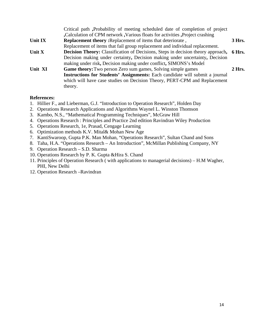|         | Critical path, Probability of meeting scheduled date of completion of project                  |          |
|---------|------------------------------------------------------------------------------------------------|----------|
|         | Calculation of CPM network , Various floats for activities , Project crashing                  |          |
| Unit IX | <b>Replacement theory:</b> Replacement of items that deteriorate,                              | 3 Hrs.   |
|         | Replacement of items that fail group replacement and individual replacement.                   |          |
| Unit X  | <b>Decision Theory:</b> Classification of Decisions, Steps in decision theory approach, 6 Hrs. |          |
|         | Decision making under certainty, Decision making under uncertainty, Decision                   |          |
|         | making under risk, Decision making under conflict, SIMONS's Model                              |          |
| Unit XI | <b>Game theory:</b> Two person Zero sum games, Solving simple games                            | $2$ Hrs. |
|         | Instructions for Students' Assignments: Each candidate will submit a journal                   |          |
|         | which will have case studies on Decision Theory, PERT-CPM and Replacement                      |          |
|         | theory.                                                                                        |          |

- 1. Hillier F., and Lieberman, G.J. "Introduction to Operation Research", Holden Day
- 2. Operations Research Applications and Algorithms Waynel L. Winston Thomson
- 3. Kambo, N.S., "Mathematical Programming Techniques", McGraw Hill
- 4. Operations Research : Principles and Practice 2nd edition Ravindran Wiley Production
- 5. Operations Research, 1e, Prasad, Cengage Learning
- 6. Optimization methods K.V. Mital& Mohan New Age
- 7. KantiSwaroop, Gupta P.K. Man Mohan, "Operations Research", Sultan Chand and Sons
- 8. Taha, H.A. "Operations Research An Introduction", McMillan Publishing Company, NY
- 9. Operation Research S.D. Sharma
- 10. Operations Research by P. K. Gupta &Hira S. Chand
- 11. Principles of Operation Research ( with applications to managerial decisions) H.M Wagher, PHI, New Delhi
- 12. Operation Research –Ravindran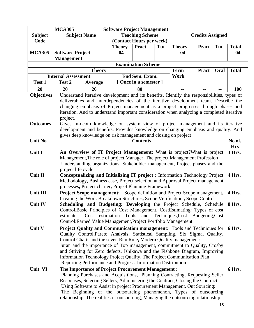|                 | <b>MCA305</b>              |                                                                                                                                                    | <b>Software Project Management</b> |                           |     |                     |                         |      |                      |
|-----------------|----------------------------|----------------------------------------------------------------------------------------------------------------------------------------------------|------------------------------------|---------------------------|-----|---------------------|-------------------------|------|----------------------|
| <b>Subject</b>  |                            | <b>Subject Name</b>                                                                                                                                |                                    | <b>Teaching Scheme</b>    |     |                     | <b>Credits Assigned</b> |      |                      |
| Code            |                            |                                                                                                                                                    |                                    | (Contact Hours per week)  |     |                     |                         |      |                      |
|                 |                            |                                                                                                                                                    | <b>Theory</b>                      | Pract                     | Tut | <b>Theory</b>       | <b>Pract</b>            | Tut  | <b>Total</b>         |
| <b>MCA305</b>   | <b>Software Project</b>    |                                                                                                                                                    | 04                                 |                           |     | 04                  |                         |      | 04                   |
|                 | <b>Management</b>          |                                                                                                                                                    |                                    |                           |     |                     |                         |      |                      |
|                 |                            |                                                                                                                                                    |                                    | <b>Examination Scheme</b> |     |                     |                         |      |                      |
|                 | <b>Internal Assessment</b> | <b>Theory</b>                                                                                                                                      |                                    | End Sem. Exam.            |     | <b>Term</b><br>Work | <b>Pract</b>            | Oral | <b>Total</b>         |
| Test 1          | Test 2                     | Average                                                                                                                                            |                                    | [Once in a semester]      |     |                     |                         |      |                      |
| 20              | 20                         | 20                                                                                                                                                 |                                    | 80                        |     |                     |                         |      |                      |
|                 |                            | Understand iterative development and its benefits. Identify the responsibilities, types of                                                         |                                    |                           |     |                     |                         | --   | 100                  |
| Objectives      |                            | deliverables and interdependencies of the iterative development team. Describe the                                                                 |                                    |                           |     |                     |                         |      |                      |
|                 |                            | changing emphasis of Project management as a project progresses through phases and                                                                 |                                    |                           |     |                     |                         |      |                      |
|                 |                            | iteration. And to understand important consideration when analyzing a completed iterative                                                          |                                    |                           |     |                     |                         |      |                      |
|                 | project.                   |                                                                                                                                                    |                                    |                           |     |                     |                         |      |                      |
| <b>Outcomes</b> |                            | Gives in-depth knowledge on system view of project management and its iterative                                                                    |                                    |                           |     |                     |                         |      |                      |
|                 |                            | development and benefits. Provides knowledge on changing emphasis and quality. And                                                                 |                                    |                           |     |                     |                         |      |                      |
|                 |                            | gives deep knowledge on risk management and closing on project                                                                                     |                                    |                           |     |                     |                         |      |                      |
| <b>Unit No</b>  |                            |                                                                                                                                                    |                                    | <b>Contents</b>           |     |                     |                         |      | No of.<br><b>Hrs</b> |
| Unit I          |                            | An Overview of IT Project Management: What is project? What is project                                                                             |                                    |                           |     |                     |                         |      | 3 Hrs.               |
|                 |                            | Management, The role of project Manager, The project Management Profession                                                                         |                                    |                           |     |                     |                         |      |                      |
|                 |                            | Understanding organizations, Stakeholder management, Project phases and the                                                                        |                                    |                           |     |                     |                         |      |                      |
|                 | project life cycle         |                                                                                                                                                    |                                    |                           |     |                     |                         |      |                      |
| Unit II         |                            | Conceptualizing and Initializing IT project : Information Technology Project                                                                       |                                    |                           |     |                     |                         |      | 4 Hrs.               |
|                 |                            | Methodology, Business case, Project selection and Approval, Project management                                                                     |                                    |                           |     |                     |                         |      |                      |
|                 |                            | processes, Project charter, Project Planning Framework                                                                                             |                                    |                           |     |                     |                         |      |                      |
| <b>Unit III</b> |                            | <b>Project Scope management:</b> Scope definition and Project Scope management,                                                                    |                                    |                           |     |                     |                         |      | 4 Hrs.               |
| <b>Unit IV</b>  |                            | Creating the Work Breakdown Structures, Scope Verification, Scope Control                                                                          |                                    |                           |     |                     |                         |      |                      |
|                 |                            | Scheduling and Budgeting: Developing the Project Schedule, Schedule<br>Control, Basic Principles of Cost Management, CostEstimating: Types of cost |                                    |                           |     |                     |                         |      | 8 Hrs.               |
|                 |                            | estimates, Cost estimation Tools and Techniques, Cost Budgeting, Cost                                                                              |                                    |                           |     |                     |                         |      |                      |
|                 |                            | Control: Earned Value Management, Project Portfolio Management.                                                                                    |                                    |                           |     |                     |                         |      |                      |
| Unit V          |                            | <b>Project Quality and Communication management:</b> Tools and Techniques for 6 Hrs.                                                               |                                    |                           |     |                     |                         |      |                      |
|                 |                            | Quality Control, Pareto Analysis, Statistical Sampling, Six Sigma, Quality,                                                                        |                                    |                           |     |                     |                         |      |                      |
|                 |                            | Control Charts and the seven Run Rule, Modern Quality management:                                                                                  |                                    |                           |     |                     |                         |      |                      |
|                 |                            | Juran and the importance of Top management, commitment to Quality, Crosby                                                                          |                                    |                           |     |                     |                         |      |                      |
|                 |                            | and Striving for Zero defects, Ishikawa and the Fishbone Diagram, Improving                                                                        |                                    |                           |     |                     |                         |      |                      |
|                 |                            | Information Technology Project Quality, The Project Communication Plan                                                                             |                                    |                           |     |                     |                         |      |                      |
|                 |                            | Reporting Performance and Progress, Information Distribution                                                                                       |                                    |                           |     |                     |                         |      |                      |
| Unit VI         |                            | <b>The Importance of Project Procurement Management:</b><br>Planning Purchases and Acquisitions, Planning Contracting, Requesting Seller           |                                    |                           |     |                     |                         |      | 6 Hrs.               |
|                 |                            | Responses, Selecting Sellers, Administering the Contract, Closing the Contract                                                                     |                                    |                           |     |                     |                         |      |                      |
|                 |                            | Using Software to Assist in project Procurement Management, Out Sourcing:                                                                          |                                    |                           |     |                     |                         |      |                      |
|                 |                            | The Beginning of the outsourcing phenomenon, Types of outsourcing                                                                                  |                                    |                           |     |                     |                         |      |                      |
|                 |                            | relationship, The realities of outsourcing, Managing the outsourcing relationship                                                                  |                                    |                           |     |                     |                         |      |                      |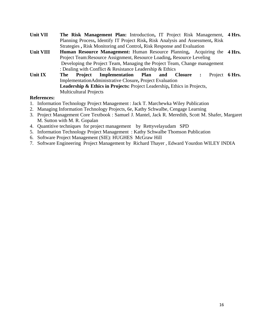| <b>Unit VII</b>  |     |                               | The Risk Management Plan: Introduction, IT Project Risk Management, 4 Hrs.          |     |         |                      |         |        |
|------------------|-----|-------------------------------|-------------------------------------------------------------------------------------|-----|---------|----------------------|---------|--------|
|                  |     |                               | Planning Process, Identify IT Project Risk, Risk Analysis and Assessment, Risk      |     |         |                      |         |        |
|                  |     |                               | Strategies, Risk Monitoring and Control, Risk Response and Evaluation               |     |         |                      |         |        |
| <b>Unit VIII</b> |     |                               | <b>Human Resource Management:</b> Human Resource Planning, Acquiring the 4 Hrs.     |     |         |                      |         |        |
|                  |     |                               | Project Team: Resource Assignment, Resource Loading, Resource Leveling              |     |         |                      |         |        |
|                  |     |                               | Developing the Project Team, Managing the Project Team, Change management           |     |         |                      |         |        |
|                  |     |                               | : Dealing with Conflict & Resistance Leadership $\&$ Ethics                         |     |         |                      |         |        |
| Unit IX          | The | Project                       | <b>Implementation</b> Plan                                                          | and | Closure | $\ddot{\phantom{a}}$ | Project | 6 Hrs. |
|                  |     |                               | ImplementationAdministrative Closure, Project Evaluation                            |     |         |                      |         |        |
|                  |     |                               | <b>Leadership &amp; Ethics in Projects: Project Leadership, Ethics in Projects,</b> |     |         |                      |         |        |
|                  |     | <b>Multicultural Projects</b> |                                                                                     |     |         |                      |         |        |

- 1. Information Technology Project Management : Jack T. Marchewka Wiley Publication
- 2. Managing Information Technology Projects, 6e, Kathy Schwalbe, Cengage Learning
- 3. Project Management Core Textbook : Samuel J. Mantel, Jack R. Meredith, Scott M. Shafer, Margaret M. Sutton with M. R. Gopalan
- 4. Quantitive techniques for project management by Rettyvelayudam SPD
- 5. Information Technology Project Management : Kathy Schwalbe Thomson Publication
- 6. Software Project Management (SIE): HUGHES McGraw Hill
- 7. Software Engineering Project Management by Richard Thayer , Edward Yourdon WILEY INDIA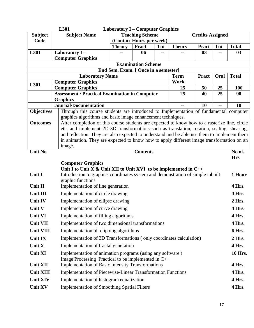|                   | L301                                                                                                                  | <b>Laboratory I – Computer Graphics</b> |                           |     |               |                         |      |                      |
|-------------------|-----------------------------------------------------------------------------------------------------------------------|-----------------------------------------|---------------------------|-----|---------------|-------------------------|------|----------------------|
| <b>Subject</b>    | <b>Subject Name</b>                                                                                                   |                                         | <b>Teaching Scheme</b>    |     |               | <b>Credits Assigned</b> |      |                      |
| Code              |                                                                                                                       | (Contact Hours per week)                |                           |     |               |                         |      |                      |
|                   |                                                                                                                       | <b>Theory</b>                           | <b>Pract</b>              | Tut | <b>Theory</b> | <b>Pract</b>            | Tut  | <b>Total</b>         |
| L301              | Laboratory I-                                                                                                         |                                         | 06                        | --  |               | 0 <sub>3</sub>          | --   | 03                   |
|                   | <b>Computer Graphics</b>                                                                                              |                                         | <b>Examination Scheme</b> |     |               |                         |      |                      |
|                   |                                                                                                                       | End Sem. Exam. [ Once in a semester]    |                           |     |               |                         |      |                      |
|                   | <b>Laboratory Name</b>                                                                                                |                                         |                           |     | <b>Term</b>   | <b>Pract</b>            | Oral | <b>Total</b>         |
| L301              | <b>Computer Graphics</b>                                                                                              |                                         |                           |     | Work          |                         |      |                      |
|                   | <b>Computer Graphics</b>                                                                                              |                                         |                           |     | 25            | 50                      | 25   | 100                  |
|                   | <b>Assessment / Practical Examination in Computer</b>                                                                 |                                         |                           |     | 25            | 40                      | 25   | 90                   |
|                   | <b>Graphics</b>                                                                                                       |                                         |                           |     |               |                         |      |                      |
|                   | <b>Journal/Documentation</b><br>Through this course students are introduced to Implementation of fundamental computer |                                         |                           |     | --            | 10                      | --   | 10                   |
| <b>Objectives</b> | graphics algorithms and basic image enhancement techniques.                                                           |                                         |                           |     |               |                         |      |                      |
| <b>Outcomes</b>   | After completion of this course students are expected to know how to a rasterize line, circle                         |                                         |                           |     |               |                         |      |                      |
|                   | etc. and implement 2D-3D transformations such as translation, rotation, scaling, shearing,                            |                                         |                           |     |               |                         |      |                      |
|                   | and reflection. They are also expected to understand and be able use them to implement them                           |                                         |                           |     |               |                         |      |                      |
|                   | in animation. They are expected to know how to apply different image transformation on an                             |                                         |                           |     |               |                         |      |                      |
|                   | image.                                                                                                                |                                         |                           |     |               |                         |      |                      |
| <b>Unit No</b>    |                                                                                                                       |                                         | <b>Contents</b>           |     |               |                         |      | No of.<br><b>Hrs</b> |
|                   | <b>Computer Graphics</b>                                                                                              |                                         |                           |     |               |                         |      |                      |
|                   | Unit I to Unit X & Unit XII to Unit XVI to be implemented in $C++$                                                    |                                         |                           |     |               |                         |      |                      |
| Unit I            | Introduction to graphics coordinates system and demonstration of simple inbuilt                                       |                                         |                           |     |               |                         |      | 1 Hour               |
|                   | graphic functions                                                                                                     |                                         |                           |     |               |                         |      |                      |
| Unit II           | Implementation of line generation                                                                                     |                                         |                           |     |               |                         |      | 4 Hrs.               |
| Unit III          | Implementation of circle drawing                                                                                      |                                         |                           |     |               |                         |      | 4 Hrs.               |
| <b>Unit IV</b>    | Implementation of ellipse drawing                                                                                     |                                         |                           |     |               |                         |      | 2 Hrs.               |
| Unit V            | Implementation of curve drawing                                                                                       |                                         |                           |     |               |                         |      | 4 Hrs.               |
| <b>Unit VI</b>    | Implementation of filling algorithms                                                                                  |                                         |                           |     |               |                         |      | 4 Hrs.               |
| <b>Unit VII</b>   | Implementation of two dimensional transformations                                                                     |                                         |                           |     |               |                         |      | 4 Hrs.               |
| <b>Unit VIII</b>  | Implementation of clipping algorithms                                                                                 |                                         |                           |     |               |                         |      | 6 Hrs.               |
| <b>Unit IX</b>    | Implementation of 3D Transformations (only coordinates calculation)                                                   |                                         |                           |     |               |                         |      | 2 Hrs.               |
| Unit X            | Implementation of fractal generation                                                                                  |                                         |                           |     |               |                         |      | 4 Hrs.               |
| <b>Unit XI</b>    | Implementation of animation programs (using any software)                                                             |                                         |                           |     |               |                         |      | 10 Hrs.              |
|                   | Image Processing Practical to be implemented in C++                                                                   |                                         |                           |     |               |                         |      |                      |
| <b>Unit XII</b>   | <b>Implementation of Basic Intensity Transformations</b>                                                              |                                         |                           |     |               |                         |      | 4 Hrs.               |
| <b>Unit XIII</b>  | <b>Implementation of Piecewise-Linear Transformation Functions</b>                                                    |                                         |                           |     |               |                         |      | 4 Hrs.               |
| <b>Unit XIV</b>   | Implementation of histogram equalization                                                                              |                                         |                           |     |               |                         |      | 4 Hrs.               |
| <b>Unit XV</b>    | <b>Implementation of Smoothing Spatial Filters</b>                                                                    |                                         |                           |     |               |                         |      | 4 Hrs.               |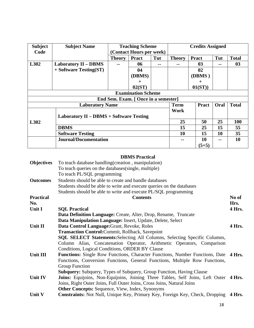| <b>Subject</b> | <b>Subject Name</b>                     |                          | <b>Teaching Scheme</b>               |     | <b>Credits Assigned</b> |              |      |                 |
|----------------|-----------------------------------------|--------------------------|--------------------------------------|-----|-------------------------|--------------|------|-----------------|
| Code           |                                         | (Contact Hours per week) |                                      |     |                         |              |      |                 |
|                |                                         | <b>Theory</b>            | <b>Pract</b>                         | Tut | <b>Theory</b>           | <b>Pract</b> | Tut  | <b>Total</b>    |
| L302           | <b>Laboratory II - DBMS</b>             |                          | 06                                   | --  | --                      | 03           | --   | 03              |
|                | $+$ Software Testing(ST)                |                          | 04                                   |     |                         | 02           |      |                 |
|                |                                         |                          | (DBMS)                               |     |                         | (DBMS)       |      |                 |
|                |                                         |                          | $\pm$                                |     |                         | $\pm$        |      |                 |
|                |                                         |                          | 02(ST)                               |     |                         | 01(ST))      |      |                 |
|                |                                         |                          | <b>Examination Scheme</b>            |     |                         |              |      |                 |
|                |                                         |                          | End Sem. Exam. [ Once in a semester] |     |                         |              |      |                 |
|                | <b>Laboratory Name</b>                  |                          |                                      |     | <b>Term</b>             | <b>Pract</b> | Oral | <b>Total</b>    |
|                |                                         |                          |                                      |     | Work                    |              |      |                 |
|                | Laboratory II – DBMS + Software Testing |                          |                                      |     |                         |              |      |                 |
| L302           |                                         |                          |                                      |     | 25                      | 50           | 25   | 100             |
|                | <b>DBMS</b>                             |                          |                                      |     | 15                      | 25           | 15   | 55              |
|                | <b>Software Testing</b>                 |                          |                                      |     | 10                      | 15           | 10   | 35 <sup>5</sup> |
|                | <b>Journal/Documentation</b>            |                          |                                      |     | --                      | 10           | --   | 10              |
|                |                                         |                          |                                      |     |                         | $(5+5)$      |      |                 |

#### **DBMS Practical**

| Objectives       | To teach database handling (creation, manipulation)                                        |        |
|------------------|--------------------------------------------------------------------------------------------|--------|
|                  | To teach queries on the databases (single, multiple)                                       |        |
|                  | To teach PL/SQL programming                                                                |        |
| <b>Outcomes</b>  | Students should be able to create and handle databases                                     |        |
|                  | Students should be able to write and execute queries on the databases                      |        |
|                  | Students should be able to write and execute PL/SQL programming                            |        |
| <b>Practical</b> | <b>Contents</b>                                                                            | No of  |
| No.              |                                                                                            | Hrs.   |
| Unit I           | <b>SOL Practical</b>                                                                       | 4 Hrs. |
|                  | Data Definition Language: Create, Alter, Drop, Rename, Truncate                            |        |
|                  | Data Manipulation Language: Insert, Update, Delete, Select                                 |        |
| Unit II          | Data Control Language: Grant, Revoke, Roles                                                | 4 Hrs. |
|                  | <b>Transaction Control: Commit, Rollback, Savepoint</b>                                    |        |
|                  | SQL SELECT Statements: Selecting All Columns, Selecting Specific Columns,                  |        |
|                  | Column Alias, Concatenation Operator, Arithmetic Operators, Comparison                     |        |
|                  | Conditions, Logical Conditions, ORDER BY Clause                                            |        |
| Unit III         | <b>Functions:</b> Single Row Functions, Character Functions, Number Functions, Date 4 Hrs. |        |
|                  | Functions, Conversion Functions, General Functions, Multiple Row Functions,                |        |
|                  | Group Function                                                                             |        |
|                  | <b>Subquery:</b> Subquery, Types of Subquery, Group Function, Having Clause                |        |
| Unit IV          | Joins: Equijoins, Non-Equijoins, Joining Three Tables, Self Joins, Left Outer 4 Hrs.       |        |
|                  | Joins, Right Outer Joins, Full Outer Joins, Cross Joins, Natural Joins                     |        |
|                  | <b>Other Concepts:</b> Sequence, View, Index, Synonyms                                     |        |
| Unit V           | Constraints: Not Null, Unique Key, Primary Key, Foreign Key, Check, Dropping               | 4 Hrs. |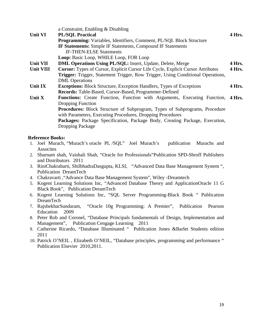|           | a Constraint, Enabling & Disabling                                                     |        |
|-----------|----------------------------------------------------------------------------------------|--------|
| Unit VI   | <b>PL/SQL Practical</b>                                                                | 4 Hrs. |
|           | <b>Programming:</b> Variables, Identifiers, Comment, PL/SQL Block Structure            |        |
|           | <b>IF Statements:</b> Simple IF Statements, Compound IF Statements                     |        |
|           | <b>IF-THEN-ELSE Statements</b>                                                         |        |
|           | Loop: Basic Loop, WHILE Loop, FOR Loop                                                 |        |
| Unit VII  | <b>DML Operations Using PL/SQL:</b> Insert, Update, Delete, Merge                      | 4 Hrs. |
| Unit VIII | <b>Cursor:</b> Types of Cursor, Explicit Cursor Life Cycle, Explicit Cursor Attributes | 4 Hrs. |
|           | Trigger: Trigger, Statement Trigger, Row Trigger, Using Conditional Operations,        |        |
|           | <b>DML</b> Operations                                                                  |        |
| Unit IX   | <b>Exceptions:</b> Block Structure, Exception Handlers, Types of Exceptions            | 4 Hrs. |
|           | Records: Table-Based, Cursor-Based, Programmer-Defined                                 |        |
| Unit X    | Functions: Create Function, Function with Arguments, Executing Function,               | 4 Hrs. |
|           | <b>Dropping Function</b>                                                               |        |
|           | <b>Procedures:</b> Block Structure of Subprogram, Types of Subprograms, Procedure      |        |
|           | with Parameters, Executing Procedures, Dropping Procedures                             |        |
|           | Packages: Package Specification, Package Body, Creating Package, Execution,            |        |
|           | <b>Dropping Package</b>                                                                |        |

#### **Reference Books:**

- 1. Joel Murach, "Murach's oracle PL /SQL" Joel Murach's publication Murachs and **Assocites**
- 2. Sharnam shah, Vaishali Shah, "Oracle for Professionals"Publication SPD-Shroff Publishers and Distributors 2011
- 3. RiniChakrabarti, ShilbhadraDasgupta, KLSI, "Advanced Data Base Management System ", Publication DreamTech
- 4. Chakravarti ,"Advance Data Base Management System", Wiley -Dreamtech
- 5. Kogent Learning Solutions Inc, "Advanced Database Theory and ApplicationOracle 11 G Black Book", Publication DreamTech
- 6. Kogent Learning Solutions Inc, "SQL Server Programming-Black Book " Publication DreamTech
- 7. RajshekharSundaram, "Oracle 10g Programming: A Premier", Publication Pearson Education 2009
- 8. Peter Rob and Coronel, "Database Principals fundamentals of Design, Implementation and Management", Publication Cengage Learning 2011
- 9. Catherine Ricardo, "Database Illuminated " Publication Jones &Barlet Students edition 2011
- 10. Patrick O'NEIL , Elizabeth O'NEIL, "Database principles, programming and performance " Publication Elsevier 2010,2011.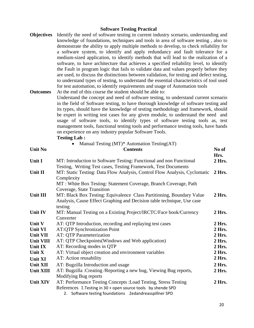#### **Software Testing Practical**

**Objectives** Identify the need of software testing in current industry scenario, understanding and knowledge of foundations, techniques and tools in area of software testing , also to demonstrate the ability to apply multiple methods to develop, to check reliability for a software system, to identify and apply redundancy and fault tolerance for a medium-sized application, to identify methods that will lead to the realization of a software, to have architecture that achieves a specified reliability level, to identify the Fault in program logic that fails to validate data and values properly before they are used, to discuss the distinctions between validation, for testing and defect testing, to understand types of testing, to understand the essential characteristics of tool used for test automation, to identify requirements and usage of Automation tools

**Outcomes** At the end of this course the student should be able to: Understand the concept and need of software testing, to understand current scenario in the field of Software testing, to have thorough knowledge of software testing and its types, should have the knowledge of testing methodology and framework, should be expert in writing test cases for any given module, to understand the need and usage of software tools, to identify types of software testing tools as, test management tools, functional testing tools and performance testing tools, have hands on experience on any industry popular Software Tools. **Testing Lab :**

• Manual Testing (MT)<sup>\*</sup> Automation Testing (AT)

| <b>Unit No</b>  | <b>Contents</b>                                                                                                                                                                            | No of<br>Hrs. |
|-----------------|--------------------------------------------------------------------------------------------------------------------------------------------------------------------------------------------|---------------|
| <b>Unit I</b>   | MT: Introduction to Software Testing: Functional and non Functional<br>Testing, Writing Test cases, Testing Framework, Test Documents                                                      | 2 Hrs.        |
| Unit II         | MT: Static Testing: Data Flow Analysis, Control Flow Analysis, Cyclomatic<br>Complexity                                                                                                    | $2$ Hrs.      |
|                 | MT: White Box Testing: Statement Coverage, Branch Coverage, Path<br>Coverage, State Transition                                                                                             |               |
| <b>Unit III</b> | MT: Black Box Testing: Equivalence Class Partitioning, Boundary Value<br>Analysis, Cause Effect Graphing and Decision table technique, Use case<br>testing                                 | 2 Hrs.        |
| Unit IV         | MT: Manual Testing on a Existing Project/IRCTC/Face book/Currency<br>Converter                                                                                                             | 2 Hrs.        |
| Unit V          | AT: QTP Introduction, recording and replaying test cases                                                                                                                                   | 2 Hrs.        |
| Unit VI         | <b>AT:QTP Synchronization Point</b>                                                                                                                                                        | $2$ Hrs.      |
| Unit VII        | AT: QTP Parameterization                                                                                                                                                                   | 2 Hrs.        |
| Unit VIII       | AT: QTP Checkpoints (Windows and Web application)                                                                                                                                          | 2 Hrs.        |
| Unit IX         | AT: Recording modes in QTP                                                                                                                                                                 | 2 Hrs.        |
| Unit X          | AT: Virtual object creation and environment variables                                                                                                                                      | 2 Hrs.        |
| Unit XI         | AT: Action reusability                                                                                                                                                                     | 2 Hrs.        |
| <b>Unit XII</b> | AT: Bugzilla Introduction and usage                                                                                                                                                        | 2 Hrs.        |
| Unit XIII       | AT: Bugzilla: Creating / Reporting a new bug, Viewing Bug reports,<br>Modifying Bug reports                                                                                                | 2 Hrs.        |
| Unit XIV        | AT: Performance Testing Concepts : Load Testing, Stress Testing<br>References 1. Testing in 30 + open source tools by shende SPD<br>2. Software testing foundations 2edandreasspillner SPD | 2 Hrs.        |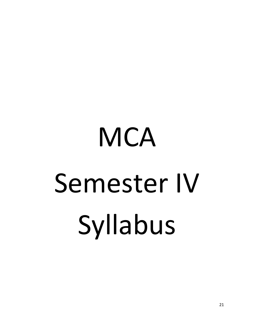# **MCA** Semester IV Syllabus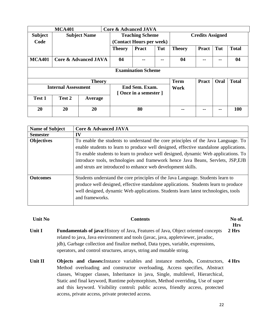|                | <b>MCA401</b>              |                                 |                                                   | <b>Core &amp; Advanced JAVA</b>        |     |               |              |      |              |
|----------------|----------------------------|---------------------------------|---------------------------------------------------|----------------------------------------|-----|---------------|--------------|------|--------------|
| <b>Subject</b> |                            | <b>Subject Name</b>             | <b>Teaching Scheme</b><br><b>Credits Assigned</b> |                                        |     |               |              |      |              |
| Code           |                            |                                 |                                                   | (Contact Hours per week)               |     |               |              |      |              |
|                |                            |                                 | <b>Theory</b>                                     | <b>Pract</b>                           | Tut | <b>Theory</b> | <b>Pract</b> | Tut  | <b>Total</b> |
| <b>MCA401</b>  |                            | <b>Core &amp; Advanced JAVA</b> | 04                                                |                                        |     | 04            |              |      | 04           |
|                |                            |                                 |                                                   | <b>Examination Scheme</b>              |     |               |              |      |              |
|                |                            | <b>Theory</b>                   |                                                   |                                        |     | <b>Term</b>   | <b>Pract</b> | Oral | <b>Total</b> |
|                | <b>Internal Assessment</b> |                                 |                                                   | End Sem. Exam.<br>[Once in a semester] |     | Work          |              |      |              |
| Test 1         | Test 2                     | Average                         |                                                   |                                        |     |               |              |      |              |
| 20             | 20                         | 20                              |                                                   | 80                                     |     |               |              |      | 100          |

| <b>Name of Subject</b> | <b>Core &amp; Advanced JAVA</b>                                                                                                                                                                                                                                                                                                                                                                                      |
|------------------------|----------------------------------------------------------------------------------------------------------------------------------------------------------------------------------------------------------------------------------------------------------------------------------------------------------------------------------------------------------------------------------------------------------------------|
| <b>Semester</b>        | IV                                                                                                                                                                                                                                                                                                                                                                                                                   |
| <b>Objectives</b>      | To enable the students to understand the core principles of the Java Language. To<br>enable students to learn to produce well designed, effective standalone applications.<br>To enable students to learn to produce well designed, dynamic Web applications. To<br>introduce tools, technologies and framework hence Java Beans, Servlets, JSP, EJB<br>and struts are introduced to enhance web development skills. |
| <b>Outcomes</b>        | Students understand the core principles of the Java Language. Students learn to<br>produce well designed, effective standalone applications. Students learn to produce<br>well designed, dynamic Web applications. Students learn latest technologies, tools<br>and frameworks.                                                                                                                                      |

| <b>Unit No</b> | No of.<br><b>Contents</b>                                                                                                                                                                                                                                                                                                                 |       |  |  |  |  |  |
|----------------|-------------------------------------------------------------------------------------------------------------------------------------------------------------------------------------------------------------------------------------------------------------------------------------------------------------------------------------------|-------|--|--|--|--|--|
| Unit I         | <b>Fundamentals of java:</b> History of Java, Features of Java, Object oriented concepts<br>related to java, Java environment and tools (javac, java, appletviewer, javadoc,<br>jdb), Garbage collection and finalize method, Data types, variable, expressions,<br>operators, and control structures, arrays, string and mutable string. | 2 Hrs |  |  |  |  |  |
| Unit II        | <b>Objects and classes:</b> Instance variables and instance methods, Constructors, 4 Hrs<br>Method overloading and constructor overloading, Access specifies, Abstract<br>classes, Wrapper classes, Inheritance in java, Single, multilevel, Hierarchical,                                                                                |       |  |  |  |  |  |

Static and final keyword, Runtime polymorphism, Method overriding, Use of super and this keyword. Visibility control**:** public access, friendly access, protected access, private access, private protected access.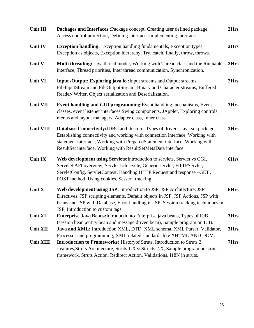| Unit III         | Packages and Interfaces : Package concept, Creating user defined package,<br>Access control protection, Defining interface, Implementing interface.                                                                                                                                                             | 2Hrs |
|------------------|-----------------------------------------------------------------------------------------------------------------------------------------------------------------------------------------------------------------------------------------------------------------------------------------------------------------|------|
| Unit IV          | <b>Exception handling:</b> Exception handling fundamentals, Exception types,<br>Exception as objects, Exception hierarchy, Try, catch, finally, throw, throws.                                                                                                                                                  | 2Hrs |
| Unit V           | Multi threading: Java thread model, Working with Thread class and the Runnable<br>interface, Thread priorities, Inter thread communication, Synchronization.                                                                                                                                                    | 2Hrs |
| Unit VI          | Input /Output: Exploring java.io : Input streams and Output streams,<br>FileInputStream and FileOutputStream, Binary and Character streams, Buffered<br>Reader/Writer, Object serialization and Deserialization.                                                                                                | 2Hrs |
| Unit VII         | Event handling and GUI programming: Event handling mechanisms, Event<br>classes, event listener interfaces Swing components, JApplet, Exploring controls,<br>menus and layout managers, Adapter class, Inner class.                                                                                             | 3Hrs |
| <b>Unit VIII</b> | Database Connectivity: JDBC architecture, Types of drivers, Java.sql package,<br>Establishing connectivity and working with connection interface, Working with<br>statement interface, Working with PreparedStatement interface, Working with<br>ResultSet interface, Working with ResultSetMetaData interface. | 3Hrs |
| <b>Unit IX</b>   | Web development using Servlets: Introduction to servlets, Servlet vs CGI,<br>Servelet API overview, Servlet Life cycle, Generic servlet, HTTPServlet,<br>ServletConfig, ServletContest, Handling HTTP Request and response -GET /<br>POST method, Using cookies, Session tracking.                              | 6Hrs |
| Unit X           | Web development using JSP: Introduction to JSP, JSP Architecture, JSP<br>Directives, JSP scripting elements, Default objects in JSP, JSP Actions, JSP with<br>beans and JSP with Database, Error handling in JSP, Session tracking techniques in<br>JSP, Introduction to custom tags.                           | 6Hrs |
| Unit XI          | Enterprise Java Beans: Introduction to Enterprise java beans, Types of EJB<br>(session bean , entity bean and message driven bean), Sample program on EJB.                                                                                                                                                      | 3Hrs |
| <b>Unit XII</b>  | Java and XML: Introduction XML, DTD, XML schema, XML Parser, Validator,<br>Processor and programming, XML related standards like XHTML AND DOM.                                                                                                                                                                 | 3Hrs |
| <b>Unit XIII</b> | <b>Introduction to Frameworks: History of Struts, Introduction to Struts 2</b><br>: features, Struts Architecture, Struts 1.X vsStructs 2.X, Sample program on struts<br>framework, Struts Action, Redirect Action, Validations, I18N in struts.                                                                | 7Hrs |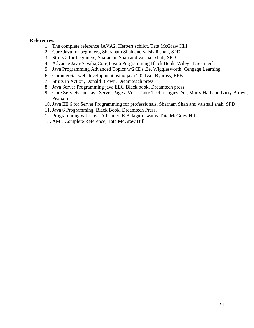- 1. The complete reference JAVA2, Herbert schildt. Tata McGraw Hill
- 2. Core Java for beginners, Sharanam Shah and vaishali shah, SPD
- 3. Struts 2 for beginners, Sharanam Shah and vaishali shah, SPD
- 4. Advance Java-Savalia,Core,Java 6 Programming Black Book, Wiley –Dreamtech
- 5. Java Programming Advanced Topics w/2CDs ,3e, Wigglesworth, Cengage Learning
- 6. Commercial web development using java 2.0, Ivan Byaross, BPB
- 7. Struts in Action, Donald Brown, Dreamteach press
- 8. Java Server Programming java EE6, Black book, Dreamtech press.
- 9. Core Servlets and Java Server Pages :Vol I: Core Technologies 2/e , Marty Hall and Larry Brown, Pearson
- 10. Java EE 6 for Server Programming for professionals, Sharnam Shah and vaishali shah, SPD
- 11. Java 6 Programming, Black Book, Dreamtech Press.
- 12. Programming with Java A Primer, E.Balaguruswamy Tata McGraw Hill
- 13. XML Complete Reference, Tata McGraw Hill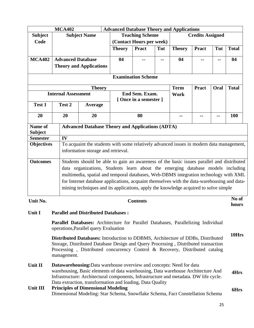| <b>MCA402</b>             |                                                                                                                                                                                                                                                                                                                                                                                                                                                             |                            | <b>Advanced Database Theory and Applications</b>                                                                               |                          |                        |     |                |                         |      |              |  |  |
|---------------------------|-------------------------------------------------------------------------------------------------------------------------------------------------------------------------------------------------------------------------------------------------------------------------------------------------------------------------------------------------------------------------------------------------------------------------------------------------------------|----------------------------|--------------------------------------------------------------------------------------------------------------------------------|--------------------------|------------------------|-----|----------------|-------------------------|------|--------------|--|--|
| <b>Subject</b>            |                                                                                                                                                                                                                                                                                                                                                                                                                                                             |                            | <b>Subject Name</b>                                                                                                            |                          | <b>Teaching Scheme</b> |     |                | <b>Credits Assigned</b> |      |              |  |  |
| Code                      |                                                                                                                                                                                                                                                                                                                                                                                                                                                             |                            |                                                                                                                                | (Contact Hours per week) |                        |     |                |                         |      |              |  |  |
|                           |                                                                                                                                                                                                                                                                                                                                                                                                                                                             |                            |                                                                                                                                | <b>Theory</b>            | <b>Pract</b>           | Tut | <b>Theory</b>  | <b>Pract</b>            | Tut  | <b>Total</b> |  |  |
| <b>MCA402</b>             |                                                                                                                                                                                                                                                                                                                                                                                                                                                             |                            | <b>Advanced Database</b>                                                                                                       | 04                       |                        |     | 04             |                         |      | 04           |  |  |
|                           |                                                                                                                                                                                                                                                                                                                                                                                                                                                             |                            | <b>Theory and Applications</b>                                                                                                 |                          |                        |     |                |                         |      |              |  |  |
| <b>Examination Scheme</b> |                                                                                                                                                                                                                                                                                                                                                                                                                                                             |                            |                                                                                                                                |                          |                        |     |                |                         |      |              |  |  |
|                           |                                                                                                                                                                                                                                                                                                                                                                                                                                                             |                            | <b>Theory</b>                                                                                                                  |                          |                        |     | <b>Term</b>    | <b>Pract</b>            | Oral | <b>Total</b> |  |  |
|                           |                                                                                                                                                                                                                                                                                                                                                                                                                                                             | <b>Internal Assessment</b> |                                                                                                                                |                          | End Sem. Exam.         |     | <b>Work</b>    |                         |      |              |  |  |
| Test 1                    |                                                                                                                                                                                                                                                                                                                                                                                                                                                             | Test 2                     | <b>Average</b>                                                                                                                 |                          | [Once in a semester]   |     |                |                         |      |              |  |  |
|                           |                                                                                                                                                                                                                                                                                                                                                                                                                                                             |                            |                                                                                                                                |                          |                        |     |                |                         |      |              |  |  |
| 20                        |                                                                                                                                                                                                                                                                                                                                                                                                                                                             | 20                         | 20                                                                                                                             |                          | 80                     |     | --             | --                      |      | 100          |  |  |
| Name of<br><b>Subject</b> |                                                                                                                                                                                                                                                                                                                                                                                                                                                             |                            | <b>Advanced Database Theory and Applications (ADTA)</b>                                                                        |                          |                        |     |                |                         |      |              |  |  |
| <b>Semester</b>           |                                                                                                                                                                                                                                                                                                                                                                                                                                                             | IV                         |                                                                                                                                |                          |                        |     |                |                         |      |              |  |  |
| <b>Objectives</b>         |                                                                                                                                                                                                                                                                                                                                                                                                                                                             |                            | To acquaint the students with some relatively advanced issues in modern data management,<br>information storage and retrieval. |                          |                        |     |                |                         |      |              |  |  |
| <b>Outcomes</b>           | Students should be able to gain an awareness of the basic issues parallel and distributed<br>data organizations, Students learn about the emerging database models including<br>multimedia, spatial and temporal databases, Web-DBMS integration technology with XML<br>for Internet database applications, acquaint themselves with the data-warehousing and data-<br>mining techniques and its applications, apply the knowledge acquired to solve simple |                            |                                                                                                                                |                          |                        |     |                |                         |      |              |  |  |
| Unit No.                  | <b>Contents</b>                                                                                                                                                                                                                                                                                                                                                                                                                                             |                            |                                                                                                                                |                          |                        |     | No of<br>hours |                         |      |              |  |  |
| Unit I                    |                                                                                                                                                                                                                                                                                                                                                                                                                                                             |                            | <b>Parallel and Distributed Databases:</b>                                                                                     |                          |                        |     |                |                         |      |              |  |  |
|                           |                                                                                                                                                                                                                                                                                                                                                                                                                                                             |                            | Parallel Databases: Architecture for Parallel Databases, Parallelizing Individual<br>operations, Parallel query Evaluation     |                          |                        |     |                |                         |      |              |  |  |
|                           |                                                                                                                                                                                                                                                                                                                                                                                                                                                             |                            | Distributed Detabases: Introduction to DDRAC Architecture of DDRs. Distributed                                                 |                          |                        |     |                |                         |      | 10Hrs        |  |  |

**Distributed Databases:** Introduction to DDBMS, Architecture of DDBs, Distributed Storage, Distributed Database Design and Query Processing , Distributed transaction Processing , Distributed concurrency Control & Recovery, Distributed catalog management.

**Unit II Datawarehousing:**Data warehouse overview and concepts: Need for data warehousing, Basic elements of data warehousing, Data warehouse Architecture And Infrastructure: Architectural components, Infrastructure and metadata. DW life cycle. Data extraction, transformation and loading, Data Quality **4Hrs** 

#### **Unit III Principles of Dimensional Modeling**  Dimensional Modeling: Star Schema, Snowflake Schema, Fact Constellation Schema **6Hrs**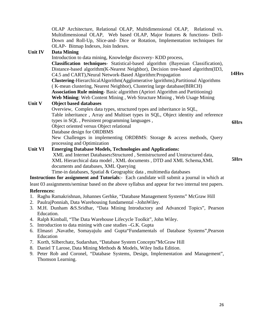OLAP Architecture, Relational OLAP, Multidimensional OLAP, Relational vs. Multidimensional OLAP, Web based OLAP, Major features & functions- Drill-Down and Roll-Up, Slice-and- Dice or Rotation, Implementation techniques for OLAP- Bitmap Indexes, Join Indexes.

#### **Unit IV Data Mining**

Introduction to data mining, Knowledge discovery- KDD process, **Classification techniques**- Statistical-based algorithm (Bayesian Classification), Distance-based algorithm(K-Nearest Neighbor), Decision tree-based algorithm(ID3, C4.5 and CART),Neural Network-Based Algorithm:Propagation **Clustering**-HierarchicalAlgorithm(Agglomerative lgorithms),Partitional Algorithms ( K-mean clustering, Nearest Neighbor), Clustering large database(BIRCH) **Association Rule mining**- Basic algorithm (Apriori Algorithm and Partitioning) **Web Mining**: Web Content Mining , Web Structure Mining , Web Usage Mining **14Hrs** 

#### **Unit V Object based databases**

Overview, Complex data types, structured types and inheritance in SQL, Table inheritance , Array and Multiset types in SQL, Object identity and reference types in SQL , Persistent programming languages , Object oriented versus Object relational Database design for ORDBMS New Challenges in implementing ORDBMS: Storage & access methods, Query

processing and Optimization **Unit VI Emerging Database Models, Technologies and Applications:** 

 XML and Internet Databases**:**Structured , Semistructured and Unstructured data, XML Hierarchical data model , XML documents , DTD and XML Schema,XML documents and databases, XML Querying

Time-in databases, Spatial & Geographic data , multimedia databases

**Instructions for assignment and Tutorials**:- Each candidate will submit a journal in which at

least 03 assignments/seminar based on the above syllabus and appear for two internal test papers.

#### **References:**

- 1. Raghu Ramakrishnan, Johannes Gerhke, "Database Management Systems" McGraw Hill
- 2. PaulrajPonniah, Data Warehousing fundamental –JohnWiley.
- 3. M.H. Dunham &S.Sridhar, "Data Mining Introductory and Advanced Topics", Pearson Education.
- 4. Ralph Kimball, "The Data Warehouse Lifecycle Toolkit", John Wiley.
- 5. Introduction to data mining with case studies –G.K. Gupta
- 6. Elmasri ,Navathe, Somayajulu and Gupta"Fundamentals of Database Systems",Pearson Education
- 7. Korth, Silberchatz, Sudarshan, "Database System Concepts"McGraw Hill
- 8. Daniel T Larose, Data Mining Methods & Models, Wiley India Edition.
- 9. Peter Rob and Coronel, "Database Systems, Design, Implementation and Management", Thomson Learning.

**6Hrs** 

**5Hrs**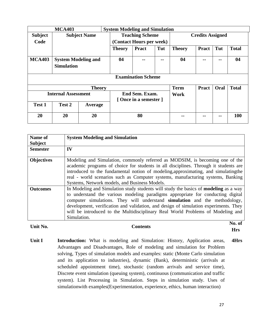|                            | <b>MCA403</b>                                   | <b>System Modeling and Simulation</b> |                                        |                           |     |               |                         |      |              |  |
|----------------------------|-------------------------------------------------|---------------------------------------|----------------------------------------|---------------------------|-----|---------------|-------------------------|------|--------------|--|
| <b>Subject</b>             |                                                 | <b>Subject Name</b>                   |                                        | <b>Teaching Scheme</b>    |     |               | <b>Credits Assigned</b> |      |              |  |
| Code                       |                                                 |                                       |                                        | (Contact Hours per week)  |     |               |                         |      |              |  |
|                            |                                                 |                                       | <b>Theory</b>                          | <b>Pract</b>              | Tut | <b>Theory</b> | <b>Pract</b>            | Tut  | <b>Total</b> |  |
| <b>MCA403</b>              | <b>System Modeling and</b><br><b>Simulation</b> |                                       | 04                                     |                           | --  | 04            |                         |      | 04           |  |
|                            |                                                 |                                       |                                        | <b>Examination Scheme</b> |     |               |                         |      |              |  |
|                            |                                                 | <b>Theory</b>                         |                                        |                           |     | <b>Term</b>   | <b>Pract</b>            | Oral | <b>Total</b> |  |
| <b>Internal Assessment</b> |                                                 |                                       | End Sem. Exam.<br>[Once in a semester] |                           |     | Work          |                         |      |              |  |
| Test 1                     | Test 2                                          | Average                               |                                        |                           |     |               |                         |      |              |  |
| 20                         | 20                                              | 20                                    |                                        | 80                        |     | --            | --                      |      | <b>100</b>   |  |

| Name of<br><b>Subject</b> | <b>System Modeling and Simulation</b>                                                                                                                                                                                                                                                                                                                                                                                                                  |
|---------------------------|--------------------------------------------------------------------------------------------------------------------------------------------------------------------------------------------------------------------------------------------------------------------------------------------------------------------------------------------------------------------------------------------------------------------------------------------------------|
| <b>Semester</b>           | IV                                                                                                                                                                                                                                                                                                                                                                                                                                                     |
| <b>Objectives</b>         | Modeling and Simulation, commonly referred as MODSIM, is becoming one of the<br>academic programs of choice for students in all disciplines. Through it students are<br>introduced to the fundamental notion of modeling, approximating, and simulating the<br>real - world scenarios such as Computer systems, manufacturing systems, Banking<br>Systems, Network models, and Business Models.                                                        |
| <b>Outcomes</b>           | In Modeling and Simulation study students will study the basics of <b>modeling</b> as a way<br>to understand the various modeling paradigms appropriate for conducting digital<br>computer simulations. They will understand simulation and the methodology,<br>development, verification and validation, and design of simulation experiments. They<br>will be introduced to the Multidisciplinary Real World Problems of Modeling and<br>Simulation. |
| Unit No.                  | No. of<br>Contents                                                                                                                                                                                                                                                                                                                                                                                                                                     |

**Hrs Unit I** Introduction: What is modeling and Simulation: History, Application areas, Advantages and Disadvantages, Role of modeling and simulation for Problem solving, Types of simulation models and examples: static (Monte Carlo simulation and its application to industries), dynamic (Bank), deterministic (arrivals at scheduled appointment time), stochastic (random arrivals and service time), Discrete event simulation (queuing system), continuous (communication and traffic system). List Processing in Simulation. Steps in simulation study. Uses of simulationwith examples(Experimentation, experience, ethics, human interaction) **4Hrs**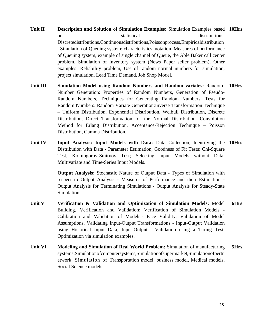- Unit II **Description and Solution of Simulation Examples:** Simulation Examples based 10Hrs on statistical distributions: Discretedistributions,Continuousdistributions,Poissonprocess,Empiricaldistribution . Simulation of Queuing system: characteristics, notation, Measures of performance of Queuing system, example of single channel of Queue, the Able Baker call center problem, Simulation of inventory system (News Paper seller problem), Other examples: Reliability problem, Use of random normal numbers for simulation, project simulation, Lead Time Demand, Job Shop Model.
- **Unit III Simulation Model using Random Numbers and Random variates:** Random-**10Hrs** Number Generation: Properties of Random Numbers, Generation of Pseudo-Random Numbers, Techniques for Generating Random Numbers, Tests for Random Numbers. Random Variate Generation:Inverse Transformation Technique – Uniform Distribution, Exponential Distribution, Weibull Distribution, Discrete Distribution, Direct Transformation for the Normal Distribution. Convolution Method for Erlang Distribution, Acceptance-Rejection Technique – Poisson Distribution, Gamma Distribution.
- Unit IV **Input Analysis: Input Models with Data:** Data Collection, Identifying the 10Hrs Distribution with Data - Parameter Estimation, Goodness of Fit Tests: Chi-Square Test, Kolmogorov-Smirnov Test; Selecting Input Models without Data: Multivariate and Time-Series Input Models.

**Output Analysis:** Stochastic Nature of Output Data - Types of Simulation with respect to Output Analysis - Measures of Performance and their Estimation - Output Analysis for Terminating Simulations - Output Analysis for Steady-State Simulation

- **Unit V Verification & Validation and Optimization of Simulation Models:** Model Building, Verification and Validation; Verification of Simulation Models - Calibration and Validation of Models:- Face Validity, Validation of Model Assumptions, Validating Input-Output Transformations - Input-Output Validation using Historical Input Data, Input-Output . Validation using a Turing Test. Optimization via simulation examples. **6Hrs**
- **Unit VI** Modeling and Simulation of Real World Problem: Simulation of manufacturing systems,Simulationofcomputersystems,Simulationofsupermarket,Simulationofpertn etwork. Simulation of Transportation model, business model, Medical models, Social Science models. **5Hrs**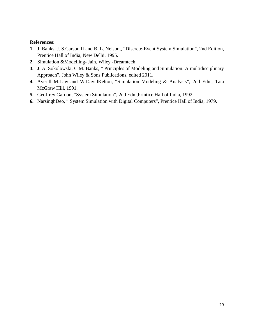- **1.** J. Banks, J. S.Carson II and B. L. Nelson,, "Discrete-Event System Simulation", 2nd Edition, Prentice Hall of India, New Delhi, 1995.
- **2.** Simulation &Modelling- Jain, Wiley -Dreamtech
- **3.** J. A. Sokolowski, C.M. Banks, " Principles of Modeling and Simulation: A multidisciplinary Approach", John Wiley & Sons Publications, edited 2011.
- **4.** Averill M.Law and W.DavidKelton, "Simulation Modeling & Analysis", 2nd Edn., Tata McGraw Hill, 1991.
- **5.** Geoffrey Gardon, "System Simulation", 2nd Edn.,Printice Hall of India, 1992.
- **6.** NarsinghDeo, " System Simulation with Digital Computers", Prentice Hall of India, 1979.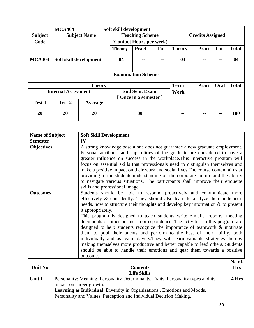| <b>MCA404</b>              |                        |                     | Soft skill development |                                         |     |               |                         |      |              |  |
|----------------------------|------------------------|---------------------|------------------------|-----------------------------------------|-----|---------------|-------------------------|------|--------------|--|
| <b>Subject</b>             |                        | <b>Subject Name</b> |                        | <b>Teaching Scheme</b>                  |     |               | <b>Credits Assigned</b> |      |              |  |
| Code                       |                        |                     |                        | (Contact Hours per week)                |     |               |                         |      |              |  |
|                            |                        |                     | <b>Theory</b>          | <b>Pract</b>                            | Tut | <b>Theory</b> | <b>Pract</b>            | Tut  | <b>Total</b> |  |
| <b>MCA404</b>              | Soft skill development |                     | 04                     |                                         | --  | 04            | --                      | --   | 04           |  |
|                            |                        |                     |                        | <b>Examination Scheme</b>               |     |               |                         |      |              |  |
|                            |                        | <b>Theory</b>       |                        |                                         |     | <b>Term</b>   | <b>Pract</b>            | Oral | <b>Total</b> |  |
| <b>Internal Assessment</b> |                        |                     |                        | End Sem. Exam.<br>[Once in a semester ] |     |               |                         |      |              |  |
| Test 1                     | Test 2                 | Average             |                        |                                         |     |               |                         |      |              |  |
| 20                         | 20                     | 20                  |                        | 80                                      |     | --            | --                      | --   | 100          |  |

| <b>Name of Subject</b> | <b>Soft Skill Development</b>                                                                                                                                                                                                                                                                                                                                                                                                                                                                                                                                                                                                                                                                                                                                                                                                                                    |
|------------------------|------------------------------------------------------------------------------------------------------------------------------------------------------------------------------------------------------------------------------------------------------------------------------------------------------------------------------------------------------------------------------------------------------------------------------------------------------------------------------------------------------------------------------------------------------------------------------------------------------------------------------------------------------------------------------------------------------------------------------------------------------------------------------------------------------------------------------------------------------------------|
| <b>Semester</b>        | IV                                                                                                                                                                                                                                                                                                                                                                                                                                                                                                                                                                                                                                                                                                                                                                                                                                                               |
| <b>Objectives</b>      | A strong knowledge base alone does not guarantee a new graduate employment.<br>Personal attributes and capabilities of the graduate are considered to have a<br>greater influence on success in the workplace. This interactive program will<br>focus on essential skills that professionals need to distinguish themselves and<br>make a positive impact on their work and social lives. The course content aims at<br>providing to the students understanding on the corporate culture and the ability<br>to navigate various situations. The participants shall improve their etiquette<br>skills and professional image.                                                                                                                                                                                                                                     |
| <b>Outcomes</b>        | Students should be able to respond proactively and communicate more<br>effectively $\&$ confidently. They should also learn to analyze their audience's<br>needs, how to structure their thoughts and develop key information & to present<br>it appropriately.<br>This program is designed to teach students write e-mails, reports, meeting<br>documents or other business correspondence. The activities in this program are<br>designed to help students recognize the importance of teamwork $\&$ motivate<br>them to pool their talents and perform to the best of their ability, both<br>individually and as team players. They will learn valuable strategies thereby<br>making themselves more productive and better capable to lead others. Students<br>should be able to handle their emotions and gear them towards a positive<br>outcome.<br>No of. |

| Unit No | <b>Contents</b>                                                                                               | <b>Hrs</b> |
|---------|---------------------------------------------------------------------------------------------------------------|------------|
|         | <b>Life Skills</b>                                                                                            |            |
| Unit I  | Personality: Meaning, Personality Determinants, Traits, Personality types and its<br>impact on career growth. | 4 Hrs      |
|         | <b>Learning as Individual:</b> Diversity in Organizations, Emotions and Moods,                                |            |
|         | Personality and Values, Perception and Individual Decision Making,                                            |            |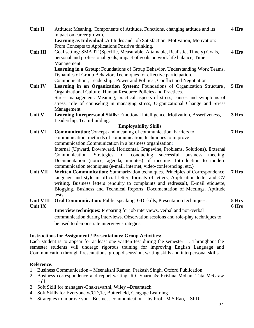| Unit II         | Attitude: Meaning, Components of Attitude, Functions, changing attitude and its                                                                                                   | 4 Hrs |
|-----------------|-----------------------------------------------------------------------------------------------------------------------------------------------------------------------------------|-------|
|                 | impact on career growth,<br>Learning as Individual:: Attitudes and Job Satisfaction, Motivation, Motivation:<br>From Concepts to Applications Positive thinking.                  |       |
| <b>Unit III</b> | Goal setting: SMART (Specific, Measurable, Attainable, Realistic, Timely) Goals,<br>personal and professional goals, impact of goals on work life balance, Time<br>Management.    | 4 Hrs |
|                 | Learning in a Group: Foundations of Group Behavior, Understanding Work Teams,                                                                                                     |       |
|                 | Dynamics of Group Behavior, Techniques for effective participation,                                                                                                               |       |
|                 | Communication, Leadership, Power and Politics, Conflict and Negotiation                                                                                                           |       |
| Unit IV         | Learning in an Organization System: Foundations of Organization Structure,<br>Organizational Culture, Human Resource Policies and Practices.                                      | 5 Hrs |
|                 | Stress management: Meaning, practical aspects of stress, causes and symptoms of                                                                                                   |       |
|                 | stress, role of counseling in managing stress, Organizational Change and Stress                                                                                                   |       |
|                 | Management                                                                                                                                                                        |       |
| Unit V          | Learning Interpersonal Skills: Emotional intelligence, Motivation, Assertiveness,                                                                                                 | 3 Hrs |
|                 | Leadership, Team-building.                                                                                                                                                        |       |
| Unit VI         | <b>Employability Skills</b><br>Communication: Concept and meaning of communication, barriers to                                                                                   | 7 Hrs |
|                 | communication, methods of communication, techniques to improve                                                                                                                    |       |
|                 | communication.Communication in a business organization:                                                                                                                           |       |
|                 | Internal (Upward, Downward, Horizontal, Grapevine, Problems, Solutions). External                                                                                                 |       |
|                 | Communication.<br>Strategies for<br>conducting<br>successful<br>business<br>meeting.                                                                                              |       |
|                 | Documentation (notice, agenda, minutes) of meeting. Introduction to modern<br>communication techniques (e-mail, internet, video-conferencing. etc.)                               |       |
| <b>Unit VII</b> | Written Communication: Summarization techniques. Principles of Correspondence,                                                                                                    | 7 Hrs |
|                 | language and style in official letter, formats of letters, Application letter and CV                                                                                              |       |
|                 | writing, Business letters (enquiry to complaints and redressal), E-mail etiquette,                                                                                                |       |
|                 | Blogging, Business and Technical Reports. Documentation of Meetings. Aptitude<br>tests.                                                                                           |       |
| Unit VIII       | <b>Oral Communication:</b> Public speaking, GD skills, Presentation techniques.                                                                                                   | 5 Hrs |
| <b>Unit IX</b>  |                                                                                                                                                                                   | 6 Hrs |
|                 | Interview techniques: Preparing for job interviews, verbal and non-verbal                                                                                                         |       |
|                 | communication during interviews. Observation sessions and role-play techniques to                                                                                                 |       |
|                 | be used to demonstrate interview strategies.                                                                                                                                      |       |
|                 |                                                                                                                                                                                   |       |
|                 | <b>Instructions for Assignment / Presentations/ Group Activities:</b>                                                                                                             |       |
|                 | Each student is to appear for at least one written test during the semester Throughout the<br>semester students will undergo rigorous training for improving English Language and |       |

#### **Reference:**

- 1. Business Communication Meenakshi Raman, Prakash Singh, Oxford Publication
- 2. Business correspondence and report writing, R.C.Sharma& Krishna Mohan, Tata McGraw Hill

Communication through Presentations, group discussion, writing skills and interpersonal skills

- 3. Soft Skill for managers-Chakravarthi, Wiley –Dreamtech
- 4. Soft Skills for Everyone w/CD,1e, Butterfield, Cengage Learning
- 5. Strategies to improve your Business communication by Prof. M S Rao, SPD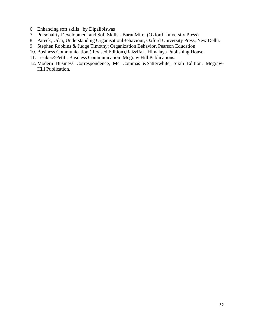- 6. Enhancing soft skills by Dipalibiswas
- 7. Personality Development and Soft Skills BarunMitra (Oxford University Press)
- 8. Pareek, Udai, Understanding OrganisationlBehaviour, Oxford University Press, New Delhi.
- 9. Stephen Robbins & Judge Timothy: Organization Behavior, Pearson Education
- 10. Business Communication (Revised Edition),Rai&Rai , Himalaya Publishing House.
- 11. Lesiker&Petit : Business Communication. Mcgraw Hill Publications.
- 12. Modern Business Correspondence, Mc Commas &Satterwhite, Sixth Edition, Mcgraw-Hill Publication.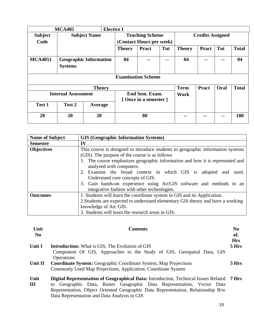| <b>MCA405</b>              |                                                 |               | <b>Elective I</b> |                                        |                           |       |                         |              |      |              |
|----------------------------|-------------------------------------------------|---------------|-------------------|----------------------------------------|---------------------------|-------|-------------------------|--------------|------|--------------|
| <b>Subject</b>             | <b>Subject Name</b>                             |               |                   | <b>Teaching Scheme</b>                 |                           |       | <b>Credits Assigned</b> |              |      |              |
| Code                       |                                                 |               |                   |                                        | (Contact Hours per week)  |       |                         |              |      |              |
|                            |                                                 |               |                   | <b>Theory</b>                          | <b>Pract</b>              | Tut   | <b>Theory</b>           | <b>Pract</b> | Tut  | <b>Total</b> |
| <b>MCA4051</b>             | <b>Geographic Information</b><br><b>Systems</b> |               |                   | 04                                     | $- -$                     | $- -$ | 04                      | --           | --   | 04           |
|                            |                                                 |               |                   |                                        | <b>Examination Scheme</b> |       |                         |              |      |              |
|                            |                                                 | <b>Theory</b> |                   |                                        |                           |       | <b>Term</b>             | <b>Pract</b> | Oral | <b>Total</b> |
| <b>Internal Assessment</b> |                                                 |               |                   | End Sem. Exam.<br>[Once in a semester] |                           | Work  |                         |              |      |              |
| Test 1                     | Test 2                                          | Average       |                   |                                        |                           |       |                         |              |      |              |
| 20                         | 20                                              | 20            |                   | 80                                     |                           | --    | --                      | --           | 100  |              |

| <b>Name of Subject</b> | <b>GIS (Geographic Information Systems)</b>                                                                                                                                                                                                                                                                                                                                                                                                                              |
|------------------------|--------------------------------------------------------------------------------------------------------------------------------------------------------------------------------------------------------------------------------------------------------------------------------------------------------------------------------------------------------------------------------------------------------------------------------------------------------------------------|
| <b>Semester</b>        | IV                                                                                                                                                                                                                                                                                                                                                                                                                                                                       |
| <b>Objectives</b>      | This course is designed to introduce students to geographic information systems<br>(GIS). The purpose of the course is as follows<br>The course emphasizes geographic information and how it is represented and<br>analyzed with computers.<br>2. Examine the broad context in which GIS is adopted and used.<br>Understand core concepts of GIS.<br>3. Gain hands-on experience using ArcGIS software and methods in an<br>integrative fashion with other technologies. |
| <b>Outcomes</b>        | 1. Students will learn the coordinate system in GIS and its Application.<br>2. Students are expected to understand elementary GIS theory and have a working<br>knowledge of Arc GIS.<br>3. Students will learn the research areas in GIS.                                                                                                                                                                                                                                |

| Unit<br>N <sub>0</sub> | <b>Contents</b>                                                                                  | N <sub>0</sub><br>of.<br><b>Hrs</b> |
|------------------------|--------------------------------------------------------------------------------------------------|-------------------------------------|
| Unit I                 | <b>Introduction:</b> What is GIS, The Evolution of GIS                                           | 5 Hrs                               |
|                        | Component Of GIS, Approaches to the Study of GIS, Geospatial Data, GIS<br><b>Operations</b>      |                                     |
| Unit II                | <b>Coordinate System:</b> Geographic Coordinate System, Map Projections                          | 5 Hrs                               |
|                        | Commonly Used Map Projections, Application: Coordinate System                                    |                                     |
| Unit                   | <b>Digital Representation of Geographical Data:</b> Introduction, Technical Issues Related 7 Hrs |                                     |
| $\mathbf{III}$         | to Geographic Data, Raster Geographic Data Representation, Vector Data                           |                                     |
|                        | Representation, Object Oriented Geographic Data Representation, Relationship B/w                 |                                     |
|                        | Data Representation and Data Analysis in GIS                                                     |                                     |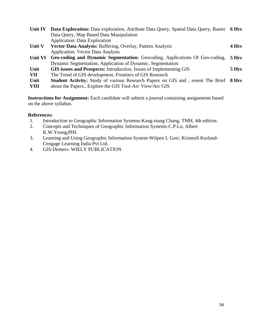| Unit IV     | Data Exploration: Data exploration, Attribute Data Query, Spatial Data Query, Raster 6 Hrs   |       |
|-------------|----------------------------------------------------------------------------------------------|-------|
|             | Data Query, Map Based Data Manipulation                                                      |       |
|             | <b>Application: Data Exploration</b>                                                         |       |
| Unit V      | Vector Data Analysis: Buffering, Overlay, Pattern Analysis                                   | 4 Hrs |
|             | <b>Application: Vector Data Analysis</b>                                                     |       |
| Unit VI     | Geo-coding and Dynamic Segmentation: Geocoding, Applications Of Geo-coding,                  | 5 Hrs |
|             | Dynamic Segmentation, Application of Dynamic, Segmentation                                   |       |
| Unit        | GIS issues and Prospects: Introduction, Issues of Implementing GIS                           | 5 Hrs |
| <b>VII</b>  | The Trend of GIS development, Frontiers of GIS Research                                      |       |
| Unit        | <b>Student Activity:</b> Study of various Research Papers on GIS and, resent The Brief 8 Hrs |       |
| <b>VIII</b> | about the Papers., Explore the GIS Tool-Arc View/Arc GIS                                     |       |

**Instructions for Assignment:** Each candidate will submit a journal containing assignments based on the above syllabus.

- 1. Introduction to Geographic Information Systems-Kang-tsung Chang, TMH, 4th edition.
- 2. Concepts and Techniques of Geographic Information Systems-C.P.Lo, Albert K.W.Yeung,PHI.
- 3. Learning and Using Geographic Information System-Wilpen L Gorr, KristenS Kurland-Cengage Learning India Pvt Ltd.
- 4. GIS-Demers- WIELY PUBLICATION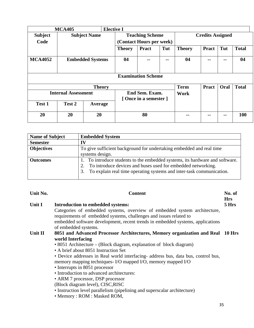| <b>MCA405</b>              |                         |                                        | <b>Elective I</b>        |              |       |               |                         |     |              |
|----------------------------|-------------------------|----------------------------------------|--------------------------|--------------|-------|---------------|-------------------------|-----|--------------|
| <b>Subject</b>             | <b>Subject Name</b>     |                                        | <b>Teaching Scheme</b>   |              |       |               | <b>Credits Assigned</b> |     |              |
| Code                       |                         |                                        | (Contact Hours per week) |              |       |               |                         |     |              |
|                            |                         |                                        | <b>Theory</b>            | <b>Pract</b> | Tut   | <b>Theory</b> | <b>Pract</b>            | Tut | <b>Total</b> |
| <b>MCA4052</b>             | <b>Embedded Systems</b> |                                        | 04                       | --           | --    | 04            | --                      | --  | 04           |
| <b>Examination Scheme</b>  |                         |                                        |                          |              |       |               |                         |     |              |
|                            |                         |                                        |                          | <b>Term</b>  | Pract | Oral          | <b>Total</b>            |     |              |
| <b>Internal Assessment</b> |                         | End Sem. Exam.<br>[Once in a semester] |                          | Work         |       |               |                         |     |              |
| Test 1                     | Test 2                  | Average                                |                          |              |       |               |                         |     |              |
| 20                         | 20                      | 20                                     |                          | 80           |       | --            | --                      | --  | 100          |

| <b>Name of Subject</b> | <b>Embedded System</b>                                                       |
|------------------------|------------------------------------------------------------------------------|
| <b>Semester</b>        | IV                                                                           |
| <b>Objectives</b>      | To give sufficient background for undertaking embedded and real time         |
|                        | systems design.                                                              |
| <b>Outcomes</b>        | 1. To introduce students to the embedded systems, its hardware and software. |
|                        | To introduce devices and buses used for embedded networking.<br>2.           |
|                        | To explain real time operating systems and inter-task communication.<br>3.   |
|                        |                                                                              |

| Unit No. | <b>Content</b>                                                                                                                                  |  |  |  |  |
|----------|-------------------------------------------------------------------------------------------------------------------------------------------------|--|--|--|--|
| Unit I   | Introduction to embedded systems:                                                                                                               |  |  |  |  |
|          | Categories of embedded systems, overview of embedded system architecture,<br>requirements of embedded systems, challenges and issues related to |  |  |  |  |
|          | embedded software development, recent trends in embedded systems, applications<br>of embedded systems.                                          |  |  |  |  |
| Unit II  | 8051 and Advanced Processor Architectures, Memory organization and Real 10 Hrs                                                                  |  |  |  |  |
|          | world Interfacing                                                                                                                               |  |  |  |  |
|          | • 8051 Architecture – (Block diagram, explanation of block diagram)                                                                             |  |  |  |  |
|          | • A brief about 8051 Instruction Set                                                                                                            |  |  |  |  |
|          | • Device addresses in Real world interfacing- address bus, data bus, control bus,                                                               |  |  |  |  |
|          | memory mapping techniques- I/O mapped I/O, memory mapped I/O                                                                                    |  |  |  |  |
|          | • Interrupts in 8051 processor                                                                                                                  |  |  |  |  |
|          | • Introduction to advanced architectures:                                                                                                       |  |  |  |  |
|          | • ARM 7 processor, DSP processor                                                                                                                |  |  |  |  |
|          | (Block diagram level), CISC, RISC                                                                                                               |  |  |  |  |
|          | • Instruction level parallelism (pipelining and superscalar architecture)                                                                       |  |  |  |  |
|          | • Memory: ROM: Masked ROM,                                                                                                                      |  |  |  |  |
|          |                                                                                                                                                 |  |  |  |  |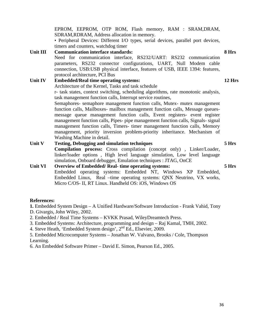EPROM, EEPROM, OTP ROM, Flash memory, RAM : SRAM,DRAM, SDRAM,RDRAM, Address allocation in memory.

• Peripheral Devices: Different I/O types, serial devices, parallel port devices, timers and counters, watchdog timer

#### **Unit III Communication interface standards:**  Need for communication interface, RS232/UART: RS232 communication parameters, RS232 connector configurations, UART, Null Modem cable connection, USB:USB physical interface, features of USB, IEEE 1394: features, protocol architecture, PCI Bus **8 Hrs Unit IV Embedded/Real time operating systems:**  Architecture of the Kernel, Tasks and task schedule r- task states, context switching, scheduling algorithms, rate monotonic analysis, task management function calls, Interrupt service routines, Semaphores- semaphore management function calls, Mutex- mutex management function calls, Mailboxes- mailbox management function calls, Message queuesmessage queue management function calls, Event registers- event register management function calls, Pipes- pipe management function calls, Signals- signal management function calls, Timers- timer management function calls, Memory management, priority inversion problem-priority inheritance. Mechanism of Washing Machine in detail. **12 Hrs 5 Hrs**

**Unit V Testing, Debugging and simulation techniques Compilation process:** Cross compilation (concept only) , Linker/Loader, linker/loader options , High level language simulation, Low level language simulation, Onboard debugger, Emulation techniques : JTAG, OnCE **5 Hrs** 

**Unit VI Overview of Embedded/ Real- time operating systems:**  Embedded operating systems: Embedded NT, Windows XP Embedded, Embedded Linux, Real –time operating systems: QNX Neutrino, VX works, Micro C/OS- II, RT Linux. Handheld OS: iOS, Windows OS

#### **References:**

**1.** Embedded System Design – A Unified Hardware/Software Introduction - Frank Vahid, Tony

- D. Givargis, John Wiley, 2002.
- 2. Embedded / Real Time Systems KVKK Prasad, WileyDreamtech Press.
- 3. Embedded Systems: Architecture, programming and design Raj Kamal, TMH, 2002.
- 4. Steve Heath, 'Embedded System design', 2nd Ed., Elsevier, 2009.

5. Embedded Microcomputer Systems – Jonathan W. Valvano, Brooks / Cole, Thompson Learning.

6. An Embedded Software Primer – David E. Simon, Pearson Ed., 2005.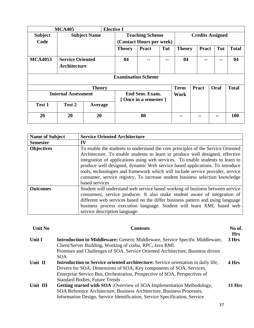| <b>MCA405</b>              |                                                |                     | <b>Elective I</b>         |                                        |     |               |                         |              |      |              |  |
|----------------------------|------------------------------------------------|---------------------|---------------------------|----------------------------------------|-----|---------------|-------------------------|--------------|------|--------------|--|
| <b>Subject</b>             |                                                | <b>Subject Name</b> |                           | <b>Teaching Scheme</b>                 |     |               | <b>Credits Assigned</b> |              |      |              |  |
| Code                       |                                                |                     |                           | (Contact Hours per week)               |     |               |                         |              |      |              |  |
|                            |                                                |                     | <b>Theory</b>             | <b>Pract</b>                           | Tut | <b>Theory</b> |                         | <b>Pract</b> | Tut  | <b>Total</b> |  |
| <b>MCA4053</b>             | <b>Service Oriented</b><br><b>Architecture</b> |                     | 04                        |                                        |     | 04            |                         |              | --   | 04           |  |
|                            |                                                |                     | <b>Examination Scheme</b> |                                        |     |               |                         |              |      |              |  |
|                            |                                                | <b>Theory</b>       |                           |                                        |     | <b>Term</b>   |                         | <b>Pract</b> | Oral | <b>Total</b> |  |
| <b>Internal Assessment</b> |                                                |                     |                           | End Sem. Exam.<br>[Once in a semester] |     |               |                         |              |      |              |  |
| Test 1                     | Test 2                                         | Average             |                           |                                        |     |               |                         |              |      |              |  |
| 20                         | 20                                             | 20                  |                           | 80                                     |     | --            |                         | --           | --   | <b>100</b>   |  |

| <b>Name of Subject</b> | <b>Service Oriented Architecture</b>                                                                                                                                                                                                                                                                                                                                                                                                                                                                                   |
|------------------------|------------------------------------------------------------------------------------------------------------------------------------------------------------------------------------------------------------------------------------------------------------------------------------------------------------------------------------------------------------------------------------------------------------------------------------------------------------------------------------------------------------------------|
| <b>Semester</b>        | IV                                                                                                                                                                                                                                                                                                                                                                                                                                                                                                                     |
| <b>Objectives</b>      | To enable the students to understand the core principles of the Service Oriented<br>Architecture. To enable students to learn to produce well designed, effective<br>integration of applications using web services. To enable students to learn to<br>produce well designed, dynamic Web service based applications. To introduce<br>tools, technologies and framework which will include service provider, service<br>consumer, service registry. To increase student business selection knowledge<br>based services |
| <b>Outcomes</b>        | Student will understand web service based working of business between service<br>consumers, service producer. It also make student aware of integration of<br>different web services based on the differ business pattern and using language<br>business process execution language. Student will learn XML based web<br>service description language.                                                                                                                                                                 |

| Unit No  | <b>Contents</b>                                                                          | No of.<br><b>Hrs</b> |  |  |  |  |
|----------|------------------------------------------------------------------------------------------|----------------------|--|--|--|--|
| Unit I   | <b>Introduction to Middleware:</b> Generic Middleware, Service Specific Middleware,      | 3 Hrs                |  |  |  |  |
|          | Client/Server Building, Working of corba, RPC, Java RMI.                                 |                      |  |  |  |  |
|          | Promises and Challenges of SOA, Service Oriented Architecture, Business driven           |                      |  |  |  |  |
|          | <b>SOA</b>                                                                               |                      |  |  |  |  |
| Unit II  | <b>Introduction to Service oriented architecture:</b> Service orientation in daily life, |                      |  |  |  |  |
|          | Drivers for SOA, Dimensions of SOA, Key components of SOA, Services,                     |                      |  |  |  |  |
|          | Enterprise Service Bus, Orchestration, Prospective of SOA, Perspectives of               |                      |  |  |  |  |
|          | <b>Standard Bodies, Future Trends</b>                                                    |                      |  |  |  |  |
| Unit III | <b>Getting started with SOA :</b> Overview of SOA Implementation Methodology,            | <b>11 Hrs</b>        |  |  |  |  |
|          | SOA Reference Architecture, Business Architecture, Business Processes,                   |                      |  |  |  |  |
|          | Information Design, Service Identification, Service Specification, Service               |                      |  |  |  |  |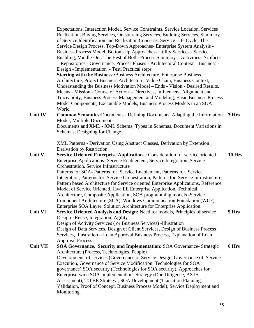Expectations, Interaction Model, Service Constraints, Service Location, Services Realization, Buying Services, Outsourcing Services, Building Services, Summary of Service Identification and Realization Concerns, Service Life Cycle, The Service Design Process, Top-Down Approaches- Enterprise System Analysis - Business Process Model, Bottom-Up Approaches- Utility Services - Service Enabling, Middle-Out: The Best of Both, Process Summary – Activities- Artifacts – Repositories - Governance, Process Phases - Architectural Context – Business - Design - Implementation - Test, Practical steps **Starting with the Business :**Business Architecture, Enterprise Business Architecture, Project Business Architecture, Value Chain, Business Context, Understanding the Business Motivation Model – Ends - Vision - Desired Results, Means - Mission - Course of Action - Directives, Influencers, Alignment and Traceability, Business Process Management and Modeling, Basic Business Process Model Components, Executable Models, Business Process Models in an SOA World Unit IV Common Semantics: Documents - Defining Documents, Adapting the Information 3 Hrs Model, Multiple Documents Documents and XML - XML Schema, Types in Schemas, Document Variations in Schemas, Designing for Change XML Patterns - Derivation Using Abstract Classes, Derivation by Extension , Derivation by Restriction **Unit V** Service Oriented Enterprise Application : Consideration for service oriented Enterprise Applications- Service Enablement, Service Integration, Service Orchestration, Service Infrastructure Patterns for SOA- Patterns for Service Enablement, Patterns for Service Integration, Patterns for Service Orchestration, Patterns for Service Infrastructure, Pattern based Architecture for Service oriented Enterprise Applications, Reference Model of Service Oriented, Java EE Enterprise Application, Technical Architecture, Composite Application, SOA programming models -Service Component Architecture (SCA), Windows Communication Foundation (WCF), Enterprise SOA Layer, Solution Architecture for Enterprise Application. **10 Hrs Unit VI Service Oriented Analysis and Design:** Need for models, Principles of service Design –Reuse, Integration, Agility Design of Activity Services ( or Business Services) -Illustration Design of Data Services, Design of Client Services, Design of Business Process Services, Illustration – Loan Approval Business Process, Explanation of Loan Approval Process **5 Hrs Unit VII SOA Governance, Security and Implementation:** SOA Governance- Strategic Architecture (Process, Technologies, People) Development of services (Governance of Service Design, Governance of Service Execution, Governance of Service Modification, Technologies for SOA governance),SOA security (Technologies for SOA security), Approaches for Enterprise-wide SOA Implementation- Strategy (Due Diligence, AS IS Assessment), TO BE Strategy , SOA Development (Transition Planning, Validation, Proof of Concept, Business Process Model), Service Deployment and Monitoring **6 Hrs**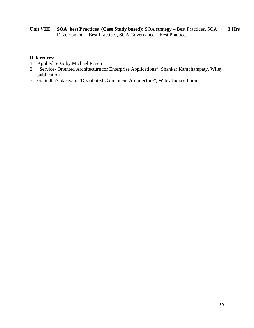**Unit VIII SOA best Practices (Case Study based):** SOA strategy – Best Practices, SOA Development – Best Practices, SOA Governance – Best Practices **3 Hrs** 

#### **References:**

- 1. Applied SOA by Michael Rosen
- 2. "Service- Oriented Architecture for Enterprise Applications", Shankar Kambhampaty, Wiley publication
- 3. G. SudhaSadasivam "Distributed Component Architecture", Wiley India edition.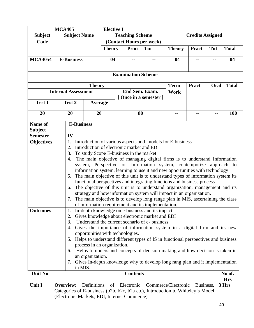| <b>MCA405</b>             |                                                                                                                                                                                                                                                                                                                                                                                                                                                                                                                                                                                                                                                                     |                                                                                                                                                                                                                                                                                                                                                                                                                                                                                                                                                                                                                                                                                                                                                                                                     |    | <b>Elective I</b>      |                           |                                |               |                         |      |                     |  |
|---------------------------|---------------------------------------------------------------------------------------------------------------------------------------------------------------------------------------------------------------------------------------------------------------------------------------------------------------------------------------------------------------------------------------------------------------------------------------------------------------------------------------------------------------------------------------------------------------------------------------------------------------------------------------------------------------------|-----------------------------------------------------------------------------------------------------------------------------------------------------------------------------------------------------------------------------------------------------------------------------------------------------------------------------------------------------------------------------------------------------------------------------------------------------------------------------------------------------------------------------------------------------------------------------------------------------------------------------------------------------------------------------------------------------------------------------------------------------------------------------------------------------|----|------------------------|---------------------------|--------------------------------|---------------|-------------------------|------|---------------------|--|
| <b>Subject</b>            | <b>Subject Name</b>                                                                                                                                                                                                                                                                                                                                                                                                                                                                                                                                                                                                                                                 |                                                                                                                                                                                                                                                                                                                                                                                                                                                                                                                                                                                                                                                                                                                                                                                                     |    | <b>Teaching Scheme</b> |                           |                                |               | <b>Credits Assigned</b> |      |                     |  |
| Code                      |                                                                                                                                                                                                                                                                                                                                                                                                                                                                                                                                                                                                                                                                     | (Contact Hours per week)                                                                                                                                                                                                                                                                                                                                                                                                                                                                                                                                                                                                                                                                                                                                                                            |    |                        |                           |                                |               |                         |      |                     |  |
|                           |                                                                                                                                                                                                                                                                                                                                                                                                                                                                                                                                                                                                                                                                     |                                                                                                                                                                                                                                                                                                                                                                                                                                                                                                                                                                                                                                                                                                                                                                                                     |    | <b>Theory</b>          |                           | Tut                            | <b>Theory</b> | <b>Pract</b>            | Tut  | <b>Total</b>        |  |
| <b>MCA4054</b>            | <b>E-Business</b>                                                                                                                                                                                                                                                                                                                                                                                                                                                                                                                                                                                                                                                   |                                                                                                                                                                                                                                                                                                                                                                                                                                                                                                                                                                                                                                                                                                                                                                                                     | 04 |                        |                           |                                | 04            |                         |      | 04                  |  |
|                           |                                                                                                                                                                                                                                                                                                                                                                                                                                                                                                                                                                                                                                                                     |                                                                                                                                                                                                                                                                                                                                                                                                                                                                                                                                                                                                                                                                                                                                                                                                     |    |                        |                           |                                |               |                         |      |                     |  |
|                           |                                                                                                                                                                                                                                                                                                                                                                                                                                                                                                                                                                                                                                                                     |                                                                                                                                                                                                                                                                                                                                                                                                                                                                                                                                                                                                                                                                                                                                                                                                     |    |                        | <b>Examination Scheme</b> |                                |               |                         |      |                     |  |
|                           |                                                                                                                                                                                                                                                                                                                                                                                                                                                                                                                                                                                                                                                                     | <b>Theory</b>                                                                                                                                                                                                                                                                                                                                                                                                                                                                                                                                                                                                                                                                                                                                                                                       |    |                        |                           |                                | <b>Term</b>   | <b>Pract</b>            | Oral | <b>Total</b>        |  |
|                           | <b>Internal Assessment</b>                                                                                                                                                                                                                                                                                                                                                                                                                                                                                                                                                                                                                                          |                                                                                                                                                                                                                                                                                                                                                                                                                                                                                                                                                                                                                                                                                                                                                                                                     |    |                        |                           | End Sem. Exam.                 | Work          |                         |      |                     |  |
|                           |                                                                                                                                                                                                                                                                                                                                                                                                                                                                                                                                                                                                                                                                     |                                                                                                                                                                                                                                                                                                                                                                                                                                                                                                                                                                                                                                                                                                                                                                                                     |    |                        |                           | [Once in a semester]           |               |                         |      |                     |  |
| Test 1                    | Test 2                                                                                                                                                                                                                                                                                                                                                                                                                                                                                                                                                                                                                                                              | Average                                                                                                                                                                                                                                                                                                                                                                                                                                                                                                                                                                                                                                                                                                                                                                                             |    |                        |                           |                                |               |                         |      |                     |  |
| 20                        | 20                                                                                                                                                                                                                                                                                                                                                                                                                                                                                                                                                                                                                                                                  | 20                                                                                                                                                                                                                                                                                                                                                                                                                                                                                                                                                                                                                                                                                                                                                                                                  |    |                        | 80                        |                                | --            | --                      | --   | <b>100</b>          |  |
| Name of<br><b>Subject</b> | <b>E-Business</b>                                                                                                                                                                                                                                                                                                                                                                                                                                                                                                                                                                                                                                                   |                                                                                                                                                                                                                                                                                                                                                                                                                                                                                                                                                                                                                                                                                                                                                                                                     |    |                        |                           |                                |               |                         |      |                     |  |
| <b>Semester</b>           | IV                                                                                                                                                                                                                                                                                                                                                                                                                                                                                                                                                                                                                                                                  |                                                                                                                                                                                                                                                                                                                                                                                                                                                                                                                                                                                                                                                                                                                                                                                                     |    |                        |                           |                                |               |                         |      |                     |  |
|                           | 2.<br>3.<br>4.<br>5.<br>6.<br>7.                                                                                                                                                                                                                                                                                                                                                                                                                                                                                                                                                                                                                                    | 1.<br>Introduction of various aspects and models for E-business<br>Introduction of electronic market and EDI<br>To study Scope E-business in the market<br>The main objective of managing digital firms is to understand Information<br>system, Perspective on Information system, contemporize approach to<br>information system, learning to use it and new opportunities with technology<br>The main objective of this unit is to understand types of information system its<br>functional perspectives and integrating functions and business process<br>The objective of this unit is to understand organization, management and its<br>strategy and how information system will impact in an organization.<br>The main objective is to develop long range plan in MIS, ascertaining the class |    |                        |                           |                                |               |                         |      |                     |  |
| <b>Outcomes</b>           | of information requirement and its implementation.<br>In-depth knowledge on e-business and its impact<br>1.<br>Gives knowledge about electronic market and EDI<br>Understand the current scenario of e- business<br>3.<br>Gives the importance of information system in a digital firm and its new<br>4.<br>opportunities with technologies.<br>Helps to understand different types of IS in functional perspectives and business<br>5.<br>process in an organization.<br>Helps to understand concepts of decision making and how decision is taken in<br>6.<br>an organization.<br>7. Gives In-depth knowledge why to develop long rang plan and it implementation |                                                                                                                                                                                                                                                                                                                                                                                                                                                                                                                                                                                                                                                                                                                                                                                                     |    |                        |                           |                                |               |                         |      |                     |  |
| <b>Unit No</b>            | in MIS.                                                                                                                                                                                                                                                                                                                                                                                                                                                                                                                                                                                                                                                             |                                                                                                                                                                                                                                                                                                                                                                                                                                                                                                                                                                                                                                                                                                                                                                                                     |    |                        | <b>Contents</b>           |                                |               |                         |      | No of.              |  |
| Unit I                    | Overview:                                                                                                                                                                                                                                                                                                                                                                                                                                                                                                                                                                                                                                                           | Definitions                                                                                                                                                                                                                                                                                                                                                                                                                                                                                                                                                                                                                                                                                                                                                                                         | of |                        |                           | Electronic Commerce/Electronic |               | Business,               |      | <b>Hrs</b><br>3 Hrs |  |

**Unit I Overview:** Definitions of Electronic Commerce/Electronic Business, Categories of E-business (b2b, b2c, b2a etc), Introduction to Whiteley's Model (Electronic Markets, EDI, Internet Commerce)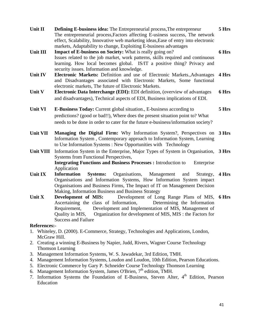|    | Unit II             | <b>Defining E-business idea:</b> The Entrepreneurial process, The entrepreneur                                                                          | 5 Hrs |
|----|---------------------|---------------------------------------------------------------------------------------------------------------------------------------------------------|-------|
|    |                     | The entrepreneurial process, Factors affecting E-usiness success, The network                                                                           |       |
|    |                     | effect, Scalability, Innovative web marketing ideas, Ease of entry into electronic<br>markets, Adaptability to change, Exploiting E-business advantages |       |
|    | Unit III            | <b>Impact of E-business on Society:</b> What is really going on?                                                                                        | 6 Hrs |
|    |                     | Issues related to the job market, work patterns, skills required and continuous                                                                         |       |
|    |                     | learning. How local becomes global. IS/IT a positive thing? Privacy and                                                                                 |       |
|    |                     | security issues. Information and knowledge.                                                                                                             |       |
|    | Unit IV             | Electronic Markets: Definition and use of Electronic Markets., Advantages                                                                               | 4 Hrs |
|    |                     | and Disadvantages associated with Electronic Markets, Some functional                                                                                   |       |
|    |                     | electronic markets, The future of Electronic Markets.                                                                                                   |       |
|    | Unit V              | <b>Electronic Data Interchange (EDI):</b> EDI definition, (overview of advantages                                                                       | 6 Hrs |
|    |                     | and disadvantages), Technical aspects of EDI, Business implications of EDI.                                                                             |       |
|    | <b>Unit VI</b>      | E-Business Today: Current global situation., E-business according to                                                                                    | 5 Hrs |
|    |                     | predictions? (good or bad!!), Where does the present situation point to? What                                                                           |       |
|    |                     | needs to be done in order to cater for the future e-business/information society?                                                                       |       |
|    | <b>Unit VII</b>     | Managing the Digital Firm: Why Information System?, Perspectives on                                                                                     | 3 Hrs |
|    |                     | Information System, Contemporary approach to Information System, Learning                                                                               |       |
|    |                     | to Use Information Systems : New Opportunities with Technology                                                                                          |       |
|    | Unit VIII           | Information System in the Enterprise, Major Types of System in Organisation, 3 Hrs                                                                      |       |
|    |                     | Systems from Functional Perspectives,                                                                                                                   |       |
|    |                     | <b>Integrating Functions and Business Processes: Introduction to</b><br>Enterprise                                                                      |       |
|    |                     | Application                                                                                                                                             |       |
|    | Unit IX             | <b>Information</b><br>Organisations,<br><b>Systems:</b><br>Management<br>and<br>Strategy,                                                               | 4 Hrs |
|    |                     | Organisations and Information Systems, How Information System impact<br>Organisations and Business Firms, The Impact of IT on Management Decision       |       |
|    |                     | Making, Information Business and Business Strategy                                                                                                      |       |
|    | Unit X              | Development of Long Range Plans of MIS,<br>Development of MIS:                                                                                          | 6 Hrs |
|    |                     | Ascertaining the class of Information,<br>Determining the Information                                                                                   |       |
|    |                     | Development and Implementation of MIS, Management of<br>Requirement,                                                                                    |       |
|    |                     | Quality in MIS,<br>Organization for development of MIS, MIS : the Factors for                                                                           |       |
|    |                     | <b>Success and Failure</b>                                                                                                                              |       |
|    | <b>References:-</b> |                                                                                                                                                         |       |
|    |                     | 1. Whiteley, D. (2000). E-Commerce, Strategy, Technologies and Applications, London,                                                                    |       |
|    | McGraw Hill.        |                                                                                                                                                         |       |
|    |                     | 2. Creating a winning E-Business by Napier, Judd, Rivers, Wagner Course Technology                                                                      |       |
| 3. |                     | <b>Thomson Learning</b><br>Management Information Systems, W. S. Jawadekar, 3rd Edition, TMH.                                                           |       |
|    |                     | 4. Management Information Systems, Loudon and Loudon, 10th Edition, Pearson Educations.                                                                 |       |
|    |                     | 5. Electronic Commerce by Gary P. Schneider Course Technology Thomson Learning                                                                          |       |

- 6. Management Information System, James O'Brien, 7<sup>th</sup> edition, TMH.
- 7. Information Systems the Foundation of E-Business, Steven Alter, 4<sup>th</sup> Edition, Pearson Education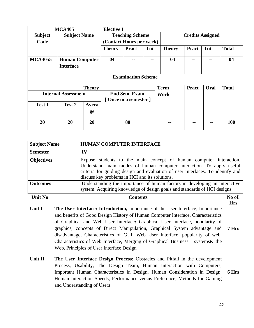| <b>MCA405</b>  |                                           |               | <b>Elective I</b>                       |                          |     |               |                         |      |              |  |  |  |
|----------------|-------------------------------------------|---------------|-----------------------------------------|--------------------------|-----|---------------|-------------------------|------|--------------|--|--|--|
| <b>Subject</b> | <b>Subject Name</b>                       |               |                                         | <b>Teaching Scheme</b>   |     |               | <b>Credits Assigned</b> |      |              |  |  |  |
| Code           |                                           |               |                                         | (Contact Hours per week) |     |               |                         |      |              |  |  |  |
|                |                                           |               | <b>Theory</b>                           | <b>Pract</b>             | Tut | <b>Theory</b> | <b>Pract</b>            | Tut  | <b>Total</b> |  |  |  |
| <b>MCA4055</b> | <b>Human Computer</b><br><b>Interface</b> |               | 04                                      | --                       | --  | 04            | --                      |      | 04           |  |  |  |
|                | <b>Examination Scheme</b>                 |               |                                         |                          |     |               |                         |      |              |  |  |  |
|                |                                           | <b>Theory</b> |                                         |                          |     | <b>Term</b>   | <b>Pract</b>            | Oral | <b>Total</b> |  |  |  |
|                | <b>Internal Assessment</b>                |               | End Sem. Exam.<br>[Once in a semester ] |                          |     | Work          |                         |      |              |  |  |  |
| Test 1         | Test 2                                    | Avera         |                                         |                          |     |               |                         |      |              |  |  |  |
|                |                                           | ge            |                                         |                          |     |               |                         |      |              |  |  |  |
| 20             | 20                                        | 20            |                                         | 80                       |     | --            |                         |      | <b>100</b>   |  |  |  |

| <b>Subject Name</b> | HUMAN COMPUTER INTERFACE                                                                                                                                                                                                                                                       |
|---------------------|--------------------------------------------------------------------------------------------------------------------------------------------------------------------------------------------------------------------------------------------------------------------------------|
| <b>Semester</b>     | IV                                                                                                                                                                                                                                                                             |
| <b>Objectives</b>   | Expose students to the main concept of human computer interaction.<br>Understand main modes of human computer interaction. To apply useful<br>criteria for guiding design and evaluation of user interfaces. To identify and<br>discuss key problems in HCI and its solutions. |
| <b>Outcomes</b>     | Understanding the importance of human factors in developing an interactive<br>system. Acquiring knowledge of design goals and standards of HCI designs                                                                                                                         |
| <b>Unit No</b>      | No of.<br>Contents                                                                                                                                                                                                                                                             |

- Unit I The User Interface: Introduction, Importance of the User Interface, Importance and benefits of Good Design History of Human Computer Interface. Characteristics of Graphical and Web User Interface**:** Graphical User Interface, popularity of graphics, concepts of Direct Manipulation, Graphical System advantage and disadvantage, Characteristics of GUI. Web User Interface, popularity of web, Characteristics of Web Interface, Merging of Graphical Business systems& the Web, Principles of User Interface Design **7 Hrs**
- **Unit II** The User Interface Design Process: Obstacles and Pitfall in the development Process, Usability, The Design Team, Human Interaction with Computers, Important Human Characteristics in Design, Human Consideration in Design, Human Interaction Speeds, Performance versus Preference, Methods for Gaining and Understanding of Users **6 Hrs**

**Hrs**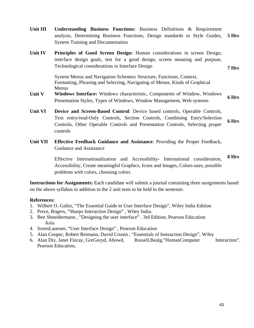- **Unit III Understanding Business Functions:** Business Definitions & Requirement analysis, Determining Business Functions, Design standards or Style Guides, System Training and Documentation **5 Hrs Unit IV Principles of Good Screen Design:** Human considerations in screen Design, interface design goals, test for a good design, screen meaning and purpose, Technological considerations in Interface Design System Menus and Navigation Schemes**:** Structure, Functions, Context, Formatting, Phrasing and Selecting, Navigating of Menus, Kinds of Graphical Menus **7 Hrs Unit V Windows Interface:** Windows characteristic, Components of Window, Windows
- Presentation Styles, Types of Windows, Window Management, Web systems **6 Hrs**
- **Unit VI Device and Screen-Based Control**: Device based controls, Operable Controls, Text entry/read-Only Controls, Section Controls, Combining Entry/Selection Controls, Other Operable Controls and Presentation Controls, Selecting proper controls **6 Hrs**
- **Unit VII Effective Feedback Guidance and Assistance**: Providing the Proper Feedback, Guidance and Assistance

Effective Internationalization and Accessibility**-** International consideration, Accessibility, Create meaningful Graphics, Icons and Images, Colors-uses, possible problems with colors, choosing colors **8 Hrs** 

**Instructions for Assignments:** Each candidate will submit a journal containing three assignments based on the above syllabus in addition to the 2 unit tests to be held in the semester.

#### **References:**

- 1. Wilbert O. Galitz, "The Essential Guide to User Interface Design", Wiley India Edition
- 2. Prece, Rogers, "Sharps Interaction Design" , Wiley India.
- 3. Ben Shneidermann , "Designing the user interface" . 3rd Edition, Pearson Education Asia.
- 4. SorenLauesen, "User Interface Design" , Pearson Education
- 5. Alan Cooper, Robert Reimann, David Cronin , "Essentials of Interaction Design", Wiley
- 6. Alan Dix, Janet Fincay, GreGoryd, Abowd, Russell,Bealg,"HumanComputer Interaction", Pearson Education,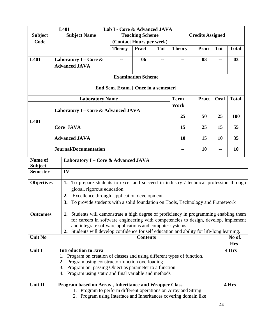| Lab I - Core & Advanced JAVA<br>L401                                                                         |                                                                                                                                                  |                                      |                           |     |               |                         |      |              |
|--------------------------------------------------------------------------------------------------------------|--------------------------------------------------------------------------------------------------------------------------------------------------|--------------------------------------|---------------------------|-----|---------------|-------------------------|------|--------------|
| <b>Subject</b>                                                                                               | <b>Subject Name</b>                                                                                                                              |                                      | <b>Teaching Scheme</b>    |     |               | <b>Credits Assigned</b> |      |              |
| Code                                                                                                         |                                                                                                                                                  |                                      | (Contact Hours per week)  |     |               |                         |      |              |
|                                                                                                              |                                                                                                                                                  | <b>Theory</b>                        | <b>Pract</b>              | Tut | <b>Theory</b> | <b>Pract</b>            | Tut  | <b>Total</b> |
| L401                                                                                                         | Laboratory I – Core &                                                                                                                            |                                      | 06                        |     |               | 03                      |      | 03           |
|                                                                                                              | <b>Advanced JAVA</b>                                                                                                                             |                                      |                           |     |               |                         |      |              |
|                                                                                                              |                                                                                                                                                  |                                      |                           |     |               |                         |      |              |
|                                                                                                              |                                                                                                                                                  |                                      | <b>Examination Scheme</b> |     |               |                         |      |              |
|                                                                                                              |                                                                                                                                                  | End Sem. Exam. [ Once in a semester] |                           |     |               |                         |      |              |
|                                                                                                              | <b>Laboratory Name</b>                                                                                                                           |                                      |                           |     | <b>Term</b>   | <b>Pract</b>            | Oral | <b>Total</b> |
|                                                                                                              | Laboratory I – Core & Advanced JAVA                                                                                                              |                                      |                           |     | Work          |                         |      |              |
| L401                                                                                                         |                                                                                                                                                  |                                      |                           |     | 25            | 50                      | 25   | <b>100</b>   |
|                                                                                                              | <b>Core JAVA</b>                                                                                                                                 |                                      |                           |     | 15            | 25                      | 15   | 55           |
|                                                                                                              | <b>Advanced JAVA</b>                                                                                                                             | 10                                   | 15                        | 10  | 35            |                         |      |              |
|                                                                                                              | <b>Journal/Documentation</b>                                                                                                                     |                                      |                           |     | --            | 10                      | --   | 10           |
| Name of<br><b>Subject</b>                                                                                    | Laboratory I - Core & Advanced JAVA                                                                                                              |                                      |                           |     |               |                         |      |              |
| <b>Semester</b>                                                                                              | IV                                                                                                                                               |                                      |                           |     |               |                         |      |              |
| <b>Objectives</b>                                                                                            | 1. To prepare students to excel and succeed in industry / technical profession through                                                           |                                      |                           |     |               |                         |      |              |
|                                                                                                              | global, rigorous education.                                                                                                                      |                                      |                           |     |               |                         |      |              |
|                                                                                                              | Excellence through application development.<br>$2_{\bullet}$                                                                                     |                                      |                           |     |               |                         |      |              |
|                                                                                                              | To provide students with a solid foundation on Tools, Technology and Framework<br><b>3.</b>                                                      |                                      |                           |     |               |                         |      |              |
| <b>Outcomes</b>                                                                                              | 1. Students will demonstrate a high degree of proficiency in programming enabling them                                                           |                                      |                           |     |               |                         |      |              |
|                                                                                                              | for careers in software engineering with competencies to design, develop, implement<br>and integrate software applications and computer systems. |                                      |                           |     |               |                         |      |              |
|                                                                                                              | Students will develop confidence for self education and ability for life-long learning.<br>$\mathbf{2}$ .                                        |                                      |                           |     |               |                         |      |              |
| <b>Unit No</b>                                                                                               |                                                                                                                                                  |                                      | <b>Contents</b>           |     |               |                         |      | No of.       |
|                                                                                                              |                                                                                                                                                  |                                      |                           |     |               |                         |      | <b>Hrs</b>   |
| Unit I                                                                                                       | <b>Introduction to Java</b>                                                                                                                      |                                      |                           |     |               |                         |      | 4 Hrs        |
|                                                                                                              | 1. Program on creation of classes and using different types of function.                                                                         |                                      |                           |     |               |                         |      |              |
| 2. Program using constructor/function overloading<br>3. Program on passing Object as parameter to a function |                                                                                                                                                  |                                      |                           |     |               |                         |      |              |
|                                                                                                              | 4. Program using static and final variable and methods                                                                                           |                                      |                           |     |               |                         |      |              |
|                                                                                                              |                                                                                                                                                  |                                      |                           |     |               |                         |      |              |
| Unit II                                                                                                      | Program based on Array, Inheritance and Wrapper Class                                                                                            |                                      |                           |     |               |                         |      | 4 Hrs        |
|                                                                                                              | 1. Program to perform different operations on Array and String                                                                                   |                                      |                           |     |               |                         |      |              |
|                                                                                                              | 2. Program using Interface and Inheritances covering domain like                                                                                 |                                      |                           |     |               |                         |      |              |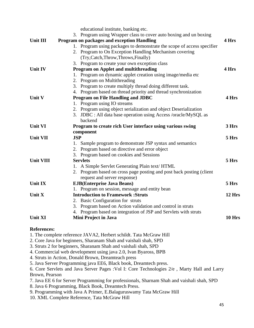|                  | educational institute, banking etc.                                    |        |
|------------------|------------------------------------------------------------------------|--------|
|                  | 3. Program using Wrapper class to cover auto boxing and un boxing      |        |
| Unit III         | Program on packages and exception Handling                             | 4 Hrs  |
|                  | 1. Program using packages to demonstrate the scope of access specifier |        |
|                  | 2. Program to On Exception Handling Mechanism covering                 |        |
|                  | (Try, Catch, Throw, Throws, Finally)                                   |        |
|                  | 3. Program to create your own exception class                          |        |
| <b>Unit IV</b>   | Program on Applet and multithreading                                   | 4 Hrs  |
|                  | Program on dynamic applet creation using image/media etc<br>1.         |        |
|                  | 2. Program on Multithreading                                           |        |
|                  | 3. Program to create multiply thread doing different task.             |        |
|                  | 4. Program based on thread priority and thread synchronization         |        |
| Unit V           | <b>Program on File Handling and JDBC</b>                               | 4 Hrs  |
|                  | 1. Program using IO streams                                            |        |
|                  | 2. Program using object serialization and object Deserialization       |        |
|                  | 3. JDBC : All data base operation using Access /oracle/MySQL as        |        |
|                  | backend                                                                |        |
| <b>Unit VI</b>   | Program to create rich User interface using various swing              | 3 Hrs  |
|                  | component                                                              |        |
| <b>Unit VII</b>  | <b>JSP</b>                                                             | 5 Hrs  |
|                  | 1. Sample program to demonstrate JSP syntax and semantics              |        |
|                  | 2. Program based on directive and error object                         |        |
|                  | 3. Program based on cookies and Sessions                               |        |
| <b>Unit VIII</b> | <b>Servlets</b>                                                        | 5 Hrs  |
|                  | 1. A Simple Servlet Generating Plain text/ HTML                        |        |
|                  | 2. Program based on cross page posting and post back posting (client   |        |
|                  | request and server response)                                           |        |
| <b>Unit IX</b>   | <b>EJB</b> (Enterprise Java Beans)                                     | 5 Hrs  |
|                  | 1. Program on session, message and entity bean                         |        |
| Unit X           | <b>Introduction to Framework: Struts</b>                               | 12 Hrs |
|                  | 2. Basic Configuration for struts                                      |        |
|                  | 3. Program based on Action validation and control in struts            |        |
|                  | 4. Program based on integration of JSP and Servlets with struts        |        |
| <b>Unit XI</b>   | Mini Project in Java                                                   | 10 Hrs |
|                  |                                                                        |        |

### **References:**

1. The complete reference JAVA2, Herbert schildt. Tata McGraw Hill

- 2. Core Java for beginners, Sharanam Shah and vaishali shah, SPD
- 3. Struts 2 for beginners, Sharanam Shah and vaishali shah, SPD
- 4. Commercial web development using java 2.0, Ivan Byaross, BPB
- 4. Struts in Action, Donald Brown, Dreamteach press
- 5. Java Server Programming java EE6, Black book, Dreamtech press.

6. Core Servlets and Java Server Pages :Vol I: Core Technologies 2/e , Marty Hall and Larry Brown, Pearson

- 7. Java EE 6 for Server Programming for professionals, Sharnam Shah and vaishali shah, SPD
- 8. Java 6 Programming, Black Book, Dreamtech Press.
- 9. Programming with Java A Primer, E.Balaguruswamy Tata McGraw Hill
- 10. XML Complete Reference, Tata McGraw Hill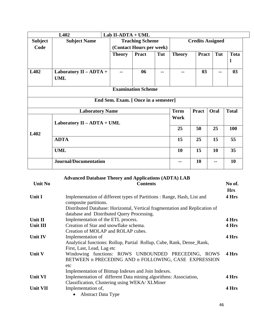|                | L402                                 | Lab II-ADTA + UML                    |                           |     |                         |              |      |                  |  |  |  |
|----------------|--------------------------------------|--------------------------------------|---------------------------|-----|-------------------------|--------------|------|------------------|--|--|--|
| <b>Subject</b> | <b>Subject Name</b>                  |                                      | <b>Teaching Scheme</b>    |     | <b>Credits Assigned</b> |              |      |                  |  |  |  |
| Code           |                                      |                                      | (Contact Hours per week)  |     |                         |              |      |                  |  |  |  |
|                |                                      | <b>Theory</b>                        | <b>Pract</b>              | Tut | <b>Theory</b>           | <b>Pract</b> | Tut  | <b>Tota</b><br>1 |  |  |  |
| L402           | Laboratory II - ADTA +<br><b>UML</b> |                                      | 06                        |     |                         | 03           |      | 03               |  |  |  |
|                |                                      |                                      | <b>Examination Scheme</b> |     |                         |              |      |                  |  |  |  |
|                |                                      | End Sem. Exam. [ Once in a semester] |                           |     |                         |              |      |                  |  |  |  |
|                | <b>Laboratory Name</b>               |                                      |                           |     | <b>Term</b>             | <b>Pract</b> | Oral | <b>Total</b>     |  |  |  |
|                | Laboratory II - ADTA + UML           |                                      |                           |     | Work                    |              |      |                  |  |  |  |
| L402           |                                      |                                      |                           |     | 25                      | 50           | 25   | 100              |  |  |  |
|                | <b>ADTA</b>                          |                                      |                           |     |                         | 25           | 15   | 55               |  |  |  |
|                | <b>UML</b>                           |                                      |                           |     |                         | 15           | 10   | 35 <sup>5</sup>  |  |  |  |
|                | <b>Journal/Documentation</b>         |                                      |                           |     | --                      | 10           | --   | 10               |  |  |  |

# **Advanced Database Theory and Applications (ADTA) LAB**

| <b>Unit No</b>  | <b>Contents</b>                                                                                                    | No of.<br><b>Hrs</b> |
|-----------------|--------------------------------------------------------------------------------------------------------------------|----------------------|
| Unit I          | Implementation of different types of Partitions : Range, Hash, List and<br>composite partitions.                   | 4 Hrs                |
|                 | Distributed Database: Horizontal, Vertical fragmentation and Replication of                                        |                      |
| Unit II         | database and Distributed Query Processing.                                                                         | 4 Hrs                |
|                 | Implementation of the ETL process.                                                                                 |                      |
| Unit III        | Creation of Star and snowflake schema.<br>Creation of MOLAP and ROLAP cubes.                                       | 4 Hrs                |
| <b>Unit IV</b>  | Implementation of                                                                                                  | 4 Hrs                |
|                 | Analytical functions: Rollup, Partial Rollup, Cube, Rank, Dense_Rank,                                              |                      |
|                 | First, Last, Lead, Lag etc                                                                                         |                      |
| <b>Unit V</b>   | Windowing functions: ROWS UNBOUNDED PRECEDING, ROWS<br>BETWEEN n PRECEDING AND n FOLLOWING, CASE EXPRESSION<br>etc | 4 Hrs                |
|                 | Implementation of Bitmap Indexes and Join Indexes.                                                                 |                      |
| <b>Unit VI</b>  | Implementation of different Data mining algorithms: Association,                                                   | 4 Hrs                |
|                 | Classification, Clustering using WEKA/XLMiner                                                                      |                      |
| <b>Unit VII</b> | Implementation of,                                                                                                 | 4 Hrs                |
|                 | <b>Abstract Data Type</b>                                                                                          |                      |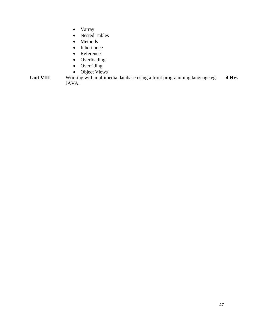- Varray
- Nested Tables
- Methods
- Inheritance
- Reference
- Overloading
- Overriding
- Object Views

Unit VIII Working with multimedia database using a front programming language eg: JAVA. **4 Hrs**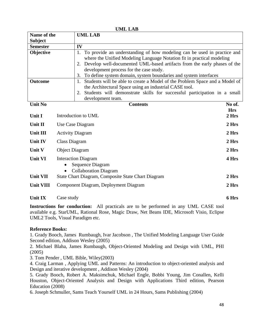**Name of the Subject UML LAB Semester** IV **Objective** 1. To provide an understanding of how modeling can be used in practice and where the Unified Modeling Language Notation fit in practical modeling 2. Develop well-documented UML-based artifacts from the early phases of the development process for the case study. 3. To define system domain, system boundaries and system interfaces **Outcome** 1. Students will be able to create a Model of the Problem Space and a Model of the Architectural Space using an industrial CASE tool. 2. Students will demonstrate skills for successful participation in a small development team.

| <b>Unit No</b>   | <b>Contents</b>                                                                | No of.<br><b>Hrs</b> |
|------------------|--------------------------------------------------------------------------------|----------------------|
| Unit I           | Introduction to UML                                                            | 2 Hrs                |
| Unit II          | Use Case Diagram                                                               | 2 Hrs                |
| Unit III         | <b>Activity Diagram</b>                                                        | 2 Hrs                |
| <b>Unit IV</b>   | Class Diagram                                                                  | 2 Hrs                |
| <b>Unit V</b>    | <b>Object Diagram</b>                                                          | 2 Hrs                |
| <b>Unit VI</b>   | <b>Interaction Diagram</b><br>Sequence Diagram<br><b>Collaboration Diagram</b> | 4 Hrs                |
| <b>Unit VII</b>  | State Chart Diagram, Composite State Chart Diagram                             | 2 Hrs                |
| <b>Unit VIII</b> | Component Diagram, Deployment Diagram                                          | 2 Hrs                |

#### **Unit IX** Case study **6 Hrs**

**Instructions for conduction:** All practicals are to be performed in any UML CASE tool available e.g. StarUML, Rational Rose, Magic Draw, Net Beans IDE, Microsoft Visio, Eclipse UML2 Tools, Visual Paradigm etc.

#### **Reference Books:**

1. Grady Booch, James Rumbaugh, Ivar Jacobson , The Unified Modeling Language User Guide Second edition, Addison Wesley (2005)

2. Michael Blaha, James Rumbaugh, Object-Oriented Modeling and Design with UML, PHI (2005)

3. Tom Pender , UML Bible, Wiley(2003)

4. Craig Larman , Applying UML and Patterns: An introduction to object-oriented analysis and Design and iterative development , Addison Wesley (2004)

5. Grady Booch, Robert A. Maksimchuk, Michael Engle, Bobbi Young, Jim Conallen, Kelli Houston, Object-Oriented Analysis and Design with Applications Third edition, Pearson Education (2008)

6. Joseph Schmuller, Sams Teach Yourself UML in 24 Hours, Sams Publishing (2004)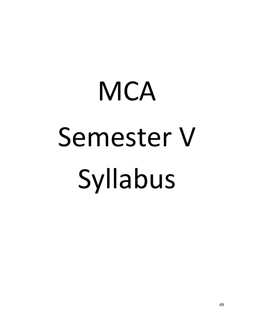# **MCA** Semester V Syllabus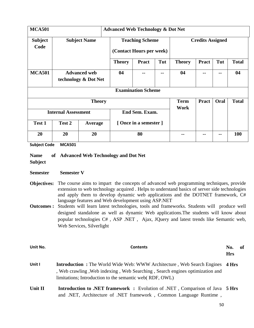| <b>MCA501</b>              |        |                                             | <b>Advanced Web Technology &amp; Dot Net</b>       |                           |     |                     |                         |      |              |
|----------------------------|--------|---------------------------------------------|----------------------------------------------------|---------------------------|-----|---------------------|-------------------------|------|--------------|
| <b>Subject</b><br>Code     |        | <b>Subject Name</b>                         | <b>Teaching Scheme</b><br>(Contact Hours per week) |                           |     |                     | <b>Credits Assigned</b> |      |              |
|                            |        |                                             | <b>Theory</b>                                      | <b>Pract</b>              | Tut | <b>Theory</b>       | <b>Pract</b>            | Tut  | <b>Total</b> |
| <b>MCA501</b>              |        | <b>Advanced web</b><br>technology & Dot Net | 04<br>--<br>--                                     |                           | 04  |                     | --                      | 04   |              |
|                            |        |                                             |                                                    | <b>Examination Scheme</b> |     |                     |                         |      |              |
|                            |        | <b>Theory</b>                               |                                                    |                           |     | <b>Term</b><br>Work | <b>Pract</b>            | Oral | <b>Total</b> |
| <b>Internal Assessment</b> |        | End Sem. Exam.                              |                                                    |                           |     |                     |                         |      |              |
| Test 1                     | Test 2 | Average                                     |                                                    | [Once in a semester]      |     |                     |                         |      |              |
| 20                         | 20     | 20                                          |                                                    | 80                        |     |                     |                         |      | <b>100</b>   |

**Subject Code MCA501** 

#### **Name Advanced Web Technology and Dot Net**

**Subject** 

#### **Semester Semester V**

- **Objectives:** The course aims to impart the concepts of advanced web programming techniques, provide extension to web technology acquired . Helps to understand basics of server side technologies and apply them to develop dynamic web applications and the DOTNET framework, C# language features and Web development using ASP.NET
- **Outcomes :** Students will learn latest technologies, tools and frameworks. Students will produce well designed standalone as well as dynamic Web applications.The students will know about popular technologies C# , ASP .NET , Ajax, JQuery and latest trends like Semantic web, Web Services, Silverlight

| Unit No.     | <b>Contents</b>                                                                                                                                                                                                                  | No.<br><b>Hrs</b> | -of |
|--------------|----------------------------------------------------------------------------------------------------------------------------------------------------------------------------------------------------------------------------------|-------------------|-----|
| Unit I       | <b>Introduction :</b> The World Wide Web: WWW Architecture, Web Search Engines 4 Hrs<br>, Web crawling, Web indexing, Web Searching, Search engines optimization and<br>limitations; Introduction to the semantic web (RDF, OWL) |                   |     |
| $I1$ if $I1$ | Introduction to NET fromework . Evolution of NET Competison of Lave 5 Urg                                                                                                                                                        |                   |     |

Unit II **Introduction to .NET framework :** Evolution of .NET, Comparison of Java 5 Hrs and .NET, Architecture of .NET framework , Common Language Runtime ,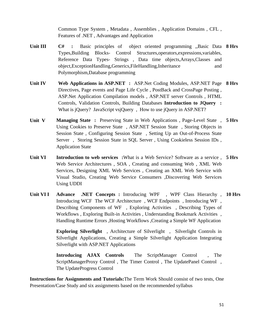Common Type System , Metadata , Assemblies , Application Domains , CFL , Features of .NET , Advantages and Application

- Unit III C# : Basic principles of object oriented programming "Basic Data 8 Hrs Types,Building Blocks- Control Structures,operators,expressions,variables, Reference Data Types- Strings , Data time objects,Arrays,Classes and object,ExceptionHandling,Generics,FileHandling,Inheritance and Polymorphism,Database programming
- **Unit IV Web Applications in ASP.NET :** ASP.Net Coding Modules, ASP.NET Page **8 Hrs** Directives, Page events and Page Life Cycle , PostBack and CrossPage Posting , ASP.Net Application Compilation models , ASP.NET server Controls , HTML Controls, Validation Controls, Building Databases **Introduction to JQuery :**  What is jQuery? JavaScript vsjQuery, How to use jQuery in ASP.NET?
- **Unit V Managing State :** Preserving State in Web Applications , Page-Level State , **5 Hrs** Using Cookies to Preserve State , ASP.NET Session State , Storing Objects in Session State , Configuring Session State , Setting Up an Out-of-Process State Server , Storing Session State in SQL Server , Using Cookieless Session IDs , Application State
- Unit VI **Introduction to web services** : What is a Web Service? Software as a service, 5 Hrs Web Service Architectures , SOA , Creating and consuming Web , XML Web Services, Designing XML Web Services , Creating an XML Web Service with Visual Studio, Creating Web Service Consumers ,Discovering Web Services Using UDDI
- Unit VI I Advance .NET Concepts: Introducing WPF, WPF Class Hierarchy, 10 Hrs Introducing WCF The WCF Architecture , WCF Endpoints , Introducing WF , Describing Components of WF , Exploring Activities , Describing Types of Workflows , Exploring Built-in Activities , Understanding Bookmark Activities , Handling Runtime Errors ,Hosting Workflows ,Creating a Simple WF Application

**Exploring Silverlight**, Architecture of Silverlight, Silverlight Controls in Silverlight Applications, Creating a Simple Silverlight Application Integrating Silverlight with ASP.NET Applications

**Introducing AJAX Controls** The ScriptManager Control , The ScriptManagerProxy Control , The Timer Control , The UpdatePanel Control , The UpdateProgress Control

**Instructions for Assignments and Tutorials:**The Term Work Should consist of two tests, One Presentation/Case Study and six assignments based on the recommended syllabus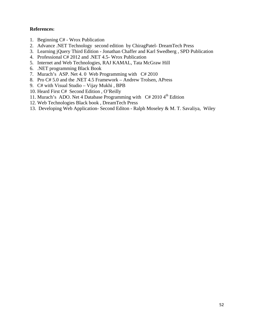#### **References:**

- 1. Beginning C# Wrox Publication
- 2. Advance .NET Technology second edition by ChiragPatel- DreamTech Press
- 3. Learning jQuery Third Edition Jonathan Chaffer and Karl Swedberg , SPD Publication
- 4. Professional C# 2012 and .NET 4.5- Wrox Publication
- 5. Internet and Web Technologies, RAJ KAMAL, Tata McGraw Hill
- 6. .NET programming Black Book
- 7. Murach's ASP. Net 4. 0 Web Programming with C# 2010
- 8. Pro C# 5.0 and the .NET 4.5 Framework Andrew Trolsen, APress
- 9. C# with Visual Studio Vijay Mukhi , BPB
- 10. Heard First C# Second Edition , O'Reilly
- 11. Murach's ADO. Net 4 Database Programming with  $C# 2010 4<sup>th</sup>$  Edition
- 12. Web Technologies Black book , DreamTech Press
- 13. Developing Web Application- Second Editon Ralph Moseley & M. T. Savaliya, Wiley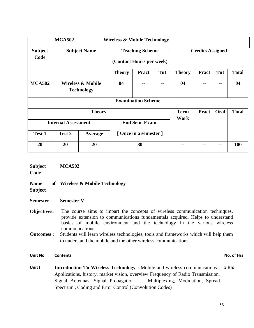| <b>MCA502</b>              |                                                   |                     | <b>Wireless &amp; Mobile Technology</b> |                                                    |     |                     |                         |            |              |
|----------------------------|---------------------------------------------------|---------------------|-----------------------------------------|----------------------------------------------------|-----|---------------------|-------------------------|------------|--------------|
| <b>Subject</b><br>Code     |                                                   | <b>Subject Name</b> |                                         | <b>Teaching Scheme</b><br>(Contact Hours per week) |     |                     | <b>Credits Assigned</b> |            |              |
|                            |                                                   |                     | <b>Theory</b>                           | <b>Pract</b>                                       | Tut | <b>Theory</b>       | <b>Pract</b>            | Tut        | <b>Total</b> |
| <b>MCA502</b>              | <b>Wireless &amp; Mobile</b><br><b>Technology</b> |                     | 04                                      | --                                                 | --  | 04                  |                         | --         | 04           |
|                            |                                                   |                     |                                         | <b>Examination Scheme</b>                          |     |                     |                         |            |              |
|                            |                                                   | <b>Theory</b>       |                                         |                                                    |     | <b>Term</b><br>Work | <b>Pract</b>            | Oral       | <b>Total</b> |
| <b>Internal Assessment</b> |                                                   |                     |                                         | End Sem. Exam.                                     |     |                     |                         |            |              |
| Test 1                     | Test 2                                            | Average             | [Once in a semester]                    |                                                    |     |                     |                         |            |              |
| 20                         | 20                                                | 20                  | 80                                      |                                                    | --  |                     |                         | <b>100</b> |              |

| <b>Subject</b><br>Code        | <b>MCA502</b>                                                                                                                                                                                                                                               |
|-------------------------------|-------------------------------------------------------------------------------------------------------------------------------------------------------------------------------------------------------------------------------------------------------------|
| <b>Name</b><br><b>Subject</b> | of Wireless & Mobile Technology                                                                                                                                                                                                                             |
| <b>Semester</b>               | <b>Semester V</b>                                                                                                                                                                                                                                           |
| <b>Objectives:</b>            | The course aims to impart the concepts of wireless communication techniques,<br>provide extension to communications fundamentals acquired. Helps to understand<br>basics of mobile environment and the technology in the various wireless<br>communications |
| <b>Outcomes:</b>              | Students will learn wireless technologies, tools and frameworks which will help them<br>to understand the mobile and the other wireless communications.                                                                                                     |
| <b>Unit No</b>                | No. of Hrs<br><b>Contents</b>                                                                                                                                                                                                                               |
| Unit I                        | <b>Introduction To Wireless Technology :</b> Mobile and wireless communications, 5 Hrs<br>Applications bistory market vision evention Frequency of Dadie Transmission                                                                                       |

Applications, history, market vision, overview Frequency of Radio Transmission, Signal Antennas, Signal Propagation , Multiplexing, Modulation, Spread Spectrum , Coding and Error Control (Convolution Codes)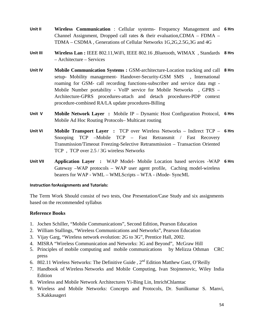- **Unit II Wireless Communication** : Cellular systems- Frequency Management and **6 Hrs** Channel Assignment, Dropped call rates & their evaluation,CDMA – FDMA – TDMA – CSDMA , Generations of Cellular Networks 1G,2G,2.5G,3G and 4G
- **Unit III Wireless Lan :** IEEE 802.11,WiFi, IEEE 802.16 ,Bluetooth, WIMAX , Standards **8 Hrs** – Architecture – Services
- **Unit IV Mobile Communication Systems :** GSM-architecture-Location tracking and call **8 Hrs** setup- Mobility management- Handover-Security-GSM SMS , International roaming for GSM- call recording functions-subscriber and service data mgt - Mobile Number portability - VoIP service for Mobile Networks , GPRS – Architecture-GPRS procedures-attach and detach procedures-PDP context procedure-combined RA/LA update procedures-Billing
- **Unit V Mobile Network Layer :** Mobile IP Dynamic Host Configuration Protocol, **6 Hrs** Mobile Ad Hoc Routing Protocols– Multicast routing
- **Unit VI Mobile Transport Layer :** TCP over Wireless Networks Indirect TCP **6 Hrs** Snooping TCP –Mobile TCP – Fast Retransmit / Fast Recovery Transmission/Timeout Freezing-Selective Retransmission – Transaction Oriented TCP , TCP over 2.5 / 3G wireless Networks
- **Unit VII Application Layer :** WAP Model- Mobile Location based services -WAP **6 Hrs** Gateway –WAP protocols – WAP user agent profile, Caching model-wireless bearers for WAP - WML – WMLScripts – WTA - iMode- SyncML

#### **Instruction forAssignments and Tutorials:**

The Term Work Should consist of two tests, One Presentation/Case Study and six assignments based on the recommended syllabus

#### **Reference Books**

- 1. Jochen Schiller, "Mobile Communications", Second Edition, Pearson Education
- 2. William Stallings, "Wireless Communications and Networks", Pearson Education
- 3. Vijay Garg, "Wireless network evolution: 2G to 3G", Prentice Hall, 2002.
- 4. MISRA "Wireless Communication and Networks: 3G and Beyond", McGraw Hill
- 5. Principles of mobile computing and mobile communications by Melizza Othman CRC press
- 6. 802.11 Wireless Networks: The Definitive Guide,  $2<sup>nd</sup>$  Edition Matthew Gast, O'Reilly
- 7. Handbook of Wireless Networks and Mobile Computing, Ivan Stojmenovic, Wiley India Edition
- 8. Wireless and Mobile Network Architectures Yi-Bing Lin, ImrichChlamtac
- 9. Wireless and Mobile Networks: Concepts and Protocols, Dr. Sunilkumar S. Manvi, S.Kakkasageri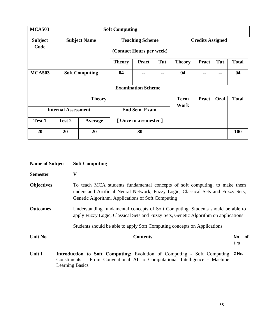| <b>MCA503</b>                                | <b>Soft Computing</b> |                       |                                                    |                           |     |                     |                         |      |              |
|----------------------------------------------|-----------------------|-----------------------|----------------------------------------------------|---------------------------|-----|---------------------|-------------------------|------|--------------|
| <b>Subject</b><br>Code                       |                       | <b>Subject Name</b>   | <b>Teaching Scheme</b><br>(Contact Hours per week) |                           |     |                     | <b>Credits Assigned</b> |      |              |
|                                              |                       |                       | <b>Theory</b>                                      | <b>Pract</b>              | Tut | <b>Theory</b>       | <b>Pract</b>            | Tut  | <b>Total</b> |
| <b>MCA503</b>                                |                       | <b>Soft Computing</b> | 04                                                 |                           | --  | 04                  | --                      |      | 04           |
|                                              |                       |                       |                                                    | <b>Examination Scheme</b> |     |                     |                         |      |              |
|                                              |                       | <b>Theory</b>         |                                                    |                           |     | <b>Term</b><br>Work | <b>Pract</b>            | Oral | <b>Total</b> |
| End Sem. Exam.<br><b>Internal Assessment</b> |                       |                       |                                                    |                           |     |                     |                         |      |              |
| Test 1                                       | Test 2                | Average               | [Once in a semester]                               |                           |     |                     |                         |      |              |
| 20                                           | 20                    | 20                    |                                                    | 80                        |     | --                  |                         |      | <b>100</b>   |

| <b>Name of Subject</b> | <b>Soft Computing</b>                                                                                                                                                                                                |                         |
|------------------------|----------------------------------------------------------------------------------------------------------------------------------------------------------------------------------------------------------------------|-------------------------|
| <b>Semester</b>        | $\mathbf{V}$                                                                                                                                                                                                         |                         |
| <b>Objectives</b>      | To teach MCA students fundamental concepts of soft computing, to make them<br>understand Artificial Neural Network, Fuzzy Logic, Classical Sets and Fuzzy Sets,<br>Genetic Algorithm, Applications of Soft Computing |                         |
| <b>Outcomes</b>        | Understanding fundamental concepts of Soft Computing. Students should be able to<br>apply Fuzzy Logic, Classical Sets and Fuzzy Sets, Genetic Algorithm on applications                                              |                         |
|                        | Students should be able to apply Soft Computing concepts on Applications                                                                                                                                             |                         |
| <b>Unit No</b>         | <b>Contents</b>                                                                                                                                                                                                      | No<br>of.<br><b>Hrs</b> |
| Unit I                 | <b>Introduction to Soft Computing:</b> Evolution of Computing - Soft Computing<br>Constituents – From Conventional AI to Computational Intelligence - Machine<br><b>Learning Basics</b>                              | 2 Hrs                   |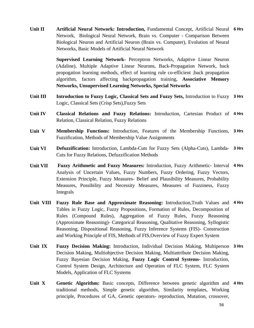Unit II **Artificial Neural Network: Introduction**, Fundamental Concept, Artificial Neural 6 Hrs Network, Biological Neural Network, Brain vs. Computer - Comparison Between Biological Neuron and Artificial Neuron (Brain vs. Computer), Evolution of Neural Networks, Basic Models of Artificial Neural Network

> **Supervised Learning Network-** Perceptron Networks, Adaptive Linear Neuron (Adaline), Multiple Adaptive Linear Neurons, Back-Propagation Network, back propogation learning methods, effect of learning rule co-efficient ;back propagation algorithm, factors affecting backpropagation training, **Associative Memory Networks, Unsupervised Learning Networks, Special Networks**

- Unit III Introduction to Fuzzy Logic, Classical Sets and Fuzzy Sets, Introduction to Fuzzy 3 Hrs Logic, Classical Sets (Crisp Sets),Fuzzy Sets
- **Unit IV Classical Relations and Fuzzy Relations:** Introduction, Cartesian Product of **4 Hrs** Relation, Classical Relation, Fuzzy Relations
- **Unit V Membership Functions:** Introduction, Features of the Membership Functions, **3 Hrs** Fuzzification, Methods of Membership Value Assignments
- **Unit VI Defuzzification:** Introduction, Lambda-Cuts for Fuzzy Sets (Alpha-Cuts), Lambda-**3 Hrs** Cuts for Fuzzy Relations, Defuzzification Methods
- **Unit VII Fuzzy Arithmetic and Fuzzy Measures:** Introduction, Fuzzy Arithmetic- Interval **4 Hrs** Analysis of Uncertain Values, Fuzzy Numbers, Fuzzy Ordering, Fuzzy Vectors, Extension Principle, Fuzzy Measures- Belief and Plausibility Measures, Probability Measures, Possibility and Necessity Measures, Measures of Fuzziness, Fuzzy Integrals
- **Unit VIII Fuzzy Rule Base and Approximate Reasoning:** Introduction,Truth Values and **4 Hrs** Tables in Fuzzy Logic, Fuzzy Propositions, Formation of Rules, Decomposition of Rules (Compound Rules), Aggregation of Fuzzy Rules, Fuzzy Reasoning (Approximate Reasoning)- Categorical Reasoning, Qualitative Reasoning, Syllogistic Reasoning, Dispositional Reasoning, Fuzzy Inference Systems (FIS)- Construction and Working Principle of FIS, Methods of FIS,Overview of Fuzzy Expert System
- **Unit IX Fuzzy Decision Making:** Introduction, Individual Decision Making, Multiperson **3 Hrs** Decision Making, Multiobjective Decision Making, Multiattribute Decision Making, Fuzzy Bayesian Decision Making, **Fuzzy Logic Control Systems-** Introduction, Control System Design, Architecture and Operation of FLC System, FLC System Models, Application of FLC Systems
- Unit X Genetic Algorithm: Basic concepts, Difference between genetic algorithm and 4 Hrs traditional methods, Simple genetic algorithm, Similarity templates, Working principle, Procedures of GA, Genetic operators- reproduction, Mutation, crossover,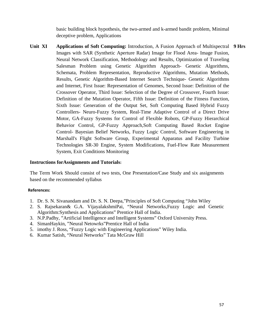basic building block hypothesis, the two-armed and k-armed bandit problem, Minimal deceptive problem, Applications

Unit XI Applications of Soft Computing: Introduction, A Fusion Approach of Multispectral 9 Hrs Images with SAR (Synthetic Aperture Radar) Image for Flood Area- Image Fusion, Neural Network Classification, Methodology and Results, Optimization of Traveling Salesman Problem using Genetic Algorithm Approach- Genetic Algorithms, Schemata, Problem Representation, Reproductive Algorithms, Mutation Methods, Results, Genetic Algorithm-Based Internet Search Technique- Genetic Algorithms and Internet, First Issue: Representation of Genomes, Second Issue: Definition of the Crossover Operator, Third Issue: Selection of the Degree of Crossover, Fourth Issue: Definition of the Mutation Operator, Fifth Issue: Definition of the Fitness Function, Sixth Issue: Generation of the Output Set, Soft Computing Based Hybrid Fuzzy Controllers- Neuro-Fuzzy System, Real-Time Adaptive Control of a Direct Drive Motor, GA-Fuzzy Systems for Control of Flexible Robots, GP-Fuzzy Hierarchical Behavior Control, GP-Fuzzy Approach,Soft Computing Based Rocket Engine Control- Bayesian Belief Networks, Fuzzy Logic Control, Software Engineering in Marshall's Flight Software Group, Experimental Apparatus and Facility Turbine Technologies SR-30 Engine, System Modifications, Fuel-Flow Rate Measurement System, Exit Conditions Monitoring

#### **Instructions forAssignments and Tutorials:**

The Term Work Should consist of two tests, One Presentation/Case Study and six assignments based on the recommended syllabus

#### **References:**

- 1. Dr. S. N. Sivanandam and Dr. S. N. Deepa,"Principles of Soft Computing "John Wiley
- 2. S. Rajsekaran& G.A. VijayalakshmiPai, "Neural Networks,Fuzzy Logic and Genetic Algorithm:Synthesis and Applications" Prentice Hall of India.
- 3. N.P.Padhy, "Artificial Intelligence and Intelligent Systems" Oxford University Press.
- 4. SimanHaykin, "Neural Netowrks"Prentice Hall of India
- 5. imothy J. Ross, "Fuzzy Logic with Engineering Applications" Wiley India.
- 6. Kumar Satish, "Neural Networks" Tata McGraw Hill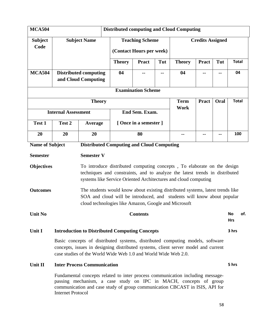| MCA504                                                                     |                                                                                                                                                                                                                                       | <b>Distributed computing and Cloud Computing</b>                                                                                                                                                                                   |               |                                                    |     |               |                         |      |                         |     |
|----------------------------------------------------------------------------|---------------------------------------------------------------------------------------------------------------------------------------------------------------------------------------------------------------------------------------|------------------------------------------------------------------------------------------------------------------------------------------------------------------------------------------------------------------------------------|---------------|----------------------------------------------------|-----|---------------|-------------------------|------|-------------------------|-----|
| <b>Subject</b><br>Code                                                     |                                                                                                                                                                                                                                       | <b>Subject Name</b>                                                                                                                                                                                                                |               | <b>Teaching Scheme</b><br>(Contact Hours per week) |     |               | <b>Credits Assigned</b> |      |                         |     |
|                                                                            |                                                                                                                                                                                                                                       |                                                                                                                                                                                                                                    | <b>Theory</b> | <b>Pract</b>                                       | Tut | <b>Theory</b> | <b>Pract</b>            | Tut  | <b>Total</b>            |     |
| <b>MCA504</b>                                                              |                                                                                                                                                                                                                                       | <b>Distributed computing</b><br>04<br>--<br>--<br>and Cloud Computing                                                                                                                                                              |               |                                                    | 04  | --            |                         | 04   |                         |     |
|                                                                            |                                                                                                                                                                                                                                       |                                                                                                                                                                                                                                    |               | <b>Examination Scheme</b>                          |     |               |                         |      |                         |     |
|                                                                            |                                                                                                                                                                                                                                       | <b>Theory</b>                                                                                                                                                                                                                      |               |                                                    |     | <b>Term</b>   | Pract                   | Oral | <b>Total</b>            |     |
|                                                                            | <b>Internal Assessment</b>                                                                                                                                                                                                            |                                                                                                                                                                                                                                    |               | End Sem. Exam.                                     |     | <b>Work</b>   |                         |      |                         |     |
| Test 1                                                                     | Test 2                                                                                                                                                                                                                                | Average                                                                                                                                                                                                                            |               | [Once in a semester]                               |     |               |                         |      |                         |     |
| 20                                                                         | 20                                                                                                                                                                                                                                    | 20                                                                                                                                                                                                                                 | 80            |                                                    |     | --            |                         |      | 100                     |     |
| <b>Name of Subject</b><br><b>Distributed Computing and Cloud Computing</b> |                                                                                                                                                                                                                                       |                                                                                                                                                                                                                                    |               |                                                    |     |               |                         |      |                         |     |
| <b>Semester</b>                                                            |                                                                                                                                                                                                                                       | <b>Semester V</b>                                                                                                                                                                                                                  |               |                                                    |     |               |                         |      |                         |     |
| <b>Objectives</b>                                                          |                                                                                                                                                                                                                                       | To introduce distributed computing concepts, To elaborate on the design<br>techniques and constraints, and to analyze the latest trends in distributed<br>systems like Service Oriented Architectures and cloud computing          |               |                                                    |     |               |                         |      |                         |     |
| <b>Outcomes</b>                                                            |                                                                                                                                                                                                                                       | The students would know about existing distributed systems, latest trends like<br>SOA and cloud will be introduced, and students will know about popular<br>cloud technologies like Amazon, Google and Microsoft                   |               |                                                    |     |               |                         |      |                         |     |
| <b>Unit No</b>                                                             |                                                                                                                                                                                                                                       |                                                                                                                                                                                                                                    |               | <b>Contents</b>                                    |     |               |                         |      | <b>No</b><br><b>Hrs</b> | of. |
| Unit I                                                                     |                                                                                                                                                                                                                                       | <b>Introduction to Distributed Computing Concepts</b>                                                                                                                                                                              |               |                                                    |     |               |                         |      | 3 hrs                   |     |
|                                                                            | Basic concepts of distributed systems, distributed computing models, software<br>concepts, issues in designing distributed systems, client server model and current<br>case studies of the World Wide Web 1.0 and World Wide Web 2.0. |                                                                                                                                                                                                                                    |               |                                                    |     |               |                         |      |                         |     |
| Unit II                                                                    |                                                                                                                                                                                                                                       | <b>Inter Process Communication</b>                                                                                                                                                                                                 |               |                                                    |     |               |                         |      | 5 hrs                   |     |
|                                                                            | <b>Internet Protocol</b>                                                                                                                                                                                                              | Fundamental concepts related to inter process communication including message-<br>passing mechanism, a case study on IPC in MACH, concepts of group<br>communication and case study of group communication CBCAST in ISIS, API for |               |                                                    |     |               |                         |      |                         |     |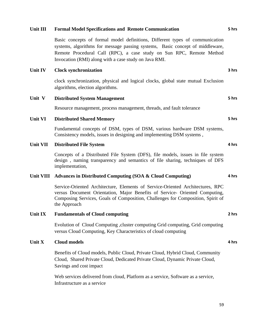#### **Unit III Formal Model Specifications and Remote Communication**

Basic concepts of formal model definitions, Different types of communication systems, algorithms for message passing systems, Basic concept of middleware, Remote Procedural Call (RPC), a case study on Sun RPC, Remote Method Invocation (RMI) along with a case study on Java RMI.

#### **Unit IV Clock synchronization**

clock synchronization, physical and logical clocks, global state mutual Exclusion algorithms, election algorithms.

#### **Unit V Distributed System Management**

Resource management, process management, threads, and fault tolerance

#### **Unit VI Distributed Shared Memory**

Fundamental concepts of DSM, types of DSM, various hardware DSM systems, Consistency models, issues in designing and implementing DSM systems ,

#### **Unit VII Distributed File System**

Concepts of a Distributed File System (DFS), file models, issues in file system design , naming transparency and semantics of file sharing, techniques of DFS implementation,

#### **Unit VIII Advances in Distributed Computing (SOA & Cloud Computing)**

Service-Oriented Architecture, Elements of Service-Oriented Architectures, RPC versus Document Orientation, Major Benefits of Service- Oriented Computing, Composing Services, Goals of Composition, Challenges for Composition, Spirit of the Approach

#### **Unit IX Fundamentals of Cloud computing**

Evolution of Cloud Computing ,cluster computing Grid computing, Grid computing versus Cloud Computing, Key Characteristics of cloud computing

#### **Unit X Cloud models**

Benefits of Cloud models, Public Cloud, Private Cloud, Hybrid Cloud, Community Cloud, Shared Private Cloud, Dedicated Private Cloud, Dynamic Private Cloud, Savings and cost impact

Web services delivered from cloud, Platform as a service, Software as a service, Infrastructure as a service

#### **5 hrs**

**3 hrs**

**5 hrs**

**5 hrs**

**4 hrs**

**4 hrs**

**4 hrs**

**2 hrs**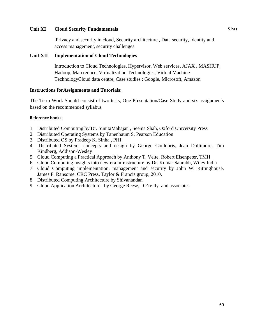#### **Unit XI Cloud Security Fundamentals**

 Privacy and security in cloud, Security architecture , Data security, Identity and access management, security challenges

#### **Unit XII Implementation of Cloud Technologies**

Introduction to Cloud Technologies, Hypervisor, Web services, AJAX , MASHUP, Hadoop, Map reduce, Virtualization Technologies, Virtual Machine TechnologyCloud data centre, Case studies : Google, Microsoft, Amazon

#### **Instructions forAssignments and Tutorials:**

The Term Work Should consist of two tests, One Presentation/Case Study and six assignments based on the recommended syllabus

#### **Reference books:**

- 1. Distributed Computing by Dr. SunitaMahajan , Seema Shah, Oxford University Press
- 2. Distributed Operating Systems by Tanenbaum S, Pearson Education
- 3. Distributed OS by Pradeep K. Sinha , PHI
- 4. Distributed Systems concepts and design by George Coulouris, Jean Dollimore, Tim Kindberg, Addison-Wesley
- 5. Cloud Computing a Practical Approach by Anthony T. Velte, Robert Elsenpeter, TMH
- 6. Cloud Computing insights into new-era infrastructure by Dr. Kumar Saurabh, Wiley India
- 7. Cloud Computing implementation, management and security by John W. Rittinghouse, James F. Ransome, CRC Press, Taylor & Francis group, 2010.
- 8. Distributed Computing Architecture by Shivanandan
- 9. Cloud Application Architecture by George Reese, O'reilly and associates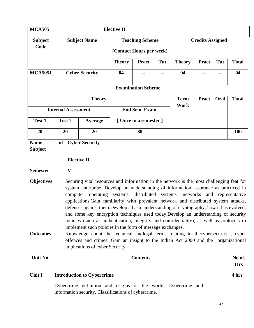| <b>MCA505</b>              | <b>Elective II</b> |                                                                  |                                                    |                           |     |                     |                         |      |              |
|----------------------------|--------------------|------------------------------------------------------------------|----------------------------------------------------|---------------------------|-----|---------------------|-------------------------|------|--------------|
| <b>Subject</b><br>Code     |                    | <b>Subject Name</b>                                              | <b>Teaching Scheme</b><br>(Contact Hours per week) |                           |     |                     | <b>Credits Assigned</b> |      |              |
|                            |                    |                                                                  | <b>Theory</b>                                      | <b>Pract</b>              | Tut | <b>Theory</b>       | <b>Pract</b>            | Tut  | <b>Total</b> |
| <b>MCA5051</b>             |                    | <b>Cyber Security</b>                                            | 04                                                 | --                        | --  | 04                  | --                      | --   | 04           |
|                            |                    |                                                                  |                                                    | <b>Examination Scheme</b> |     |                     |                         |      |              |
|                            |                    | <b>Theory</b>                                                    |                                                    |                           |     | <b>Term</b><br>Work | <b>Pract</b>            | Oral | <b>Total</b> |
| <b>Internal Assessment</b> |                    |                                                                  | End Sem. Exam.                                     |                           |     |                     |                         |      |              |
| Test 1                     | Test 2             | Average                                                          | [Once in a semester]                               |                           |     |                     |                         |      |              |
| 20                         | 20                 | 20                                                               |                                                    | 80                        |     | --                  |                         |      | <b>100</b>   |
| $\mathbf{N}$ $\mathbf{L}$  |                    | $\mathbf{f}$ $\mathbf{C}$ $\mathbf{L}$ $\mathbf{C}$ $\mathbf{C}$ |                                                    |                           |     |                     |                         |      |              |

**Name of Cyber Security** 

**Subject** 

#### **Elective II**

**Semester V** 

- **Objectives** Securing vital resources and information in the network is the most challenging feat for system enterprise. Develop an understanding of information assurance as practiced in computer operating systems, distributed systems, networks and representative applications.Gain familiarity with prevalent network and distributed system attacks, defenses against them.Develop a basic understanding of cryptography, how it has evolved, and some key encryption techniques used today.Develop an understanding of security policies (such as authentication, integrity and confidentiality), as well as protocols to implement such policies in the form of message exchanges.
- **Outcomes** Knowledge about the technical andlegal terms relating to thecybersecurity , cyber offences and crimes. Gain an insight to the Indian Act 2000 and the organizational implications of cyber Security

| <b>Unit No</b> |                                   | No of.<br><b>Contents</b> |
|----------------|-----------------------------------|---------------------------|
|                |                                   | <b>Hrs</b>                |
| Unit I         | <b>Introduction to Cybercrime</b> | 4 hrs                     |

Cybercrime definition and origins of the world, Cybercrime and information security, Classifications of cybercrime,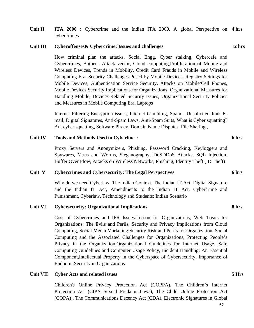Unit II **ITA 2000 :** Cybercrime and the Indian ITA 2000, A global Perspective on 4 hrs cybercrimes

#### **Unit III Cyberoffenses& Cybercrime: Issues and challenges**

How criminal plan the attacks, Social Engg, Cyber stalking, Cybercafe and Cybercrimes, Botnets, Attack vector, Cloud computing,Proliferation of Mobile and Wireless Devices, Trends in Mobility, Credit Card Frauds in Mobile and Wireless Computing Era, Security Challenges Posed by Mobile Devices, Registry Settings for Mobile Devices, Authentication Service Security, Attacks on Mobile/Cell Phones, Mobile Devices:Security Implications for Organizations, Organizational Measures for Handling Mobile, Devices-Related Security Issues, Organizational Security Policies and Measures in Mobile Computing Era, Laptops

Internet Filtering Encryption issues, Internet Gambling, Spam - Unsolicited Junk Email, Digital Signatures, Anti-Spam Laws, Anti-Spam Suits, What is Cyber squatting? Ant cyber squatting, Software Piracy, Domain Name Disputes, File Sharing ,

#### **Unit IV Tools and Methods Used in Cyberline :**

Proxy Servers and Anonymizers, Phishing, Password Cracking, Keyloggers and Spywares, Virus and Worms, Steganography, DoSDDoS Attacks, SQL Injection, Buffer Over Flow, Attacks on Wireless Networks, Phishing, Identity Theft (ID Theft)

#### **Unit V Cybercrimes and Cybersecurity: The Legal Perspectives**

Why do we need Cyberlaw: The Indian Context, The Indian IT Act, Digital Signature and the Indian IT Act, Amendments to the Indian IT Act, Cybercrime and Punishment, Cyberlaw, Technology and Students: Indian Scenario

#### **Unit VI Cybersecurity: Organizational Implications**

Cost of Cybercrimes and IPR Issues:Lesson for Organizations, Web Treats for Organizations: The Evils and Perils, Security and Privacy Implications from Cloud Computing, Social Media Marketing:Security Risk and Perils for Organization, Social Computing and the Associated Challenges for Organizations, Protecting People's Privacy in the Organization,Organizational Guidelines for Internet Usage, Safe Computing Guidelines and Computer Usage Policy, Incident Handling: An Essential Component,Intellectual Property in the Cyberspace of Cybersecurity, Importance of Endpoint Security in Organizations

#### **Unit VII Cyber Acts and related issues**

Children's Online Privacy Protection Act (COPPA), The Children's Internet Protection Act (CIPA Sexual Predator Laws), The Child Online Protection Act (COPA) , The Communications Decency Act (CDA), Electronic Signatures in Global

# **5 Hrs**

**12 hrs** 

# **6 hrs**

**6 hrs** 

**8 hrs**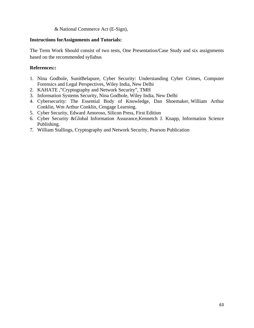#### & National Commerce Act (E-Sign),

#### **Instructions forAssignments and Tutorials:**

The Term Work Should consist of two tests, One Presentation/Case Study and six assignments based on the recommended syllabus

#### **References::**

- 1. Nina Godbole, SunitBelapure, Cyber Security: Understanding Cyber Crimes, Computer Forensics and Legal Perspectives, Wiley India, New Delhi
- 2. KAHATE ,"Cryptography and Network Security", TMH
- 3. Information Systems Security, Nina Godbole, Wiley India, New Delhi
- 4. Cybersecurity: The Essential Body of Knowledge, Dan Shoemaker, William Arthur Conklin, Wm Arthur Conklin, Cengage Learning.
- 5. Cyber Security, Edward Amoroso, Silicon Press, First Edition
- 6. Cyber Security &Global Information Assurance,Kennetch J. Knapp, Information Science Publishing.
- 7. William Stallings, Cryptography and Network Security, Pearson Publication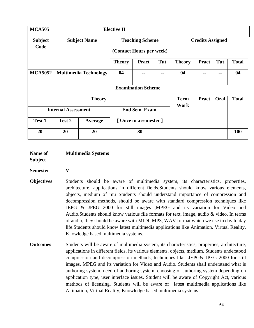| <b>MCA505</b>              |                              |                     | <b>Elective II</b>                                 |                           |     |               |                         |      |              |
|----------------------------|------------------------------|---------------------|----------------------------------------------------|---------------------------|-----|---------------|-------------------------|------|--------------|
| <b>Subject</b><br>Code     |                              | <b>Subject Name</b> | <b>Teaching Scheme</b><br>(Contact Hours per week) |                           |     |               | <b>Credits Assigned</b> |      |              |
|                            |                              |                     | <b>Theory</b>                                      | <b>Pract</b>              | Tut | <b>Theory</b> | <b>Pract</b>            | Tut  | <b>Total</b> |
| <b>MCA5052</b>             | <b>Multimedia Technology</b> |                     | 04                                                 | --                        | --  | 04            |                         | --   | 04           |
|                            |                              |                     |                                                    | <b>Examination Scheme</b> |     |               |                         |      |              |
|                            |                              | <b>Theory</b>       |                                                    |                           |     | <b>Term</b>   | <b>Pract</b>            | Oral | <b>Total</b> |
| <b>Internal Assessment</b> |                              |                     | End Sem. Exam.                                     |                           |     | Work          |                         |      |              |
| <b>Test 1</b>              | Test 2                       | Average             | [Once in a semester]                               |                           |     |               |                         |      |              |
| 20                         | 20                           | 20                  |                                                    | 80                        |     |               |                         |      | 100          |

| Name of | <b>Multimedia Systems</b> |
|---------|---------------------------|
|---------|---------------------------|

**Subject** 

## **Semester V**

- **Objectives** Students should be aware of multimedia system, its characteristics, properties, architecture, applications in different fields.Students should know various elements, objects, medium of mu Students should understand importance of compression and decompression methods, should be aware with standard compression techniques like JEPG & JPEG 2000 for still images ,MPEG and its variation for Video and Audio.Students should know various file formats for text, image, audio & video. In terms of audio, they should be aware with MIDI, MP3, WAV format which we use in day to day life.Students should know latest multimedia applications like Animation, Virtual Reality, Knowledge based multimedia systems.
- **Outcomes** Students will be aware of multimedia system, its characteristics, properties, architecture, applications in different fields, its various elements, objects, medium. Students understood compression and decompression methods, techniques like JEPG& JPEG 2000 for still images, MPEG and its variation for Video and Audio. Students shall understand what is authoring system, need of authoring system, choosing of authoring system depending on application type, user interface issues. Student will be aware of Copyright Act, various methods of licensing. Students will be aware of latest multimedia applications like Animation, Virtual Reality, Knowledge based multimedia systems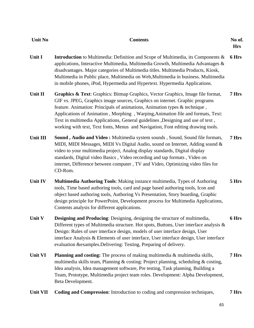| <b>Unit No</b>  | <b>Contents</b>                                                                                                                                                                                                                                                                                                                                                                                                                                                                                          | No of.<br><b>Hrs</b> |
|-----------------|----------------------------------------------------------------------------------------------------------------------------------------------------------------------------------------------------------------------------------------------------------------------------------------------------------------------------------------------------------------------------------------------------------------------------------------------------------------------------------------------------------|----------------------|
| Unit I          | <b>Introduction</b> to Multimedia: Definition and Scope of Multimedia, its Components &<br>applications, Interactive Multimedia, Multimedia Growth, Multimedia Advantages &<br>disadvantages. Major categories of Multimedia titles. Multimedia Products, Kiosk,<br>Multimedia in Public place, Multimedia on Web, Multimedia in business. Multimedia<br>in mobile phones, iPod, Hypermedia and Hypertext. Hypermedia Applications.                                                                      | 6 Hrs                |
| Unit II         | Graphics & Text: Graphics: Bitmap Graphics, Vector Graphics, Image file format,<br>GIF vs. JPEG, Graphics image sources, Graphics on internet. Graphic programs<br>feature. Animation: Principals of animations, Animation types & technique,<br>Applications of Animation, Morphing, Warping, Animation file and formats, Text:<br>Text in multimedia Applications, General guidelines , Designing and use of text,<br>working with text, Text fonts, Menus and Navigation, Font editing drawing tools. | 7 Hrs                |
| Unit III        | Sound, Audio and Video: Multimedia system sounds, Sound, Sound file formats,<br>MIDI, MIDI Messages, MIDI Vs Digital Audio, sound on Internet, Adding sound &<br>video to your multimedia project, Analog display standards, Digital display<br>standards, Digital video Basics, Video recording and tap formats, Video on<br>internet, Difference between computer, TV and Video, Optimizing video files for<br>CD-Rom.                                                                                 | 7 Hrs                |
| Unit IV         | Multimedia Authoring Tools: Making instance multimedia, Types of Authoring<br>tools, Time based authoring tools, card and page based authoring tools, Icon and<br>object based authoring tools, Authoring Vs Presentation, Story boarding, Graphic<br>design principle for PowerPoint, Development process for Multimedia Applications,<br>Contents analysis for different applications.                                                                                                                 | 5 Hrs                |
| Unit V          | Designing and Producing: Designing, designing the structure of multimedia,<br>Different types of Multimedia structure. Hot spots, Buttons, User interface analysis $\&$<br>Design: Rules of user interface design, models of user interface design, User<br>interface Analysis & Elements of user interface, User interface design, User interface<br>evaluation & examples. Delivering: Testing, Preparing of delivery.                                                                                 | 6 Hrs                |
| <b>Unit VI</b>  | <b>Planning and costing:</b> The process of making multimedia $\&$ multimedia skills,<br>multimedia skills team, Planning & costing: Project planning, scheduling & costing,<br>Idea analysis, Idea management software, Pre testing, Task planning, Building a<br>Team, Prototype, Multimedia project team roles. Development: Alpha Development,<br>Beta Development.                                                                                                                                  | 7 Hrs                |
| <b>Unit VII</b> | Coding and Compression: Introduction to coding and compression techniques,                                                                                                                                                                                                                                                                                                                                                                                                                               | 7 Hrs                |

65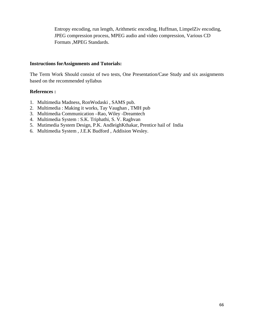Entropy encoding, run length, Arithmetic encoding, Huffman, LimpelZiv encoding, JPEG compression process, MPEG audio and video compression, Various CD Formats ,MPEG Standards.

#### **Instructions forAssignments and Tutorials:**

The Term Work Should consist of two tests, One Presentation/Case Study and six assignments based on the recommended syllabus

#### **References :**

- 1. Multimedia Madness, RonWodaski , SAMS pub.
- 2. Multimedia : Making it works, Tay Vaughan , TMH pub
- 3. Multimedia Communication –Rao, Wiley -Dreamtech
- 4. Multimedia System : S.K. Triphathi, S. V. Raghvan
- 5. Mutimedia System Design, P.K. AndleighKthakar, Prentice hail of India
- 6. Multimedia System , J.E.K Budford , Addision Wesley.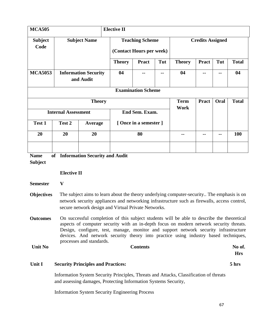| <b>MCA505</b>             |                                          | <b>Elective II</b>  |                |                                                    |     |                     |                         |      |              |  |
|---------------------------|------------------------------------------|---------------------|----------------|----------------------------------------------------|-----|---------------------|-------------------------|------|--------------|--|
| <b>Subject</b><br>Code    |                                          | <b>Subject Name</b> |                | <b>Teaching Scheme</b><br>(Contact Hours per week) |     |                     | <b>Credits Assigned</b> |      |              |  |
|                           |                                          |                     | <b>Theory</b>  | <b>Pract</b>                                       | Tut | <b>Theory</b>       | <b>Pract</b>            | Tut  | <b>Total</b> |  |
| <b>MCA5053</b>            | <b>Information Security</b><br>and Audit |                     | 04             |                                                    | --  | 04                  |                         |      | 04           |  |
| <b>Examination Scheme</b> |                                          |                     |                |                                                    |     |                     |                         |      |              |  |
|                           |                                          | <b>Theory</b>       |                |                                                    |     | <b>Term</b><br>Work | <b>Pract</b>            | Oral | <b>Total</b> |  |
|                           | <b>Internal Assessment</b>               |                     | End Sem. Exam. |                                                    |     |                     |                         |      |              |  |
| Test 1                    | Test 2                                   | Average             |                | [Once in a semester]                               |     |                     |                         |      |              |  |
| 20                        | 20                                       | 20                  |                | 80                                                 |     |                     | --                      | --   | 100          |  |
|                           | $\sim$ $\sim$ $\sim$                     |                     |                |                                                    |     |                     |                         |      |              |  |

**Name Information Security and Audit** 

**Subject** 

#### **Elective II**

**Semester V** 

**Objectives** The subject aims to learn about the theory underlying computer-security.. The emphasis is on network security appliances and networking infrastructure such as firewalls, access control, secure network design and Virtual Private Networks.

**Outcomes** On successful completion of this subject students will be able to describe the theoretical aspects of computer security with an in-depth focus on modern network security threats. Design, configure, test, manage, monitor and support network security infrastructure devices. And network security theory into practice using industry based techniques, processes and standards.

Unit No Contents No of Contents No of No. 1997.

#### **Unit I Security Principles and Practices:**

Information System Security Principles, Threats and Attacks, Classification of threats and assessing damages, Protecting Information Systems Security,

Information System Security Engineering Process

**5 hrs** 

**Hrs**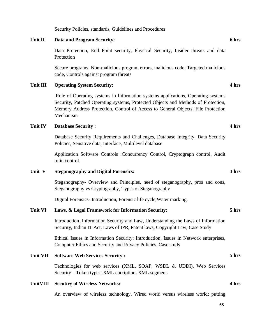Security Policies, standards, Guidelines and Procedures

#### **Unit II Data and Program Security:**

Data Protection, End Point security, Physical Security, Insider threats and data Protection

Secure programs, Non-malicious program errors, malicious code, Targeted malicious code, Controls against program threats

#### **Unit III Operating System Security:**

 Role of Operating systems in Information systems applications, Operating systems Security, Patched Operating systems, Protected Objects and Methods of Protection, Memory Address Protection, Control of Access to General Objects, File Protection Mechanism

#### **Unit IV Database Security :**

Database Security Requirements and Challenges, Database Integrity, Data Security Policies, Sensitive data, Interface, Multilevel database

Application Software Controls :Concurrency Control, Cryptograph control, Audit train control.

#### **Unit V Steganography and Digital Forensics:**

Steganography- Overview and Principles, need of steganography, pros and cons, Steganography vs Cryptography, Types of Steganography

Digital Forensics- Introduction, Forensic life cycle,Water marking.

#### **Unit VI Laws, & Legal Framework for Information Security:**

Introduction, Information Security and Law, Understanding the Laws of Information Security, Indian IT Act, Laws of IPR, Patent laws, Copyright Law, Case Study

Ethical Issues in Information Security: Introduction, Issues in Network enterprises, Computer Ethics and Security and Privacy Policies, Case study

#### **Unit VII Software Web Services Security :**

Technologies for web services (XML, SOAP, WSDL & UDDI), Web Services Security – Token types, XML encription, XML segment.

#### **UnitVIII Secutiry of Wireless Networks:**

An overview of wireless technology, Wired world versus wireless world: putting

#### **6 hrs**

**4 hrs** 

**4 hrs** 

#### **3 hrs**

# **5 hrs**

**4 hrs** 

**5 hrs**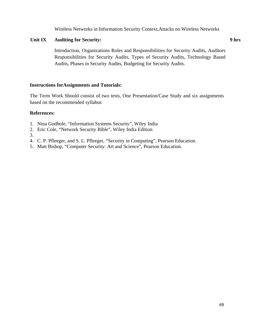Wireless Networks in Information Security Context,Attacks on Wireless Networks

#### **Unit IX Auditing for Security:**

Introduction, Organizations Roles and Responsibilities for Security Audits, Auditors Responsibilities for Security Audits, Types of Security Audits, Technology Based Audits, Phases in Security Audits, Budgeting for Security Audits.

#### **Instructions forAssignments and Tutorials:**

The Term Work Should consist of two tests, One Presentation/Case Study and six assignments based on the recommended syllabus

#### **References:**

- 1. Nina Godbole, "Information Systems Security", Wiley India
- 2. Eric Cole, "Network Security Bible", Wiley India Edition
- 3.
- 4. C. P. Pfleeger, and S. L. Pfleeger, "Security in Computing", Pearson Education.
- 5. Matt Bishop, "Computer Security: Art and Science", Pearson Education.

**9 hrs**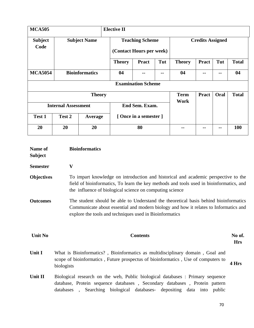| <b>MCA505</b>          |                            |                     | <b>Elective II</b> |                                                    |     |                     |                         |      |              |  |
|------------------------|----------------------------|---------------------|--------------------|----------------------------------------------------|-----|---------------------|-------------------------|------|--------------|--|
| <b>Subject</b><br>Code |                            | <b>Subject Name</b> |                    | <b>Teaching Scheme</b><br>(Contact Hours per week) |     |                     | <b>Credits Assigned</b> |      |              |  |
|                        |                            |                     | <b>Theory</b>      | <b>Pract</b>                                       | Tut | <b>Theory</b>       | <b>Pract</b>            | Tut  | <b>Total</b> |  |
| <b>MCA5054</b>         | <b>Bioinformatics</b>      |                     | 04                 | --                                                 | --  | 04                  | --                      | --   | 04           |  |
|                        |                            |                     |                    | <b>Examination Scheme</b>                          |     |                     |                         |      |              |  |
|                        |                            | <b>Theory</b>       |                    |                                                    |     | <b>Term</b><br>Work | <b>Pract</b>            | Oral | <b>Total</b> |  |
|                        | <b>Internal Assessment</b> |                     | End Sem. Exam.     |                                                    |     |                     |                         |      |              |  |
| Test 1                 | Test 2                     | Average             |                    | [Once in a semester ]                              |     |                     |                         |      |              |  |
| 20                     | 20                         | 20                  |                    | 80                                                 |     | --                  |                         |      | 100          |  |

| Name of<br><b>Subject</b> | <b>Bioinformatics</b>                                                                                                                                                                                                                        |                      |  |  |  |  |
|---------------------------|----------------------------------------------------------------------------------------------------------------------------------------------------------------------------------------------------------------------------------------------|----------------------|--|--|--|--|
| <b>Semester</b>           | $\mathbf{V}$                                                                                                                                                                                                                                 |                      |  |  |  |  |
| <b>Objectives</b>         | To impart knowledge on introduction and historical and academic perspective to the<br>field of bioinformatics, To learn the key methods and tools used in bioinformatics, and<br>the influence of biological science on computing science    |                      |  |  |  |  |
| <b>Outcomes</b>           | The student should be able to Understand the theoretical basis behind bioinformatics<br>Communicate about essential and modern biology and how it relates to Informatics and<br>explore the tools and techniques used in Bioinformatics      |                      |  |  |  |  |
| <b>Unit No</b>            | <b>Contents</b>                                                                                                                                                                                                                              | No of.<br><b>Hrs</b> |  |  |  |  |
| Unit I                    | What is Bioinformatics?, Bioinformatics as multidisciplinary domain, Goal and<br>scope of bioinformatics, Future prospectus of bioinformatics, Use of computers to<br>biologists                                                             | 4 Hrs                |  |  |  |  |
| Unit II                   | Biological research on the web, Public biological databases : Primary sequence<br>database, Protein sequence databases, Secondary databases, Protein pattern<br>databases, Searching<br>biological databases- depositing data into<br>public |                      |  |  |  |  |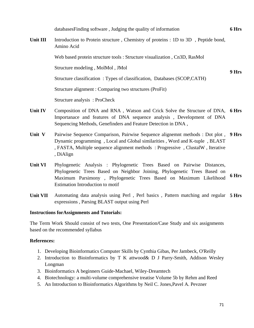databasesFinding software , Judging the quality of information **6 Hrs Unit III** Introduction to Protein structure, Chemistry of proteins : 1D to 3D, Peptide bond, Amino Acid Web based protein structure tools : Structure visualization , Cn3D, RasMol Structure modeling , MolMol , JMol Structure classification : Types of classification, Databases (SCOP,CATH) Structure alignment : Comparing two structures (ProFit) Structure analysis : ProCheck **9 Hrs**  Unit IV Composition of DNA and RNA, Watson and Crick Solve the Structure of DNA, 6 Hrs

- Importanace and features of DNA sequence analysis , Development of DNA Sequencing Methods, Genefinders and Feature Detection in DNA ,
- Unit V Pairwise Sequence Comparison, Pairwise Sequence alignemnt methods : Dot plot, 9 Hrs Dynamic programming , Local and Global similarities , Word and K-tuple , BLAST , FASTA, Multiple sequence alignment methods : Progressive , ClustalW , Iterative , DiAlign
- **Unit VI** Phylogenetic Analysis : Phylogenetic Trees Based on Pairwise Distances, Phylogenetic Trees Based on Neighbor Joining, Phylogenetic Trees Based on Maximum Parsimony , Phylogenetic Trees Based on Maximum Likelihood Estimation Introduction to motif **6 Hrs**
- Unit VII Automating data analysis using Perl, Perl basics, Pattern matching and regular 5 Hrs expressions , Parsing BLAST output using Perl

#### **Instructions forAssignments and Tutorials:**

The Term Work Should consist of two tests, One Presentation/Case Study and six assignments based on the recommended syllabus

#### **References:**

- 1. Developing Bioinformatics Computer Skills by Cynthia Gibas, Per Jambeck, O'Reilly
- 2. Introduction to Bioinformatics by T K attwood& D J Parry-Smith, Addison Wesley Longman
- 3. Bioinformatics A beginners Guide-Machael, Wiley-Dreamtech
- 4. Biotechnology: a multi-volume comprehensive treatise Volume 5b by Rehm and Reed
- 5. An Introduction to Bioinformatics Algorithms by Neil C. Jones,Pavel A. Pevzner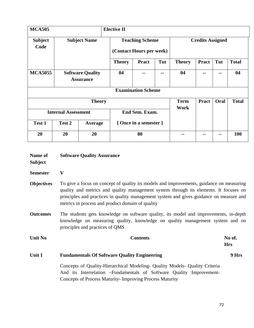| <b>MCA505</b>          |                                             |                     | <b>Elective II</b>                                 |                           |     |                         |              |            |              |  |
|------------------------|---------------------------------------------|---------------------|----------------------------------------------------|---------------------------|-----|-------------------------|--------------|------------|--------------|--|
| <b>Subject</b><br>Code |                                             | <b>Subject Name</b> | <b>Teaching Scheme</b><br>(Contact Hours per week) |                           |     | <b>Credits Assigned</b> |              |            |              |  |
|                        |                                             |                     | <b>Theory</b>                                      | <b>Pract</b>              | Tut | <b>Theory</b>           | <b>Pract</b> | Tut        | <b>Total</b> |  |
| <b>MCA5055</b>         | <b>Software Quality</b><br><b>Assurance</b> |                     | 04                                                 | --                        | --  | 04                      | --           | --         | 04           |  |
|                        |                                             |                     |                                                    | <b>Examination Scheme</b> |     |                         |              |            |              |  |
|                        |                                             | <b>Theory</b>       |                                                    |                           |     | <b>Term</b><br>Work     | <b>Pract</b> | Oral       | <b>Total</b> |  |
|                        | <b>Internal Assessment</b>                  |                     | End Sem. Exam.                                     |                           |     |                         |              |            |              |  |
| Test 1                 | Test 2                                      | Average             | [Once in a semester]                               |                           |     |                         |              |            |              |  |
| 20                     | 20                                          | 20                  | 80                                                 |                           |     |                         |              | <b>100</b> |              |  |

| Name of<br><b>Subject</b> | <b>Software Quality Assurance</b>                                                                                                                                                                                                                                                                                                |                      |  |  |  |  |
|---------------------------|----------------------------------------------------------------------------------------------------------------------------------------------------------------------------------------------------------------------------------------------------------------------------------------------------------------------------------|----------------------|--|--|--|--|
| <b>Semester</b>           | $\mathbf{V}$                                                                                                                                                                                                                                                                                                                     |                      |  |  |  |  |
| <b>Objectives</b>         | To give a focus on concept of quality its models and improvements, guidance on measuring<br>quality and metrics and quality management system through its elements. It focuses on<br>principles and practices in quality management system and gives guidance on measure and<br>metrics in process and product domain of quality |                      |  |  |  |  |
| <b>Outcomes</b>           | The students gets knowledge on software quality, its model and improvements, in-depth<br>knowledge on measuring quality, knowledge on quality management system and on<br>principles and practices of QMS                                                                                                                        |                      |  |  |  |  |
| <b>Unit No</b>            | <b>Contents</b>                                                                                                                                                                                                                                                                                                                  | No of.<br><b>Hrs</b> |  |  |  |  |
| Unit I                    | <b>Fundamentals Of Software Quality Engineering</b>                                                                                                                                                                                                                                                                              | 9 Hrs                |  |  |  |  |
|                           | Concepts of Quality-Hierarchical Modeling- Quality Models- Quality Criteria<br>And its Interrelation – Fundamentals of Software Quality Improvement-<br>Concepts of Process Maturity- Improving Process Maturity                                                                                                                 |                      |  |  |  |  |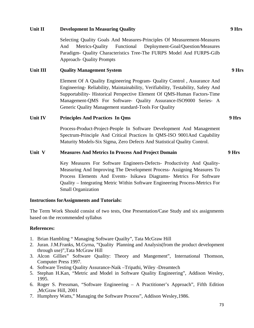# **Unit II Development In Measuring Quality**

Selecting Quality Goals And Measures-Principles Of Measurement-Measures And Metrics-Quality Functional Deployment-Goal/Question/Measures Paradigm- Quality Characteristics Tree-The FURPS Model And FURPS-Gilb Approach- Quality Prompts

## **Unit III Quality Management System**

Element Of A Quality Engineering Program- Quality Control , Assurance And Engineering- Reliability, Maintainability, Verifiability, Testability, Safety And Supportability- Historical Perspective Element Of QMS-Human Factors-Time Management-QMS For Software- Quality Assurance-ISO9000 Series- A Generic Quality Management standard-Tools For Quality

## **Unit IV Principles And Practices In Qms**

Process-Product-Project-People In Software Development And Management Spectrum-Principle And Critical Practices In QMS-ISO 9001And Capability Maturity Models-Six Sigma, Zero Defects And Statistical Quality Control.

### **Unit V Measures And Metrics In Process And Project Domain**

Key Measures For Software Engineers-Defects- Productivity And Quality-Measuring And Improving The Development Process- Assigning Measures To Process Elements And Events- Isikawa Diagrams- Metrics For Software Quality – Integrating Metric Within Software Engineering Process-Metrics For Small Organization

#### **Instructions forAssignments and Tutorials:**

The Term Work Should consist of two tests, One Presentation/Case Study and six assignments based on the recommended syllabus

## **References:**

- 1. Brian Hambling " Managing Software Quailty", Tata McGraw Hill
- 2. Juran. J.M.Franks, M.Gyrna, "Quality Planning and Analysis(from the product development through use)",Tata McGraw Hill
- 3. Alcon Gillies" Software Quality: Theory and Mangement", International Thomson, Computer Press 1997.
- 4. Software Testing Quality Assurance-Naik –Tripathi, Wiley -Dreamtech
- 5. Stephan H.Kan, "Metric and Model in Software Quality Engineering", Addison Wesley, 1995.
- 6. Roger S. Pressman, "Software Engineering A Practitioner's Approach", Fifth Edition ,McGraw Hill, 2001
- 7. Humphrey Watts," Managing the Software Process", Addison Wesley,1986.

 **9 Hrs** 

 **9 Hrs** 

 **9 Hrs** 

 **9 Hrs**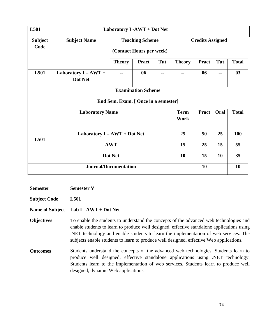| L501                   |                                      | Laboratory I -AWT + Dot Net                        |              |               |                         |              |      |              |  |
|------------------------|--------------------------------------|----------------------------------------------------|--------------|---------------|-------------------------|--------------|------|--------------|--|
| <b>Subject</b><br>Code | <b>Subject Name</b>                  | <b>Teaching Scheme</b><br>(Contact Hours per week) |              |               | <b>Credits Assigned</b> |              |      |              |  |
|                        |                                      | <b>Theory</b>                                      | <b>Pract</b> | Tut           | <b>Theory</b>           | <b>Pract</b> | Tut  | <b>Total</b> |  |
| L501                   | Laboratory I - AWT +<br>Dot Net      |                                                    | 06           | $-$           | --                      | 06           | --   | 03           |  |
|                        | <b>Examination Scheme</b>            |                                                    |              |               |                         |              |      |              |  |
|                        | End Sem. Exam. [ Once in a semester] |                                                    |              |               |                         |              |      |              |  |
| <b>Laboratory Name</b> |                                      |                                                    |              |               | <b>Term</b><br>Work     | <b>Pract</b> | Oral | <b>Total</b> |  |
| L501                   | Laboratory I - AWT + Dot Net         |                                                    |              |               | 25                      | 50           | 25   | 100          |  |
|                        | <b>AWT</b>                           |                                                    |              |               | 15                      | 25           | 15   | 55           |  |
|                        | Dot Net                              |                                                    |              |               | 10                      | 15           | 10   | 35           |  |
|                        | <b>Journal/Documentation</b>         |                                                    |              | $\sim$ $\sim$ | 10                      | --           | 10   |              |  |

**Semester Semester V** 

**Subject Code L501** 

**Name of Subject Lab I - AWT + Dot Net** 

**Objectives** To enable the students to understand the concepts of the advanced web technologies and enable students to learn to produce well designed, effective standalone applications using .NET technology and enable students to learn the implementation of web services. The subjects enable students to learn to produce well designed, effective Web applications.

**Outcomes** Students understand the concepts of the advanced web technologies. Students learn to produce well designed, effective standalone applications using .NET technology. Students learn to the implementation of web services. Students learn to produce well designed, dynamic Web applications.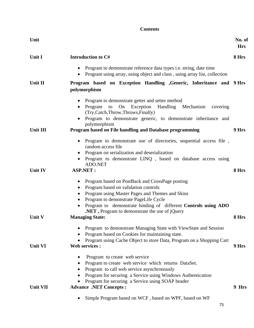|                 | <b>Contents</b>                                                                                                                                                                                                                                                                                                |                      |  |  |  |
|-----------------|----------------------------------------------------------------------------------------------------------------------------------------------------------------------------------------------------------------------------------------------------------------------------------------------------------------|----------------------|--|--|--|
| Unit            |                                                                                                                                                                                                                                                                                                                | No. of<br><b>Hrs</b> |  |  |  |
| Unit I          | Introduction to C#                                                                                                                                                                                                                                                                                             | 8 Hrs                |  |  |  |
|                 | Program to demonstrate reference data types <i>i.e.</i> string, date time<br>Program using array, using object and class, using array list, collection                                                                                                                                                         |                      |  |  |  |
| Unit II         | Program based on Exception Handling , Generic, Inheritance and 9 Hrs<br>polymorphism                                                                                                                                                                                                                           |                      |  |  |  |
| <b>Unit III</b> | Program to demonstrate getter and setter method<br>On<br>Exception Handling Mechanism<br>Program<br>to<br>covering<br>(Try, Catch, Throw, Throws, Finally)<br>Program to demonstrate generic, to demonstrate inheritance and<br>polymorphism<br>Program based on File handling and Database programming        | 9 Hrs                |  |  |  |
|                 | • Program to demonstrate use of directories, sequential access file,                                                                                                                                                                                                                                           |                      |  |  |  |
|                 | random access file<br>Program on serialization and deserialization<br>Program to demonstrate LINQ, based on database access using                                                                                                                                                                              |                      |  |  |  |
| Unit IV         | ADO.NET<br><b>ASP.NET:</b>                                                                                                                                                                                                                                                                                     | 8 Hrs                |  |  |  |
|                 | Program based on PostBack and CrossPage posting<br>Program based on validation controls<br>Program using Master Pages and Themes and Skins<br>Program to demonstrate PageLife Cycle<br>Program to demonstrate binding of different Controls using ADO<br><b>NET</b> , Program to demonstrate the use of jQuery |                      |  |  |  |
| Unit V          | <b>Managing State:</b>                                                                                                                                                                                                                                                                                         | 8 Hrs                |  |  |  |
| <b>Unit VI</b>  | Program to demonstrate Managing State with ViewState and Session<br>Program based on Cookies for maintaining state.<br>Program using Cache Object to store Data, Program on a Shopping Cart<br><b>Web services:</b>                                                                                            | 9 Hrs                |  |  |  |
|                 | Program to create web service<br>Program to create web service which returns DataSet.<br>Program to call web service asynchronously<br>Program for securing a Service using Windows Authentication<br>Program for securing a Service using SOAP header                                                         |                      |  |  |  |
| <b>Unit VII</b> | <b>Advance .NET Concepts:</b><br>Simple Program based on WCF, based on WPF, based on WF                                                                                                                                                                                                                        | 9 Hrs                |  |  |  |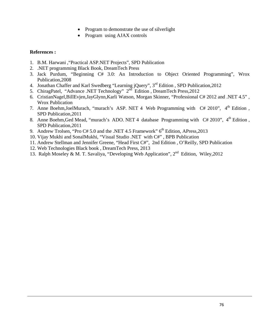- Program to demonstrate the use of silverlight
- Program using AJAX controls

## **References :**

- 1. B.M. Harwani ,"Practical ASP.NET Projects", SPD Publication
- 2. .NET programming Black Book, DreamTech Press
- 3. Jack Purdum, "Beginning C# 3.0: An Introduction to Object Oriented Programming", Wrox Publication,2008
- 4. Jonathan Chaffer and Karl Swedberg "Learning jQuery", 3<sup>rd</sup> Edition, SPD Publication, 2012
- 5. ChiragPatel, "Advance .NET Technology" 2<sup>nd</sup> Edition, DreamTech Press, 2012
- 6. CristianNagel,BillEvjen,JayGlynn,Karli Watson, Morgan Skinner, "Professional C# 2012 and .NET 4.5" , Wrox Publication
- 7. Anne Boehm, JoelMurach, "murach's ASP. NET 4 Web Programming with  $C# 2010$ ", 4<sup>th</sup> Edition, SPD Publication,2011
- 8. Anne Boehm, Ged Mead, "murach's ADO. NET 4 database Programming with C# 2010", 4<sup>th</sup> Edition, SPD Publication,2011
- 9. Andrew Trolsen, "Pro C# 5.0 and the .NET 4.5 Framework" 6<sup>th</sup> Edition, APress, 2013
- 10. Vijay Mukhi and SonalMukhi, "Visual Studio .NET with C#" , BPB Publication
- 11. Andrew Stellman and Jennifer Greene, "Head First C#", 2nd Edition , O'Reilly, SPD Publication
- 12. Web Technologies Black book , DreamTech Press, 2013
- 13. Ralph Moseley & M. T. Savaliya, "Developing Web Application", 2nd Edition, Wiley,2012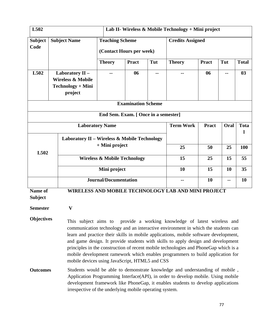| L502<br>Lab II- Wireless & Mobile Technology + Mini project |                                                                                 |                                                                                                                                                                                                                                                                                                                 |                                      |                  |                                                                                                                                                                                                                                                                                                                                                                                                                                                                                                                    |              |             |              |  |
|-------------------------------------------------------------|---------------------------------------------------------------------------------|-----------------------------------------------------------------------------------------------------------------------------------------------------------------------------------------------------------------------------------------------------------------------------------------------------------------|--------------------------------------|------------------|--------------------------------------------------------------------------------------------------------------------------------------------------------------------------------------------------------------------------------------------------------------------------------------------------------------------------------------------------------------------------------------------------------------------------------------------------------------------------------------------------------------------|--------------|-------------|--------------|--|
| <b>Subject Name</b><br><b>Subject</b><br>Code               |                                                                                 | <b>Teaching Scheme</b><br>(Contact Hours per week)                                                                                                                                                                                                                                                              |                                      |                  | <b>Credits Assigned</b>                                                                                                                                                                                                                                                                                                                                                                                                                                                                                            |              |             |              |  |
|                                                             |                                                                                 | <b>Theory</b>                                                                                                                                                                                                                                                                                                   | <b>Pract</b>                         | Tut              | <b>Theory</b>                                                                                                                                                                                                                                                                                                                                                                                                                                                                                                      | <b>Pract</b> | Tut         | <b>Total</b> |  |
| L502                                                        | Laboratory II -<br><b>Wireless &amp; Mobile</b><br>Technology + Mini<br>project |                                                                                                                                                                                                                                                                                                                 | 06                                   | --               |                                                                                                                                                                                                                                                                                                                                                                                                                                                                                                                    | 06           | --          | 03           |  |
|                                                             |                                                                                 |                                                                                                                                                                                                                                                                                                                 | <b>Examination Scheme</b>            |                  |                                                                                                                                                                                                                                                                                                                                                                                                                                                                                                                    |              |             |              |  |
|                                                             |                                                                                 |                                                                                                                                                                                                                                                                                                                 | End Sem. Exam. [ Once in a semester] |                  |                                                                                                                                                                                                                                                                                                                                                                                                                                                                                                                    |              |             |              |  |
| <b>Laboratory Name</b>                                      |                                                                                 |                                                                                                                                                                                                                                                                                                                 |                                      | <b>Term Work</b> | <b>Pract</b>                                                                                                                                                                                                                                                                                                                                                                                                                                                                                                       | Oral         | <b>Tota</b> |              |  |
|                                                             |                                                                                 | Laboratory II - Wireless & Mobile Technology                                                                                                                                                                                                                                                                    |                                      |                  |                                                                                                                                                                                                                                                                                                                                                                                                                                                                                                                    |              |             |              |  |
| L502                                                        |                                                                                 | + Mini project                                                                                                                                                                                                                                                                                                  |                                      |                  | 25                                                                                                                                                                                                                                                                                                                                                                                                                                                                                                                 | 50           | 25          | <b>100</b>   |  |
|                                                             |                                                                                 | <b>Wireless &amp; Mobile Technology</b>                                                                                                                                                                                                                                                                         |                                      |                  |                                                                                                                                                                                                                                                                                                                                                                                                                                                                                                                    | 25           | 15          | 55           |  |
|                                                             |                                                                                 | Mini project                                                                                                                                                                                                                                                                                                    |                                      |                  |                                                                                                                                                                                                                                                                                                                                                                                                                                                                                                                    | 15           | 10          | 35           |  |
|                                                             |                                                                                 | <b>Journal/Documentation</b>                                                                                                                                                                                                                                                                                    |                                      |                  | --                                                                                                                                                                                                                                                                                                                                                                                                                                                                                                                 | 10           | ۰.          | 10           |  |
| Name of                                                     |                                                                                 |                                                                                                                                                                                                                                                                                                                 |                                      |                  | <b>WIRELESS AND MOBILE TECHNOLOGY LAB AND MINI PROJECT</b>                                                                                                                                                                                                                                                                                                                                                                                                                                                         |              |             |              |  |
| <b>Subject</b>                                              |                                                                                 |                                                                                                                                                                                                                                                                                                                 |                                      |                  |                                                                                                                                                                                                                                                                                                                                                                                                                                                                                                                    |              |             |              |  |
| <b>Semester</b>                                             | $\mathbf{V}$                                                                    |                                                                                                                                                                                                                                                                                                                 |                                      |                  |                                                                                                                                                                                                                                                                                                                                                                                                                                                                                                                    |              |             |              |  |
| <b>Objectives</b>                                           | mobile devices using JavaScript, HTML5 and CSS                                  |                                                                                                                                                                                                                                                                                                                 |                                      |                  | This subject aims to provide a working knowledge of latest wireless and<br>communication technology and an interactive environment in which the students can<br>learn and practice their skills in mobile applications, mobile software development,<br>and game design. It provide students with skills to apply design and development<br>principles in the construction of recent mobile technologies and PhoneGap which is a<br>mobile development ramework which enables programmers to build application for |              |             |              |  |
| <b>Outcomes</b>                                             |                                                                                 | Students would be able to demonstrate knowledge and understanding of mobile,<br>Application Programming Interface(API), in order to develop mobile. Using mobile<br>development framework like PhoneGap, it enables students to develop applications<br>irrespective of the underlying mobile operating system. |                                      |                  |                                                                                                                                                                                                                                                                                                                                                                                                                                                                                                                    |              |             |              |  |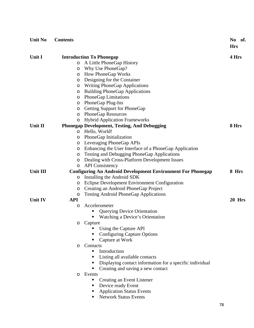| <b>Unit No</b> | <b>Contents</b>                                                                              |                                                               |    | No<br>- of.<br><b>Hrs</b> |
|----------------|----------------------------------------------------------------------------------------------|---------------------------------------------------------------|----|---------------------------|
| <b>Unit I</b>  |                                                                                              | <b>Introduction To Phonegap</b>                               |    | 4 Hrs                     |
|                | O                                                                                            | A Little PhoneGap History                                     |    |                           |
|                | O                                                                                            | Why Use PhoneGap?                                             |    |                           |
|                | O                                                                                            | <b>How PhoneGap Works</b>                                     |    |                           |
|                | O                                                                                            | Designing for the Container                                   |    |                           |
|                | O                                                                                            | <b>Writing PhoneGap Applications</b>                          |    |                           |
|                | O                                                                                            | <b>Building PhoneGap Applications</b>                         |    |                           |
|                | O                                                                                            | <b>PhoneGap Limitations</b>                                   |    |                           |
|                | O                                                                                            | PhoneGap Plug-Ins                                             |    |                           |
|                | O                                                                                            | Getting Support for PhoneGap                                  |    |                           |
|                | O                                                                                            | <b>PhoneGap Resources</b>                                     |    |                           |
|                | O                                                                                            | <b>Hybrid Application Frameworks</b>                          |    |                           |
| Unit II        |                                                                                              | <b>Phonegap Development, Testing, And Debugging</b>           |    | 8 Hrs                     |
|                | O                                                                                            | Hello, World!                                                 |    |                           |
|                | O                                                                                            | PhoneGap Initialization                                       |    |                           |
|                | O                                                                                            | Leveraging PhoneGap APIs                                      |    |                           |
|                | O                                                                                            | Enhancing the User Interface of a PhoneGap Application        |    |                           |
|                | O                                                                                            | <b>Testing and Debugging PhoneGap Applications</b>            |    |                           |
|                | O                                                                                            | Dealing with Cross-Platform Development Issues                |    |                           |
|                | O                                                                                            |                                                               |    |                           |
| Unit III       | <b>API</b> Consistency<br><b>Configuring An Android Development Environment For Phonegap</b> |                                                               |    | 8 Hrs                     |
|                | O                                                                                            | Installing the Android SDK                                    |    |                           |
|                | O                                                                                            | Eclipse Development Environment Configuration                 |    |                           |
|                | O                                                                                            | Creating an Android PhoneGap Project                          |    |                           |
|                | O                                                                                            | <b>Testing Android PhoneGap Applications</b>                  |    |                           |
| <b>Unit IV</b> | <b>API</b>                                                                                   |                                                               |    | 20 Hrs                    |
|                | O                                                                                            | Accelerometer                                                 |    |                           |
|                |                                                                                              | <b>Querying Device Orientation</b>                            |    |                           |
|                |                                                                                              | Watching a Device's Orientation<br>٠                          |    |                           |
|                |                                                                                              | Capture                                                       |    |                           |
|                |                                                                                              | Using the Capture API                                         |    |                           |
|                |                                                                                              | <b>Configuring Capture Options</b>                            |    |                           |
|                |                                                                                              | Capture at Work                                               |    |                           |
|                | O                                                                                            | Contacts                                                      |    |                           |
|                |                                                                                              | Introduction<br>п                                             |    |                           |
|                |                                                                                              | Listing all available contacts<br>Г                           |    |                           |
|                |                                                                                              | Displaying contact information for a specific individual<br>п |    |                           |
|                |                                                                                              | Creating and saving a new contact                             |    |                           |
|                | $\circ$                                                                                      | Events                                                        |    |                           |
|                |                                                                                              | Creating an Event Listener                                    |    |                           |
|                |                                                                                              | Device ready Event                                            |    |                           |
|                |                                                                                              | <b>Application Status Events</b>                              |    |                           |
|                |                                                                                              | <b>Network Status Events</b><br>п                             |    |                           |
|                |                                                                                              |                                                               | 78 |                           |
|                |                                                                                              |                                                               |    |                           |